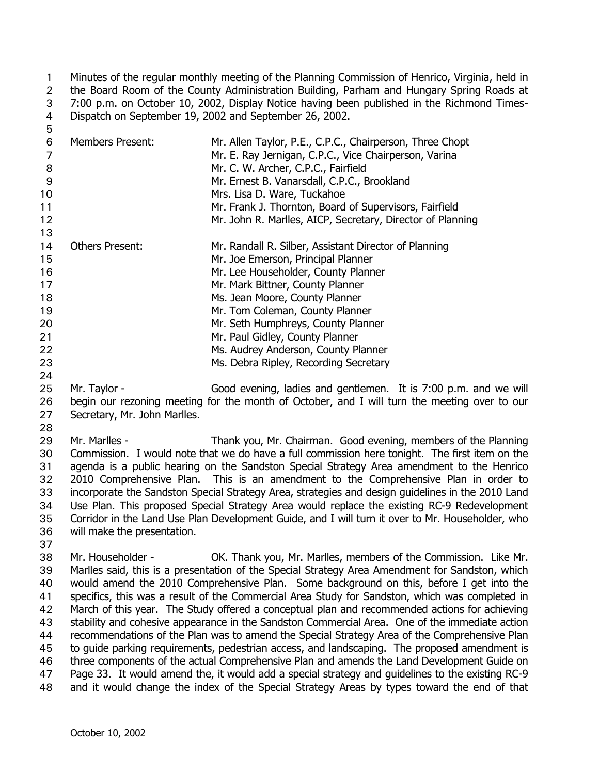Minutes of the regular monthly meeting of the Planning Commission of Henrico, Virginia, held in the Board Room of the County Administration Building, Parham and Hungary Spring Roads at 7:00 p.m. on October 10, 2002, Display Notice having been published in the Richmond Times-Dispatch on September 19, 2002 and September 26, 2002. 1 2 3 4 5

| 6<br>7<br>8 | <b>Members Present:</b> | Mr. Allen Taylor, P.E., C.P.C., Chairperson, Three Chopt<br>Mr. E. Ray Jernigan, C.P.C., Vice Chairperson, Varina<br>Mr. C. W. Archer, C.P.C., Fairfield |
|-------------|-------------------------|----------------------------------------------------------------------------------------------------------------------------------------------------------|
| 9           |                         | Mr. Ernest B. Vanarsdall, C.P.C., Brookland                                                                                                              |
| 10          |                         | Mrs. Lisa D. Ware, Tuckahoe                                                                                                                              |
| 11          |                         | Mr. Frank J. Thornton, Board of Supervisors, Fairfield                                                                                                   |
| 12          |                         | Mr. John R. Marlles, AICP, Secretary, Director of Planning                                                                                               |
| 13          |                         |                                                                                                                                                          |
| 14          | <b>Others Present:</b>  | Mr. Randall R. Silber, Assistant Director of Planning                                                                                                    |
| 15          |                         | Mr. Joe Emerson, Principal Planner                                                                                                                       |
| 16          |                         | Mr. Lee Householder, County Planner                                                                                                                      |
| 17          |                         | Mr. Mark Bittner, County Planner                                                                                                                         |
| 18          |                         | Ms. Jean Moore, County Planner                                                                                                                           |
| 19          |                         | Mr. Tom Coleman, County Planner                                                                                                                          |
| 20          |                         | Mr. Seth Humphreys, County Planner                                                                                                                       |
| 21          |                         | Mr. Paul Gidley, County Planner                                                                                                                          |
| 22          |                         | Ms. Audrey Anderson, County Planner                                                                                                                      |
| 23          |                         | Ms. Debra Ripley, Recording Secretary                                                                                                                    |
| 24          |                         |                                                                                                                                                          |

- 25 26 27 Mr. Taylor - Good evening, ladies and gentlemen. It is 7:00 p.m. and we will begin our rezoning meeting for the month of October, and I will turn the meeting over to our Secretary, Mr. John Marlles.
- 28

29 30 31 32 33 34 35 36 Mr. Marlles - Thank you, Mr. Chairman. Good evening, members of the Planning Commission. I would note that we do have a full commission here tonight. The first item on the agenda is a public hearing on the Sandston Special Strategy Area amendment to the Henrico 2010 Comprehensive Plan. This is an amendment to the Comprehensive Plan in order to incorporate the Sandston Special Strategy Area, strategies and design guidelines in the 2010 Land Use Plan. This proposed Special Strategy Area would replace the existing RC-9 Redevelopment Corridor in the Land Use Plan Development Guide, and I will turn it over to Mr. Householder, who will make the presentation.

37

38 39 40 41 42 43 44 45 46 47 48 Mr. Householder - OK. Thank you, Mr. Marlles, members of the Commission. Like Mr. Marlles said, this is a presentation of the Special Strategy Area Amendment for Sandston, which would amend the 2010 Comprehensive Plan. Some background on this, before I get into the specifics, this was a result of the Commercial Area Study for Sandston, which was completed in March of this year. The Study offered a conceptual plan and recommended actions for achieving stability and cohesive appearance in the Sandston Commercial Area. One of the immediate action recommendations of the Plan was to amend the Special Strategy Area of the Comprehensive Plan to guide parking requirements, pedestrian access, and landscaping. The proposed amendment is three components of the actual Comprehensive Plan and amends the Land Development Guide on Page 33. It would amend the, it would add a special strategy and guidelines to the existing RC-9 and it would change the index of the Special Strategy Areas by types toward the end of that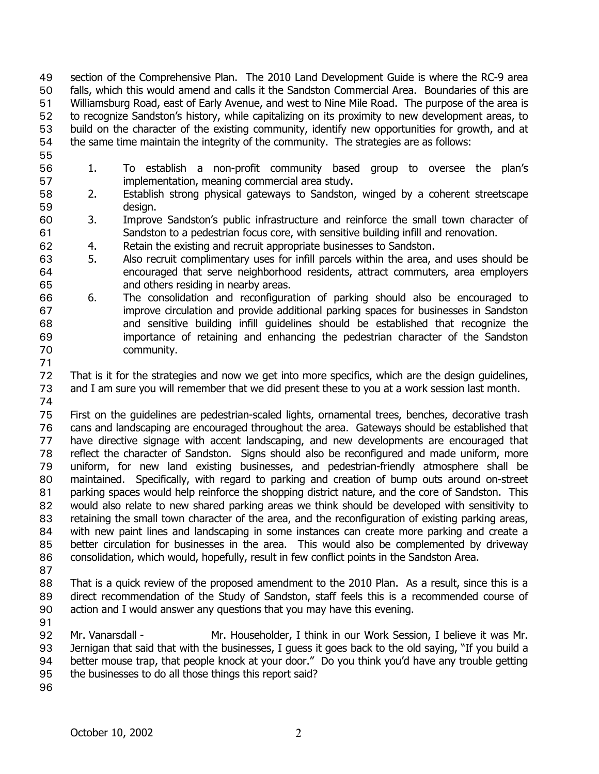section of the Comprehensive Plan. The 2010 Land Development Guide is where the RC-9 area falls, which this would amend and calls it the Sandston Commercial Area. Boundaries of this are Williamsburg Road, east of Early Avenue, and west to Nine Mile Road. The purpose of the area is to recognize Sandston's history, while capitalizing on its proximity to new development areas, to build on the character of the existing community, identify new opportunities for growth, and at the same time maintain the integrity of the community. The strategies are as follows: 49 50 51 52 53 54

- 55
- 56 57 1. To establish a non-profit community based group to oversee the plan's implementation, meaning commercial area study.
- 58 59 2. Establish strong physical gateways to Sandston, winged by a coherent streetscape design.
- 60 61 3. Improve Sandston's public infrastructure and reinforce the small town character of Sandston to a pedestrian focus core, with sensitive building infill and renovation.
- 62 4. Retain the existing and recruit appropriate businesses to Sandston.
- 63 64 65 5. Also recruit complimentary uses for infill parcels within the area, and uses should be encouraged that serve neighborhood residents, attract commuters, area employers and others residing in nearby areas.
- 66 67 68 69 70 6. The consolidation and reconfiguration of parking should also be encouraged to improve circulation and provide additional parking spaces for businesses in Sandston and sensitive building infill guidelines should be established that recognize the importance of retaining and enhancing the pedestrian character of the Sandston community.
- 71

72 73 74 That is it for the strategies and now we get into more specifics, which are the design guidelines, and I am sure you will remember that we did present these to you at a work session last month.

75 76 77 78 79 80 81 82 83 84 85 86 First on the guidelines are pedestrian-scaled lights, ornamental trees, benches, decorative trash cans and landscaping are encouraged throughout the area. Gateways should be established that have directive signage with accent landscaping, and new developments are encouraged that reflect the character of Sandston. Signs should also be reconfigured and made uniform, more uniform, for new land existing businesses, and pedestrian-friendly atmosphere shall be maintained. Specifically, with regard to parking and creation of bump outs around on-street parking spaces would help reinforce the shopping district nature, and the core of Sandston. This would also relate to new shared parking areas we think should be developed with sensitivity to retaining the small town character of the area, and the reconfiguration of existing parking areas, with new paint lines and landscaping in some instances can create more parking and create a better circulation for businesses in the area. This would also be complemented by driveway consolidation, which would, hopefully, result in few conflict points in the Sandston Area.

87

88 89 90 That is a quick review of the proposed amendment to the 2010 Plan. As a result, since this is a direct recommendation of the Study of Sandston, staff feels this is a recommended course of action and I would answer any questions that you may have this evening.

91

92 93 94 95 Mr. Vanarsdall - Mr. Householder, I think in our Work Session, I believe it was Mr. Jernigan that said that with the businesses, I guess it goes back to the old saying, "If you build a better mouse trap, that people knock at your door." Do you think you'd have any trouble getting the businesses to do all those things this report said?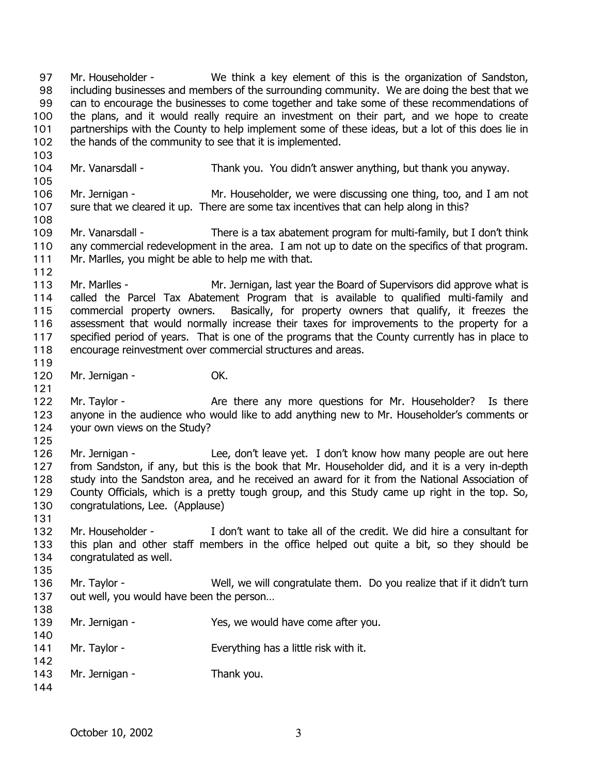the plans, and it would really require an investment on their part, and we hope to create partnerships with the County to help implement some of these ideas, but a lot of this does lie in the hands of the community to see that it is implemented. 100 101 102 103 104 105 106 107 108 109 110 111 112 113 114 115 116 117 118 119 120 121 122 123 124 125 126 127 128 129 130 131 132 133 134 135 136 137 138 139 140 141 142 143 144 Mr. Vanarsdall - Thank you. You didn't answer anything, but thank you anyway. Mr. Jernigan - Mr. Householder, we were discussing one thing, too, and I am not sure that we cleared it up. There are some tax incentives that can help along in this? Mr. Vanarsdall - There is a tax abatement program for multi-family, but I don't think any commercial redevelopment in the area. I am not up to date on the specifics of that program. Mr. Marlles, you might be able to help me with that. Mr. Marlles - The Mr. Jernigan, last year the Board of Supervisors did approve what is called the Parcel Tax Abatement Program that is available to qualified multi-family and commercial property owners. Basically, for property owners that qualify, it freezes the assessment that would normally increase their taxes for improvements to the property for a specified period of years. That is one of the programs that the County currently has in place to encourage reinvestment over commercial structures and areas. Mr. Jernigan - **OK.** Mr. Taylor - The Are there any more questions for Mr. Householder? Is there anyone in the audience who would like to add anything new to Mr. Householder's comments or your own views on the Study? Mr. Jernigan - The Lee, don't leave yet. I don't know how many people are out here from Sandston, if any, but this is the book that Mr. Householder did, and it is a very in-depth study into the Sandston area, and he received an award for it from the National Association of County Officials, which is a pretty tough group, and this Study came up right in the top. So, congratulations, Lee. (Applause) Mr. Householder - I don't want to take all of the credit. We did hire a consultant for this plan and other staff members in the office helped out quite a bit, so they should be congratulated as well. Mr. Taylor - Well, we will congratulate them. Do you realize that if it didn't turn out well, you would have been the person… Mr. Jernigan - The Yes, we would have come after you. Mr. Taylor - Everything has a little risk with it. Mr. Jernigan - Thank you.

Mr. Householder - We think a key element of this is the organization of Sandston, including businesses and members of the surrounding community. We are doing the best that we can to encourage the businesses to come together and take some of these recommendations of

97 98 99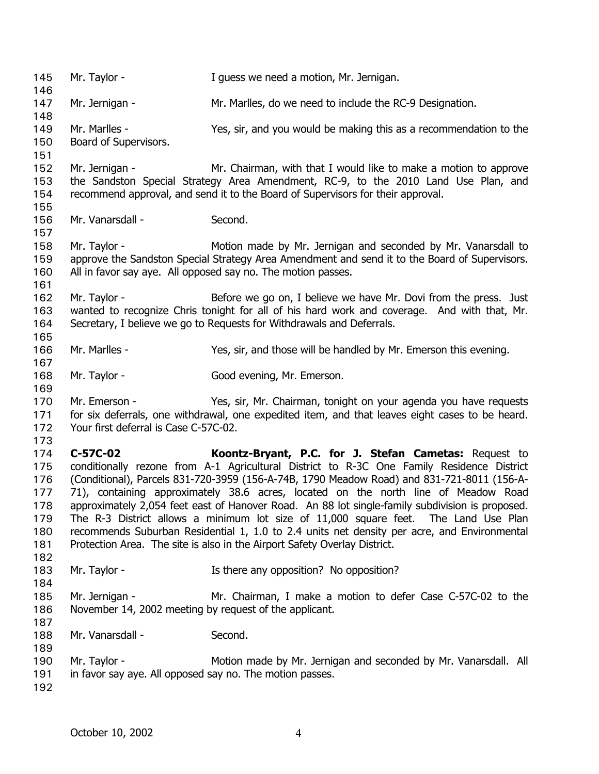145 Mr. Taylor - **I** guess we need a motion, Mr. Jernigan. 146 147 148 149 150 151 152 153 154 155 156 157 158 159 160 161 162 163 164 165 166 167 168 169 170 171 172 173 174 175 176 177 178 179 180 181 182 183 184 185 186 187 188 189 190 191 192 Mr. Jernigan - Mr. Marlles, do we need to include the RC-9 Designation. Mr. Marlles - Yes, sir, and you would be making this as a recommendation to the Board of Supervisors. Mr. Jernigan - Mr. Chairman, with that I would like to make a motion to approve the Sandston Special Strategy Area Amendment, RC-9, to the 2010 Land Use Plan, and recommend approval, and send it to the Board of Supervisors for their approval. Mr. Vanarsdall - Second. Mr. Taylor - The Motion made by Mr. Jernigan and seconded by Mr. Vanarsdall to approve the Sandston Special Strategy Area Amendment and send it to the Board of Supervisors. All in favor say aye. All opposed say no. The motion passes. Mr. Taylor - Before we go on, I believe we have Mr. Dovi from the press. Just wanted to recognize Chris tonight for all of his hard work and coverage. And with that, Mr. Secretary, I believe we go to Requests for Withdrawals and Deferrals. Mr. Marlles - Yes, sir, and those will be handled by Mr. Emerson this evening. Mr. Taylor - Good evening, Mr. Emerson. Mr. Emerson - Yes, sir, Mr. Chairman, tonight on your agenda you have requests for six deferrals, one withdrawal, one expedited item, and that leaves eight cases to be heard. Your first deferral is Case C-57C-02. **C-57C-02 Koontz-Bryant, P.C. for J. Stefan Cametas:** Request to conditionally rezone from A-1 Agricultural District to R-3C One Family Residence District (Conditional), Parcels 831-720-3959 (156-A-74B, 1790 Meadow Road) and 831-721-8011 (156-A-71), containing approximately 38.6 acres, located on the north line of Meadow Road approximately 2,054 feet east of Hanover Road. An 88 lot single-family subdivision is proposed. The R-3 District allows a minimum lot size of 11,000 square feet. The Land Use Plan recommends Suburban Residential 1, 1.0 to 2.4 units net density per acre, and Environmental Protection Area. The site is also in the Airport Safety Overlay District. Mr. Taylor - There any opposition? No opposition? Mr. Jernigan - Mr. Chairman, I make a motion to defer Case C-57C-02 to the November 14, 2002 meeting by request of the applicant. Mr. Vanarsdall - Second. Mr. Taylor - **Motion made by Mr. Jernigan and seconded by Mr. Vanarsdall.** All in favor say aye. All opposed say no. The motion passes.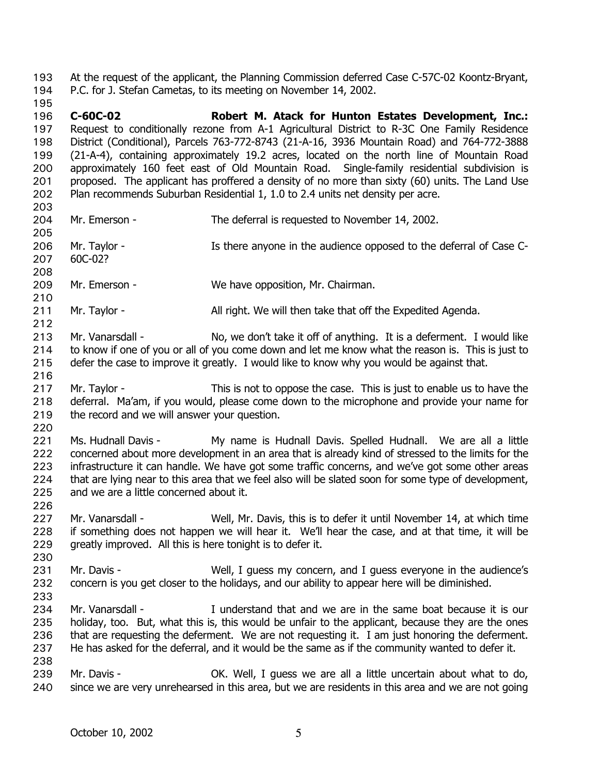- At the request of the applicant, the Planning Commission deferred Case C-57C-02 Koontz-Bryant, P.C. for J. Stefan Cametas, to its meeting on November 14, 2002. 193 194
- 195 196 197 198 199 200 201 202 **C-60C-02 Robert M. Atack for Hunton Estates Development, Inc.:** Request to conditionally rezone from A-1 Agricultural District to R-3C One Family Residence District (Conditional), Parcels 763-772-8743 (21-A-16, 3936 Mountain Road) and 764-772-3888 (21-A-4), containing approximately 19.2 acres, located on the north line of Mountain Road approximately 160 feet east of Old Mountain Road. Single-family residential subdivision is proposed. The applicant has proffered a density of no more than sixty (60) units. The Land Use Plan recommends Suburban Residential 1, 1.0 to 2.4 units net density per acre.
- 203 204 205 206 207 208 209 Mr. Emerson - The deferral is requested to November 14, 2002. Mr. Taylor - Is there anyone in the audience opposed to the deferral of Case C-60C-02? Mr. Emerson - We have opposition, Mr. Chairman.
- 210
- 211 212 Mr. Taylor - All right. We will then take that off the Expedited Agenda.
- 213 214 215 Mr. Vanarsdall - No, we don't take it off of anything. It is a deferment. I would like to know if one of you or all of you come down and let me know what the reason is. This is just to defer the case to improve it greatly. I would like to know why you would be against that.
- 216 217 218 219 Mr. Taylor - This is not to oppose the case. This is just to enable us to have the deferral. Ma'am, if you would, please come down to the microphone and provide your name for the record and we will answer your question.
- 220

221 222 223 224 225 Ms. Hudnall Davis - My name is Hudnall Davis. Spelled Hudnall. We are all a little concerned about more development in an area that is already kind of stressed to the limits for the infrastructure it can handle. We have got some traffic concerns, and we've got some other areas that are lying near to this area that we feel also will be slated soon for some type of development, and we are a little concerned about it.

- 227 228 229 Mr. Vanarsdall - Well, Mr. Davis, this is to defer it until November 14, at which time if something does not happen we will hear it. We'll hear the case, and at that time, it will be greatly improved. All this is here tonight is to defer it.
- 230

- 231 232 233 Mr. Davis - Well, I guess my concern, and I guess everyone in the audience's concern is you get closer to the holidays, and our ability to appear here will be diminished.
- 234 235 236 237 238 Mr. Vanarsdall - The Inderstand that and we are in the same boat because it is our holiday, too. But, what this is, this would be unfair to the applicant, because they are the ones that are requesting the deferment. We are not requesting it. I am just honoring the deferment. He has asked for the deferral, and it would be the same as if the community wanted to defer it.
- 239 240 Mr. Davis - OK. Well, I guess we are all a little uncertain about what to do, since we are very unrehearsed in this area, but we are residents in this area and we are not going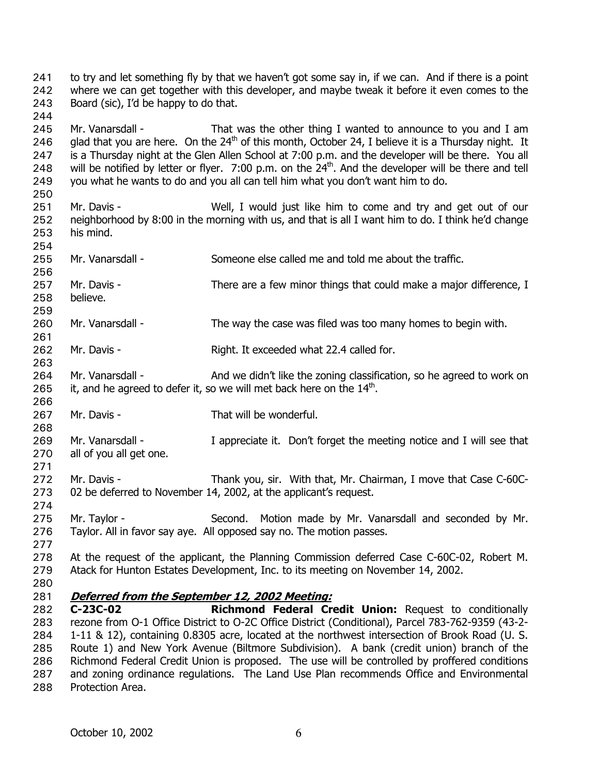to try and let something fly by that we haven't got some say in, if we can. And if there is a point where we can get together with this developer, and maybe tweak it before it even comes to the Board (sic), I'd be happy to do that. 241 242 243

245 246 247 248 249 Mr. Vanarsdall - That was the other thing I wanted to announce to you and I am glad that you are here. On the  $24<sup>th</sup>$  of this month, October 24, I believe it is a Thursday night. It is a Thursday night at the Glen Allen School at 7:00 p.m. and the developer will be there. You all will be notified by letter or flyer. 7:00 p.m. on the 24<sup>th</sup>. And the developer will be there and tell you what he wants to do and you all can tell him what you don't want him to do.

- 251 252 253 Mr. Davis - Well, I would just like him to come and try and get out of our neighborhood by 8:00 in the morning with us, and that is all I want him to do. I think he'd change his mind.
- 254 255 Mr. Vanarsdall - Someone else called me and told me about the traffic.
- 257 258 Mr. Davis - There are a few minor things that could make a major difference, I believe.
- 260 Mr. Vanarsdall - The way the case was filed was too many homes to begin with.
- 261 262 Mr. Davis - Right. It exceeded what 22.4 called for.
- 264 265 Mr. Vanarsdall - And we didn't like the zoning classification, so he agreed to work on it, and he agreed to defer it, so we will met back here on the  $14<sup>th</sup>$ .
- 267 Mr. Davis - That will be wonderful.
- 269 270 271 Mr. Vanarsdall - I appreciate it. Don't forget the meeting notice and I will see that all of you all get one.
- 272 273 Mr. Davis - Thank you, sir. With that, Mr. Chairman, I move that Case C-60C-02 be deferred to November 14, 2002, at the applicant's request.
- 274 275 276 Mr. Taylor - Second. Motion made by Mr. Vanarsdall and seconded by Mr. Taylor. All in favor say aye. All opposed say no. The motion passes.
- 278 279 At the request of the applicant, the Planning Commission deferred Case C-60C-02, Robert M. Atack for Hunton Estates Development, Inc. to its meeting on November 14, 2002.
- 280

277

244

250

256

259

263

266

268

281 **Deferred from the September 12, 2002 Meeting:**

282 283 284 285 286 287 288 **C-23C-02 Richmond Federal Credit Union:** Request to conditionally rezone from O-1 Office District to O-2C Office District (Conditional), Parcel 783-762-9359 (43-2- 1-11 & 12), containing 0.8305 acre, located at the northwest intersection of Brook Road (U. S. Route 1) and New York Avenue (Biltmore Subdivision). A bank (credit union) branch of the Richmond Federal Credit Union is proposed. The use will be controlled by proffered conditions and zoning ordinance regulations. The Land Use Plan recommends Office and Environmental Protection Area.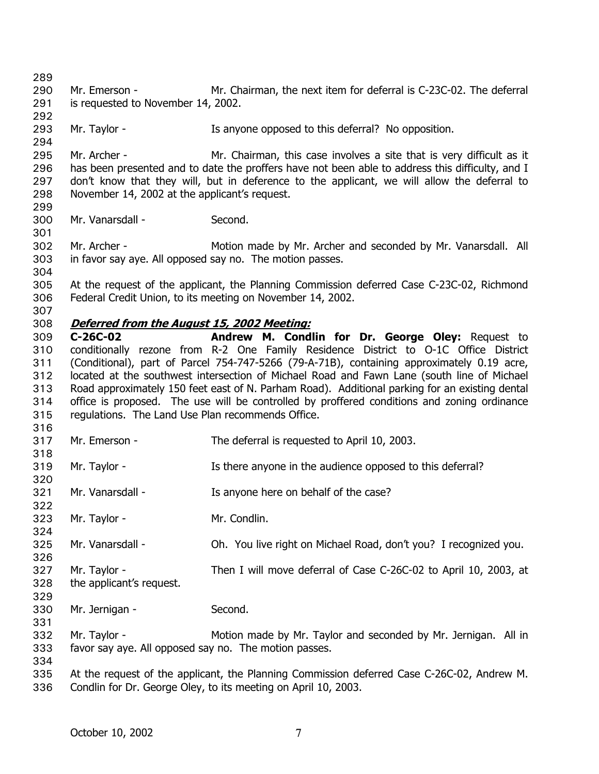289 290 291 292 293 294 295 296 297 298 299 300 301 302 303 304 305 306 307 Mr. Emerson - Mr. Chairman, the next item for deferral is C-23C-02. The deferral is requested to November 14, 2002. Mr. Taylor - The Is anyone opposed to this deferral? No opposition. Mr. Archer - The Mr. Chairman, this case involves a site that is very difficult as it has been presented and to date the proffers have not been able to address this difficulty, and I don't know that they will, but in deference to the applicant, we will allow the deferral to November 14, 2002 at the applicant's request. Mr. Vanarsdall - Second. Mr. Archer - Motion made by Mr. Archer and seconded by Mr. Vanarsdall. All in favor say aye. All opposed say no. The motion passes. At the request of the applicant, the Planning Commission deferred Case C-23C-02, Richmond Federal Credit Union, to its meeting on November 14, 2002. 308 **Deferred from the August 15, 2002 Meeting:** 309 310 311 312 313 314 315 316 317 318 319 320 321 322 323 324 325 326 327 328 329 330 331 332 333 334 335 336 **C-26C-02 Andrew M. Condlin for Dr. George Oley:** Request to conditionally rezone from R-2 One Family Residence District to O-1C Office District (Conditional), part of Parcel 754-747-5266 (79-A-71B), containing approximately 0.19 acre, located at the southwest intersection of Michael Road and Fawn Lane (south line of Michael Road approximately 150 feet east of N. Parham Road). Additional parking for an existing dental office is proposed. The use will be controlled by proffered conditions and zoning ordinance regulations. The Land Use Plan recommends Office. Mr. Emerson - The deferral is requested to April 10, 2003. Mr. Taylor - The Is there anyone in the audience opposed to this deferral? Mr. Vanarsdall - The Is anyone here on behalf of the case? Mr. Taylor - Mr. Condlin. Mr. Vanarsdall - Oh. You live right on Michael Road, don't you? I recognized you. Mr. Taylor - Then I will move deferral of Case C-26C-02 to April 10, 2003, at the applicant's request. Mr. Jernigan - Second. Mr. Taylor - Motion made by Mr. Taylor and seconded by Mr. Jernigan. All in favor say aye. All opposed say no. The motion passes. At the request of the applicant, the Planning Commission deferred Case C-26C-02, Andrew M. Condlin for Dr. George Oley, to its meeting on April 10, 2003.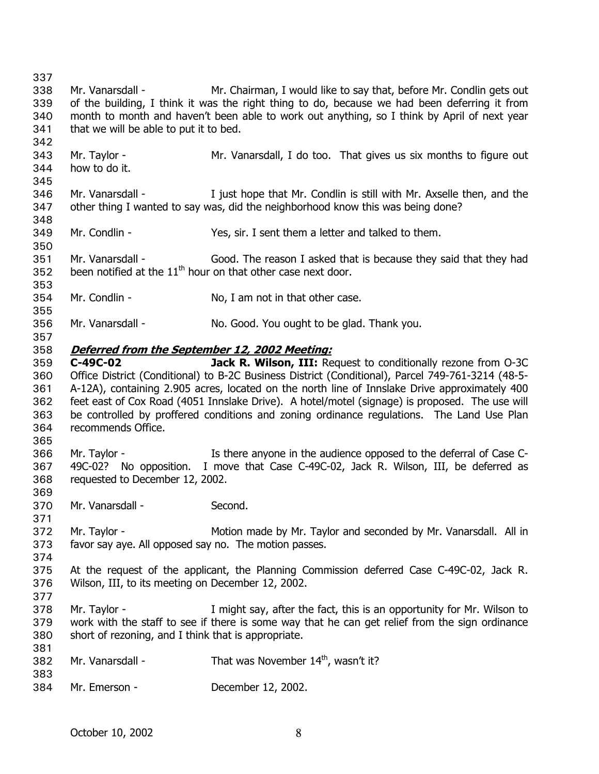337 338 339 340 341 342 343 344 345 346 347 348 349 350 351 352 353 354 355 356 357 Mr. Vanarsdall - Mr. Chairman, I would like to say that, before Mr. Condlin gets out of the building, I think it was the right thing to do, because we had been deferring it from month to month and haven't been able to work out anything, so I think by April of next year that we will be able to put it to bed. Mr. Taylor - Mr. Vanarsdall, I do too. That gives us six months to figure out how to do it. Mr. Vanarsdall - Tiust hope that Mr. Condlin is still with Mr. Axselle then, and the other thing I wanted to say was, did the neighborhood know this was being done? Mr. Condlin - Yes, sir. I sent them a letter and talked to them. Mr. Vanarsdall - Good. The reason I asked that is because they said that they had been notified at the  $11<sup>th</sup>$  hour on that other case next door. Mr. Condlin - No, I am not in that other case. Mr. Vanarsdall - No. Good. You ought to be glad. Thank you. 358 **Deferred from the September 12, 2002 Meeting:** 359 360 361 362 363 364 365 366 367 368 369 370 371 372 373 374 375 376 377 378 379 380 381 382 383 384 **C-49C-02 Jack R. Wilson, III:** Request to conditionally rezone from O-3C Office District (Conditional) to B-2C Business District (Conditional), Parcel 749-761-3214 (48-5- A-12A), containing 2.905 acres, located on the north line of Innslake Drive approximately 400 feet east of Cox Road (4051 Innslake Drive). A hotel/motel (signage) is proposed. The use will be controlled by proffered conditions and zoning ordinance regulations. The Land Use Plan recommends Office. Mr. Taylor - Is there anyone in the audience opposed to the deferral of Case C-49C-02? No opposition. I move that Case C-49C-02, Jack R. Wilson, III, be deferred as requested to December 12, 2002. Mr. Vanarsdall - Second. Mr. Taylor - **Motion made by Mr. Taylor and seconded by Mr. Vanarsdall.** All in favor say aye. All opposed say no. The motion passes. At the request of the applicant, the Planning Commission deferred Case C-49C-02, Jack R. Wilson, III, to its meeting on December 12, 2002. Mr. Taylor - The I might say, after the fact, this is an opportunity for Mr. Wilson to work with the staff to see if there is some way that he can get relief from the sign ordinance short of rezoning, and I think that is appropriate. Mr. Vanarsdall - That was November  $14<sup>th</sup>$ , wasn't it? Mr. Emerson - December 12, 2002.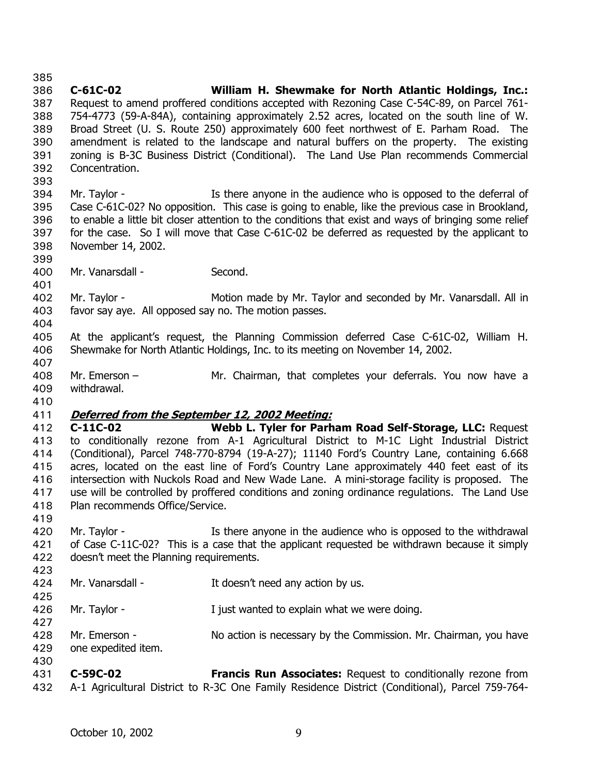386 387 388 389 390 391 392 393 394 395 396 397 398 399 400 401 402 403 404 405 406 407 408 409 410 **C-61C-02 William H. Shewmake for North Atlantic Holdings, Inc.:** Request to amend proffered conditions accepted with Rezoning Case C-54C-89, on Parcel 761- 754-4773 (59-A-84A), containing approximately 2.52 acres, located on the south line of W. Broad Street (U. S. Route 250) approximately 600 feet northwest of E. Parham Road. The amendment is related to the landscape and natural buffers on the property. The existing zoning is B-3C Business District (Conditional). The Land Use Plan recommends Commercial Concentration. Mr. Taylor - Is there anyone in the audience who is opposed to the deferral of Case C-61C-02? No opposition. This case is going to enable, like the previous case in Brookland, to enable a little bit closer attention to the conditions that exist and ways of bringing some relief for the case. So I will move that Case C-61C-02 be deferred as requested by the applicant to November 14, 2002. Mr. Vanarsdall - Second. Mr. Taylor - Motion made by Mr. Taylor and seconded by Mr. Vanarsdall. All in favor say aye. All opposed say no. The motion passes. At the applicant's request, the Planning Commission deferred Case C-61C-02, William H. Shewmake for North Atlantic Holdings, Inc. to its meeting on November 14, 2002. Mr. Emerson – Mr. Chairman, that completes your deferrals. You now have a withdrawal. 411 **Deferred from the September 12, 2002 Meeting:** 412 413 414 415 416 417 418 419 420 421 422 423 424 425 426 427 428 429 430 431 **C-11C-02 Webb L. Tyler for Parham Road Self-Storage, LLC:** Request to conditionally rezone from A-1 Agricultural District to M-1C Light Industrial District (Conditional), Parcel 748-770-8794 (19-A-27); 11140 Ford's Country Lane, containing 6.668 acres, located on the east line of Ford's Country Lane approximately 440 feet east of its intersection with Nuckols Road and New Wade Lane. A mini-storage facility is proposed. The use will be controlled by proffered conditions and zoning ordinance regulations. The Land Use Plan recommends Office/Service. Mr. Taylor - The Is there anyone in the audience who is opposed to the withdrawal of Case C-11C-02? This is a case that the applicant requested be withdrawn because it simply doesn't meet the Planning requirements. Mr. Vanarsdall - The Music of the Music Mr. Vanarsdall - The Music It doesn't need any action by us. Mr. Taylor - The Must wanted to explain what we were doing. Mr. Emerson - No action is necessary by the Commission. Mr. Chairman, you have one expedited item. **C-59C-02 Francis Run Associates:** Request to conditionally rezone from

432 A-1 Agricultural District to R-3C One Family Residence District (Conditional), Parcel 759-764-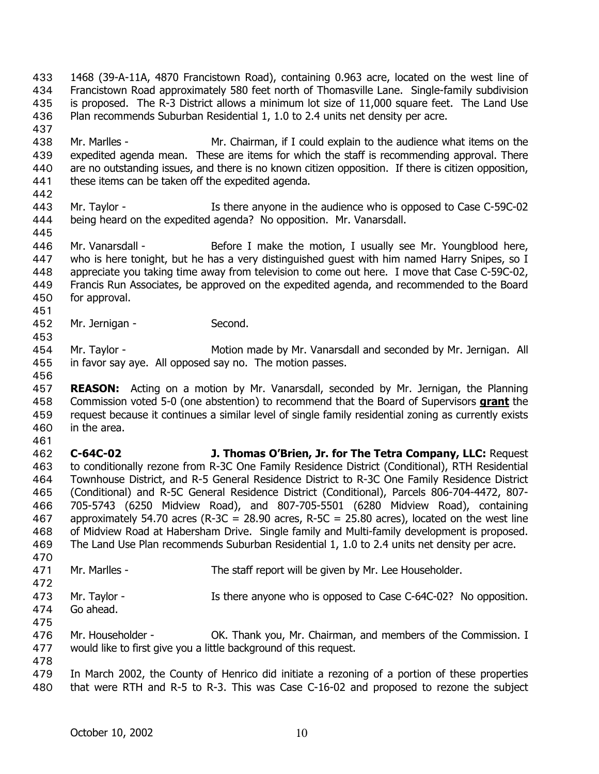1468 (39-A-11A, 4870 Francistown Road), containing 0.963 acre, located on the west line of Francistown Road approximately 580 feet north of Thomasville Lane. Single-family subdivision is proposed. The R-3 District allows a minimum lot size of 11,000 square feet. The Land Use Plan recommends Suburban Residential 1, 1.0 to 2.4 units net density per acre. 433 434 435 436

438 439 440 441 Mr. Marlles - Mr. Chairman, if I could explain to the audience what items on the expedited agenda mean. These are items for which the staff is recommending approval. There are no outstanding issues, and there is no known citizen opposition. If there is citizen opposition, these items can be taken off the expedited agenda.

- 443 444 Mr. Taylor - The Is there anyone in the audience who is opposed to Case C-59C-02 being heard on the expedited agenda? No opposition. Mr. Vanarsdall.
- 445

451

453

442

437

446 447 448 449 450 Mr. Vanarsdall - Before I make the motion, I usually see Mr. Youngblood here, who is here tonight, but he has a very distinguished quest with him named Harry Snipes, so I appreciate you taking time away from television to come out here. I move that Case C-59C-02, Francis Run Associates, be approved on the expedited agenda, and recommended to the Board for approval.

452 Mr. Jernigan - Second.

454 455 Mr. Taylor - **Motion made by Mr. Vanarsdall and seconded by Mr. Jernigan.** All in favor say aye. All opposed say no. The motion passes.

456

457 **REASON:** Acting on a motion by Mr. Vanarsdall, seconded by Mr. Jernigan, the Planning Commission voted 5-0 (one abstention) to recommend that the Board of Supervisors **grant** the request because it continues a similar level of single family residential zoning as currently exists in the area. 458 459 460

461

462 463 464 465 466 467 468 469 **C-64C-02 J. Thomas O'Brien, Jr. for The Tetra Company, LLC:** Request to conditionally rezone from R-3C One Family Residence District (Conditional), RTH Residential Townhouse District, and R-5 General Residence District to R-3C One Family Residence District (Conditional) and R-5C General Residence District (Conditional), Parcels 806-704-4472, 807- 705-5743 (6250 Midview Road), and 807-705-5501 (6280 Midview Road), containing approximately 54.70 acres (R-3C = 28.90 acres, R-5C = 25.80 acres), located on the west line of Midview Road at Habersham Drive. Single family and Multi-family development is proposed. The Land Use Plan recommends Suburban Residential 1, 1.0 to 2.4 units net density per acre.

470 471

Mr. Marlles - The staff report will be given by Mr. Lee Householder.

- 472 473 474 Mr. Taylor - The Is there anyone who is opposed to Case C-64C-02? No opposition. Go ahead.
- 475

476 477 Mr. Householder - OK. Thank you, Mr. Chairman, and members of the Commission. I would like to first give you a little background of this request.

478

479 480 In March 2002, the County of Henrico did initiate a rezoning of a portion of these properties that were RTH and R-5 to R-3. This was Case C-16-02 and proposed to rezone the subject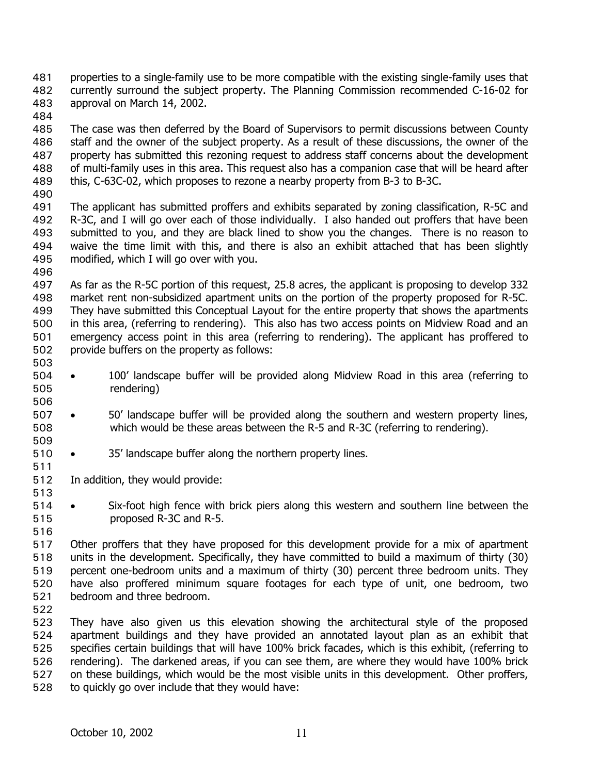properties to a single-family use to be more compatible with the existing single-family uses that currently surround the subject property. The Planning Commission recommended C-16-02 for approval on March 14, 2002. 481 482 483

484

485 486 487 488 489 The case was then deferred by the Board of Supervisors to permit discussions between County staff and the owner of the subject property. As a result of these discussions, the owner of the property has submitted this rezoning request to address staff concerns about the development of multi-family uses in this area. This request also has a companion case that will be heard after this, C-63C-02, which proposes to rezone a nearby property from B-3 to B-3C.

490

496

506

509

511

513

516

491 492 493 494 495 The applicant has submitted proffers and exhibits separated by zoning classification, R-5C and R-3C, and I will go over each of those individually. I also handed out proffers that have been submitted to you, and they are black lined to show you the changes. There is no reason to waive the time limit with this, and there is also an exhibit attached that has been slightly modified, which I will go over with you.

497 498 499 500 501 502 503 As far as the R-5C portion of this request, 25.8 acres, the applicant is proposing to develop 332 market rent non-subsidized apartment units on the portion of the property proposed for R-5C. They have submitted this Conceptual Layout for the entire property that shows the apartments in this area, (referring to rendering). This also has two access points on Midview Road and an emergency access point in this area (referring to rendering). The applicant has proffered to provide buffers on the property as follows:

- 504 505 • 100' landscape buffer will be provided along Midview Road in this area (referring to rendering)
- 507 508 • 50' landscape buffer will be provided along the southern and western property lines, which would be these areas between the R-5 and R-3C (referring to rendering).
- 510 • 35' landscape buffer along the northern property lines.

512 In addition, they would provide:

- 514 515 • Six-foot high fence with brick piers along this western and southern line between the proposed R-3C and R-5.
- 517 518 519 520 521 Other proffers that they have proposed for this development provide for a mix of apartment units in the development. Specifically, they have committed to build a maximum of thirty (30) percent one-bedroom units and a maximum of thirty (30) percent three bedroom units. They have also proffered minimum square footages for each type of unit, one bedroom, two bedroom and three bedroom.
- 522

523 524 525 526 527 528 They have also given us this elevation showing the architectural style of the proposed apartment buildings and they have provided an annotated layout plan as an exhibit that specifies certain buildings that will have 100% brick facades, which is this exhibit, (referring to rendering). The darkened areas, if you can see them, are where they would have 100% brick on these buildings, which would be the most visible units in this development. Other proffers, to quickly go over include that they would have: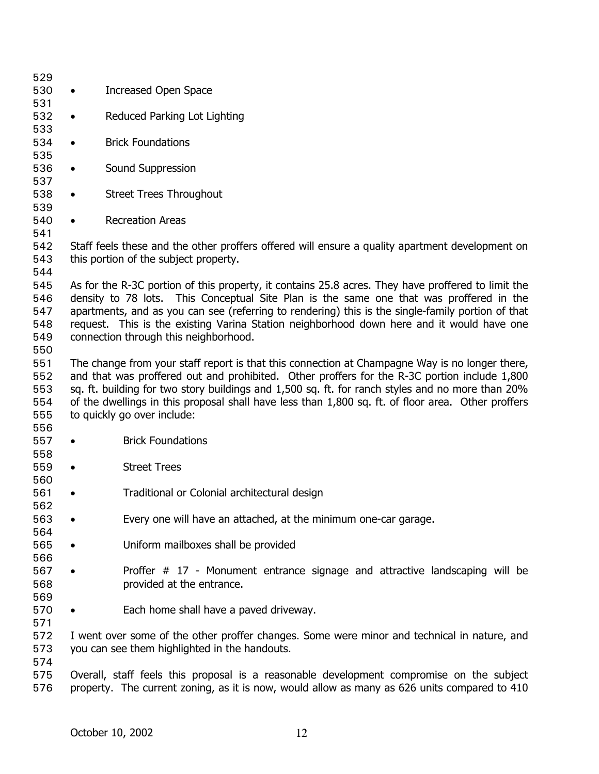| 529        |                                                                                             |                                                                                                    |  |  |
|------------|---------------------------------------------------------------------------------------------|----------------------------------------------------------------------------------------------------|--|--|
| 530        | $\bullet$                                                                                   | <b>Increased Open Space</b>                                                                        |  |  |
| 531        |                                                                                             |                                                                                                    |  |  |
| 532        | $\bullet$                                                                                   | Reduced Parking Lot Lighting                                                                       |  |  |
| 533        |                                                                                             |                                                                                                    |  |  |
| 534        | $\bullet$                                                                                   | <b>Brick Foundations</b>                                                                           |  |  |
| 535        |                                                                                             |                                                                                                    |  |  |
| 536        | $\bullet$                                                                                   | Sound Suppression                                                                                  |  |  |
| 537        |                                                                                             |                                                                                                    |  |  |
| 538        | $\bullet$                                                                                   | <b>Street Trees Throughout</b>                                                                     |  |  |
| 539        |                                                                                             |                                                                                                    |  |  |
| 540        | $\bullet$                                                                                   | <b>Recreation Areas</b>                                                                            |  |  |
| 541        |                                                                                             |                                                                                                    |  |  |
| 542        |                                                                                             | Staff feels these and the other proffers offered will ensure a quality apartment development on    |  |  |
| 543        |                                                                                             | this portion of the subject property.                                                              |  |  |
| 544        |                                                                                             |                                                                                                    |  |  |
| 545        |                                                                                             | As for the R-3C portion of this property, it contains 25.8 acres. They have proffered to limit the |  |  |
| 546        |                                                                                             | density to 78 lots. This Conceptual Site Plan is the same one that was proffered in the            |  |  |
| 547        |                                                                                             | apartments, and as you can see (referring to rendering) this is the single-family portion of that  |  |  |
| 548        |                                                                                             | request. This is the existing Varina Station neighborhood down here and it would have one          |  |  |
| 549        |                                                                                             | connection through this neighborhood.                                                              |  |  |
| 550        |                                                                                             |                                                                                                    |  |  |
| 551        |                                                                                             | The change from your staff report is that this connection at Champagne Way is no longer there,     |  |  |
| 552        |                                                                                             | and that was proffered out and prohibited. Other proffers for the R-3C portion include 1,800       |  |  |
| 553        |                                                                                             | sq. ft. building for two story buildings and 1,500 sq. ft. for ranch styles and no more than 20%   |  |  |
| 554        |                                                                                             | of the dwellings in this proposal shall have less than 1,800 sq. ft. of floor area. Other proffers |  |  |
| 555        |                                                                                             | to quickly go over include:                                                                        |  |  |
| 556        |                                                                                             |                                                                                                    |  |  |
| 557        | $\bullet$                                                                                   | <b>Brick Foundations</b>                                                                           |  |  |
| 558        |                                                                                             |                                                                                                    |  |  |
| 559        | $\bullet$                                                                                   | <b>Street Trees</b>                                                                                |  |  |
| 560        |                                                                                             |                                                                                                    |  |  |
| 561        |                                                                                             | Traditional or Colonial architectural design                                                       |  |  |
| 562        |                                                                                             |                                                                                                    |  |  |
|            |                                                                                             |                                                                                                    |  |  |
| 563<br>564 | $\bullet$                                                                                   | Every one will have an attached, at the minimum one-car garage.                                    |  |  |
| 565        |                                                                                             | Uniform mailboxes shall be provided                                                                |  |  |
|            |                                                                                             |                                                                                                    |  |  |
| 566        |                                                                                             |                                                                                                    |  |  |
| 567        |                                                                                             | Proffer $# 17$ - Monument entrance signage and attractive landscaping will be                      |  |  |
| 568        |                                                                                             | provided at the entrance.                                                                          |  |  |
| 569        |                                                                                             |                                                                                                    |  |  |
| 570        |                                                                                             | Each home shall have a paved driveway.                                                             |  |  |
| 571        |                                                                                             |                                                                                                    |  |  |
| 572        | I went over some of the other proffer changes. Some were minor and technical in nature, and |                                                                                                    |  |  |
| 573        | you can see them highlighted in the handouts.                                               |                                                                                                    |  |  |
| 574        |                                                                                             |                                                                                                    |  |  |
| 575        |                                                                                             | Overall, staff feels this proposal is a reasonable development compromise on the subject           |  |  |
| 576        |                                                                                             | property. The current zoning, as it is now, would allow as many as 626 units compared to 410       |  |  |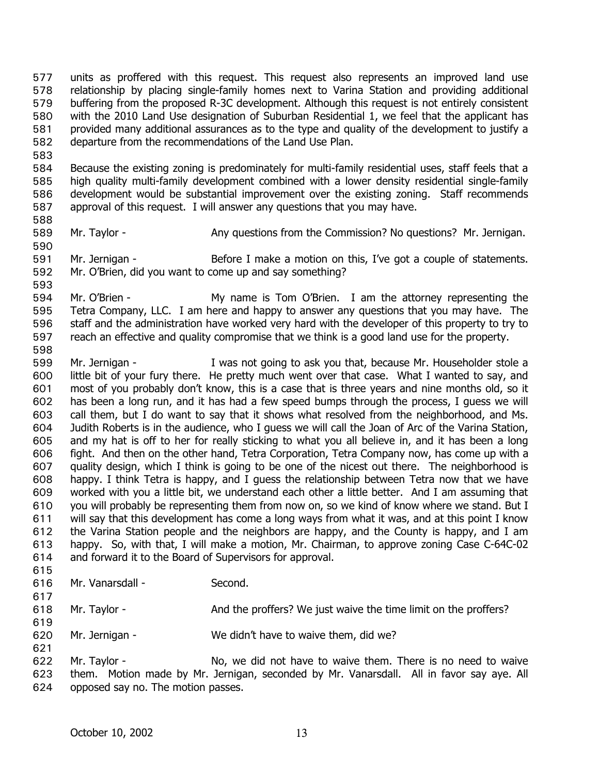units as proffered with this request. This request also represents an improved land use relationship by placing single-family homes next to Varina Station and providing additional buffering from the proposed R-3C development. Although this request is not entirely consistent with the 2010 Land Use designation of Suburban Residential 1, we feel that the applicant has provided many additional assurances as to the type and quality of the development to justify a departure from the recommendations of the Land Use Plan. 577 578 579 580 581 582

583

584 585 586 587 Because the existing zoning is predominately for multi-family residential uses, staff feels that a high quality multi-family development combined with a lower density residential single-family development would be substantial improvement over the existing zoning. Staff recommends approval of this request. I will answer any questions that you may have.

588

- 589
- Mr. Taylor Any questions from the Commission? No questions? Mr. Jernigan.
- 590 591 592 Mr. Jernigan - Before I make a motion on this, I've got a couple of statements. Mr. O'Brien, did you want to come up and say something?
- 594 595 596 597 Mr. O'Brien - My name is Tom O'Brien. I am the attorney representing the Tetra Company, LLC. I am here and happy to answer any questions that you may have. The staff and the administration have worked very hard with the developer of this property to try to reach an effective and quality compromise that we think is a good land use for the property.
- 598 599 600 601 602 603 604 605 606 607 608 609 610 611 612 613 614 615 Mr. Jernigan - I was not going to ask you that, because Mr. Householder stole a little bit of your fury there. He pretty much went over that case. What I wanted to say, and most of you probably don't know, this is a case that is three years and nine months old, so it has been a long run, and it has had a few speed bumps through the process, I guess we will call them, but I do want to say that it shows what resolved from the neighborhood, and Ms. Judith Roberts is in the audience, who I guess we will call the Joan of Arc of the Varina Station, and my hat is off to her for really sticking to what you all believe in, and it has been a long fight. And then on the other hand, Tetra Corporation, Tetra Company now, has come up with a quality design, which I think is going to be one of the nicest out there. The neighborhood is happy. I think Tetra is happy, and I quess the relationship between Tetra now that we have worked with you a little bit, we understand each other a little better. And I am assuming that you will probably be representing them from now on, so we kind of know where we stand. But I will say that this development has come a long ways from what it was, and at this point I know the Varina Station people and the neighbors are happy, and the County is happy, and I am happy. So, with that, I will make a motion, Mr. Chairman, to approve zoning Case C-64C-02 and forward it to the Board of Supervisors for approval.
- 616 Mr. Vanarsdall - Second.
- 617 618 Mr. Taylor - And the proffers? We just waive the time limit on the proffers?
- 619
- 620 621 Mr. Jernigan - We didn't have to waive them, did we?
- 622 623 624 Mr. Taylor - No, we did not have to waive them. There is no need to waive them. Motion made by Mr. Jernigan, seconded by Mr. Vanarsdall. All in favor say aye. All opposed say no. The motion passes.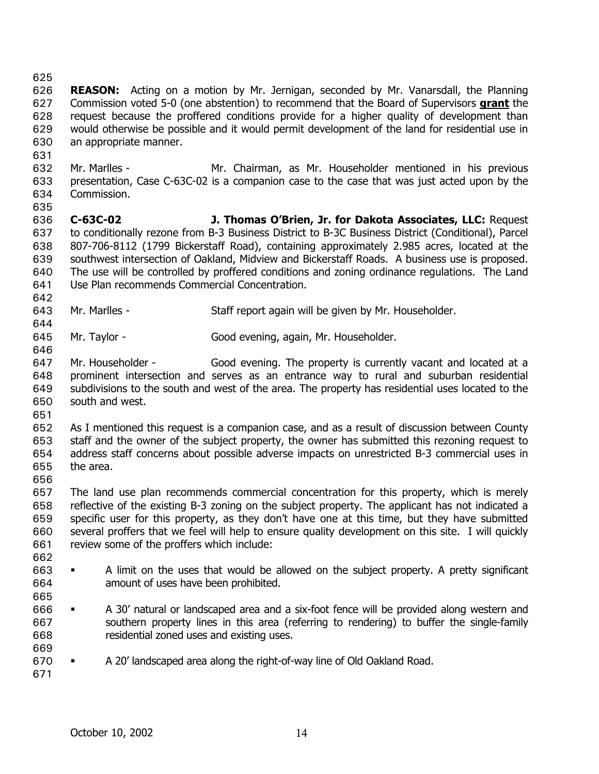625

631

- 626 **REASON:** Acting on a motion by Mr. Jernigan, seconded by Mr. Vanarsdall, the Planning Commission voted 5-0 (one abstention) to recommend that the Board of Supervisors **grant** the request because the proffered conditions provide for a higher quality of development than would otherwise be possible and it would permit development of the land for residential use in an appropriate manner. 627 628 629 630
- 632 633 634 635 Mr. Marlles - Mr. Chairman, as Mr. Householder mentioned in his previous presentation, Case C-63C-02 is a companion case to the case that was just acted upon by the Commission.
- 636 637 638 639 640 641 **C-63C-02 J. Thomas O'Brien, Jr. for Dakota Associates, LLC:** Request to conditionally rezone from B-3 Business District to B-3C Business District (Conditional), Parcel 807-706-8112 (1799 Bickerstaff Road), containing approximately 2.985 acres, located at the southwest intersection of Oakland, Midview and Bickerstaff Roads. A business use is proposed. The use will be controlled by proffered conditions and zoning ordinance regulations. The Land Use Plan recommends Commercial Concentration.
- 643 Mr. Marlles - Staff report again will be given by Mr. Householder.
- 645 Mr. Taylor - Good evening, again, Mr. Householder.
- 647 648 649 650 Mr. Householder - Good evening. The property is currently vacant and located at a prominent intersection and serves as an entrance way to rural and suburban residential subdivisions to the south and west of the area. The property has residential uses located to the south and west.
- 651

642

644

646

652 653 654 655 As I mentioned this request is a companion case, and as a result of discussion between County staff and the owner of the subject property, the owner has submitted this rezoning request to address staff concerns about possible adverse impacts on unrestricted B-3 commercial uses in the area.

656

657 658 659 660 661 The land use plan recommends commercial concentration for this property, which is merely reflective of the existing B-3 zoning on the subject property. The applicant has not indicated a specific user for this property, as they don't have one at this time, but they have submitted several proffers that we feel will help to ensure quality development on this site. I will quickly review some of the proffers which include:

- 662
- 663 664 665 A limit on the uses that would be allowed on the subject property. A pretty significant amount of uses have been prohibited.
- 666 667 668 A 30' natural or landscaped area and a six-foot fence will be provided along western and southern property lines in this area (referring to rendering) to buffer the single-family residential zoned uses and existing uses.
- 670 A 20' landscaped area along the right-of-way line of Old Oakland Road.

671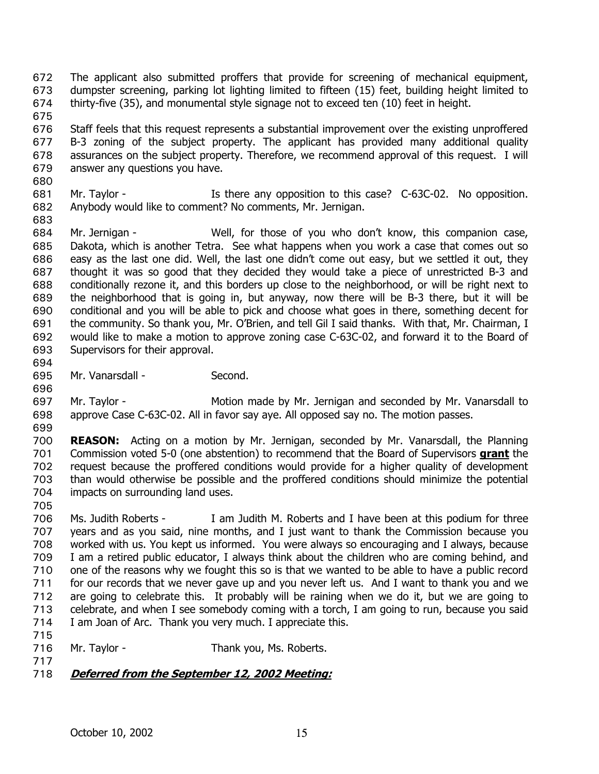- The applicant also submitted proffers that provide for screening of mechanical equipment, dumpster screening, parking lot lighting limited to fifteen (15) feet, building height limited to thirty-five (35), and monumental style signage not to exceed ten (10) feet in height. 672 673 674
- 675 676 677 678 679 Staff feels that this request represents a substantial improvement over the existing unproffered B-3 zoning of the subject property. The applicant has provided many additional quality assurances on the subject property. Therefore, we recommend approval of this request. I will answer any questions you have.
- 681 682 Mr. Taylor - There any opposition to this case? C-63C-02. No opposition. Anybody would like to comment? No comments, Mr. Jernigan.
- 684 685 686 687 688 689 690 691 692 693 Mr. Jernigan - Well, for those of you who don't know, this companion case, Dakota, which is another Tetra. See what happens when you work a case that comes out so easy as the last one did. Well, the last one didn't come out easy, but we settled it out, they thought it was so good that they decided they would take a piece of unrestricted B-3 and conditionally rezone it, and this borders up close to the neighborhood, or will be right next to the neighborhood that is going in, but anyway, now there will be B-3 there, but it will be conditional and you will be able to pick and choose what goes in there, something decent for the community. So thank you, Mr. O'Brien, and tell Gil I said thanks. With that, Mr. Chairman, I would like to make a motion to approve zoning case C-63C-02, and forward it to the Board of Supervisors for their approval.
- 694 695

680

683

- Mr. Vanarsdall Second.
- 696
- 697 698 Mr. Taylor - The Motion made by Mr. Jernigan and seconded by Mr. Vanarsdall to approve Case C-63C-02. All in favor say aye. All opposed say no. The motion passes.
- 699

700 **REASON:** Acting on a motion by Mr. Jernigan, seconded by Mr. Vanarsdall, the Planning Commission voted 5-0 (one abstention) to recommend that the Board of Supervisors **grant** the request because the proffered conditions would provide for a higher quality of development than would otherwise be possible and the proffered conditions should minimize the potential impacts on surrounding land uses. 701 702 703 704

705

706 707 708 709 710 711 712 713 714 715 Ms. Judith Roberts - I am Judith M. Roberts and I have been at this podium for three years and as you said, nine months, and I just want to thank the Commission because you worked with us. You kept us informed. You were always so encouraging and I always, because I am a retired public educator, I always think about the children who are coming behind, and one of the reasons why we fought this so is that we wanted to be able to have a public record for our records that we never gave up and you never left us. And I want to thank you and we are going to celebrate this. It probably will be raining when we do it, but we are going to celebrate, and when I see somebody coming with a torch, I am going to run, because you said I am Joan of Arc. Thank you very much. I appreciate this.

- 716 Mr. Taylor - Thank you, Ms. Roberts.
- 717
- 718 **Deferred from the September 12, 2002 Meeting:**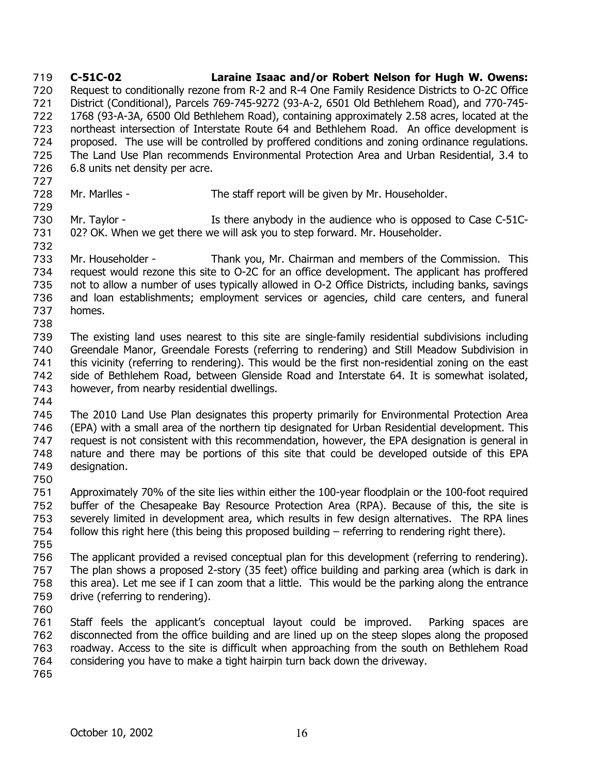**C-51C-02 Laraine Isaac and/or Robert Nelson for Hugh W. Owens:** Request to conditionally rezone from R-2 and R-4 One Family Residence Districts to O-2C Office District (Conditional), Parcels 769-745-9272 (93-A-2, 6501 Old Bethlehem Road), and 770-745- 1768 (93-A-3A, 6500 Old Bethlehem Road), containing approximately 2.58 acres, located at the northeast intersection of Interstate Route 64 and Bethlehem Road. An office development is proposed. The use will be controlled by proffered conditions and zoning ordinance regulations. The Land Use Plan recommends Environmental Protection Area and Urban Residential, 3.4 to 6.8 units net density per acre. 719 720 721 722 723 724 725 726 727 728 729 730 731 732 733 734 735 736 737 738 739 740 741 742 743 744 745 746 747 748 749 750 751 752 753 754 755 756 757 758 759 760 761 762 763 764 765 Mr. Marlles - The staff report will be given by Mr. Householder. Mr. Taylor - The Is there anybody in the audience who is opposed to Case C-51C-02? OK. When we get there we will ask you to step forward. Mr. Householder. Mr. Householder - Thank you, Mr. Chairman and members of the Commission. This request would rezone this site to O-2C for an office development. The applicant has proffered not to allow a number of uses typically allowed in O-2 Office Districts, including banks, savings and loan establishments; employment services or agencies, child care centers, and funeral homes. The existing land uses nearest to this site are single-family residential subdivisions including Greendale Manor, Greendale Forests (referring to rendering) and Still Meadow Subdivision in this vicinity (referring to rendering). This would be the first non-residential zoning on the east side of Bethlehem Road, between Glenside Road and Interstate 64. It is somewhat isolated, however, from nearby residential dwellings. The 2010 Land Use Plan designates this property primarily for Environmental Protection Area (EPA) with a small area of the northern tip designated for Urban Residential development. This request is not consistent with this recommendation, however, the EPA designation is general in nature and there may be portions of this site that could be developed outside of this EPA designation. Approximately 70% of the site lies within either the 100-year floodplain or the 100-foot required buffer of the Chesapeake Bay Resource Protection Area (RPA). Because of this, the site is severely limited in development area, which results in few design alternatives. The RPA lines follow this right here (this being this proposed building – referring to rendering right there). The applicant provided a revised conceptual plan for this development (referring to rendering). The plan shows a proposed 2-story (35 feet) office building and parking area (which is dark in this area). Let me see if I can zoom that a little. This would be the parking along the entrance drive (referring to rendering). Staff feels the applicant's conceptual layout could be improved. Parking spaces are disconnected from the office building and are lined up on the steep slopes along the proposed roadway. Access to the site is difficult when approaching from the south on Bethlehem Road considering you have to make a tight hairpin turn back down the driveway.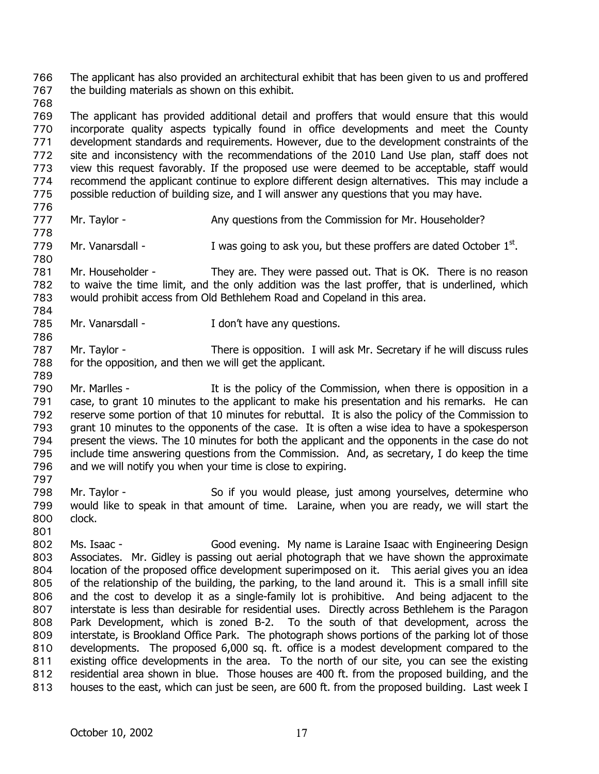The applicant has also provided an architectural exhibit that has been given to us and proffered the building materials as shown on this exhibit. 766 767

768

769 770 771 772 773 774 775 The applicant has provided additional detail and proffers that would ensure that this would incorporate quality aspects typically found in office developments and meet the County development standards and requirements. However, due to the development constraints of the site and inconsistency with the recommendations of the 2010 Land Use plan, staff does not view this request favorably. If the proposed use were deemed to be acceptable, staff would recommend the applicant continue to explore different design alternatives. This may include a possible reduction of building size, and I will answer any questions that you may have.

776

784

786

- 777 778 Mr. Taylor - **Any questions from the Commission for Mr. Householder?**
- 779 780 Mr. Vanarsdall - I was going to ask you, but these proffers are dated October  $1<sup>st</sup>$ .
- 781 782 783 Mr. Householder - They are. They were passed out. That is OK. There is no reason to waive the time limit, and the only addition was the last proffer, that is underlined, which would prohibit access from Old Bethlehem Road and Copeland in this area.
- 785 Mr. Vanarsdall - The Manager of the Vanarsdall - I don't have any questions.
- 787 788 Mr. Taylor - There is opposition. I will ask Mr. Secretary if he will discuss rules for the opposition, and then we will get the applicant.
- 790 791 792 793 794 795 796 Mr. Marlles - The State of the Commission, when there is opposition in a case, to grant 10 minutes to the applicant to make his presentation and his remarks. He can reserve some portion of that 10 minutes for rebuttal. It is also the policy of the Commission to grant 10 minutes to the opponents of the case. It is often a wise idea to have a spokesperson present the views. The 10 minutes for both the applicant and the opponents in the case do not include time answering questions from the Commission. And, as secretary, I do keep the time and we will notify you when your time is close to expiring.
- 797
- 798 799 800 801 Mr. Taylor - So if you would please, just among yourselves, determine who would like to speak in that amount of time. Laraine, when you are ready, we will start the clock.
- 802 803 804 805 806 807 808 809 810 811 812 813 Ms. Isaac - Good evening. My name is Laraine Isaac with Engineering Design Associates. Mr. Gidley is passing out aerial photograph that we have shown the approximate location of the proposed office development superimposed on it. This aerial gives you an idea of the relationship of the building, the parking, to the land around it. This is a small infill site and the cost to develop it as a single-family lot is prohibitive. And being adjacent to the interstate is less than desirable for residential uses. Directly across Bethlehem is the Paragon Park Development, which is zoned B-2. To the south of that development, across the interstate, is Brookland Office Park. The photograph shows portions of the parking lot of those developments. The proposed 6,000 sq. ft. office is a modest development compared to the existing office developments in the area. To the north of our site, you can see the existing residential area shown in blue. Those houses are 400 ft. from the proposed building, and the houses to the east, which can just be seen, are 600 ft. from the proposed building. Last week I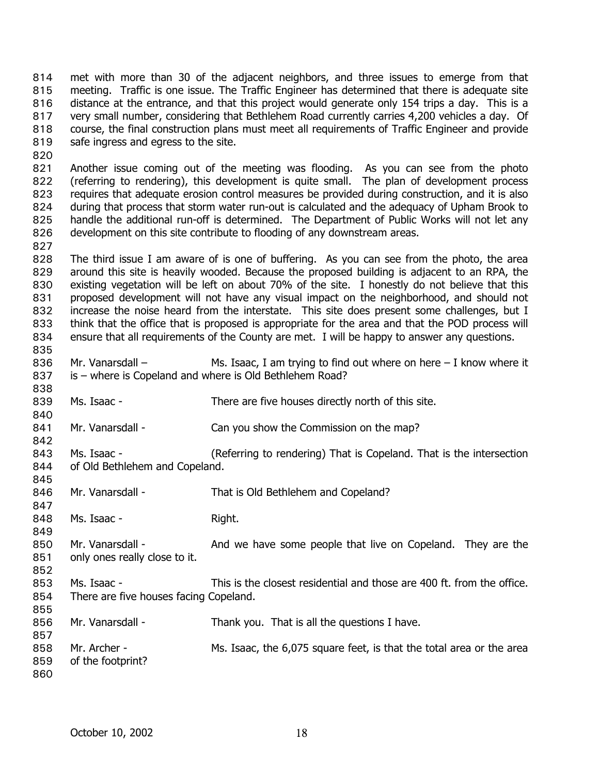met with more than 30 of the adjacent neighbors, and three issues to emerge from that meeting. Traffic is one issue. The Traffic Engineer has determined that there is adequate site distance at the entrance, and that this project would generate only 154 trips a day. This is a very small number, considering that Bethlehem Road currently carries 4,200 vehicles a day. Of course, the final construction plans must meet all requirements of Traffic Engineer and provide safe ingress and egress to the site. 814 815 816 817 818 819

820

827

821 822 823 824 825 826 Another issue coming out of the meeting was flooding. As you can see from the photo (referring to rendering), this development is quite small. The plan of development process requires that adequate erosion control measures be provided during construction, and it is also during that process that storm water run-out is calculated and the adequacy of Upham Brook to handle the additional run-off is determined. The Department of Public Works will not let any development on this site contribute to flooding of any downstream areas.

828 829 830 831 832 833 834 The third issue I am aware of is one of buffering. As you can see from the photo, the area around this site is heavily wooded. Because the proposed building is adjacent to an RPA, the existing vegetation will be left on about 70% of the site. I honestly do not believe that this proposed development will not have any visual impact on the neighborhood, and should not increase the noise heard from the interstate. This site does present some challenges, but I think that the office that is proposed is appropriate for the area and that the POD process will ensure that all requirements of the County are met. I will be happy to answer any questions.

835

838

840

842

847

849

856 857

836 837 Mr. Vanarsdall –  $\blacksquare$  Ms. Isaac, I am trying to find out where on here – I know where it is – where is Copeland and where is Old Bethlehem Road?

839 Ms. Isaac - There are five houses directly north of this site.

841 Mr. Vanarsdall - Can you show the Commission on the map?

843 844 Ms. Isaac - (Referring to rendering) That is Copeland. That is the intersection of Old Bethlehem and Copeland.

845 846 Mr. Vanarsdall - That is Old Bethlehem and Copeland?

848 Ms. Isaac - Right.

850 851 852 Mr. Vanarsdall - And we have some people that live on Copeland. They are the only ones really close to it.

853 854 855 Ms. Isaac - This is the closest residential and those are 400 ft. from the office. There are five houses facing Copeland.

Mr. Vanarsdall - Thank you. That is all the questions I have.

858 859 860 Mr. Archer - Ms. Isaac, the 6,075 square feet, is that the total area or the area of the footprint?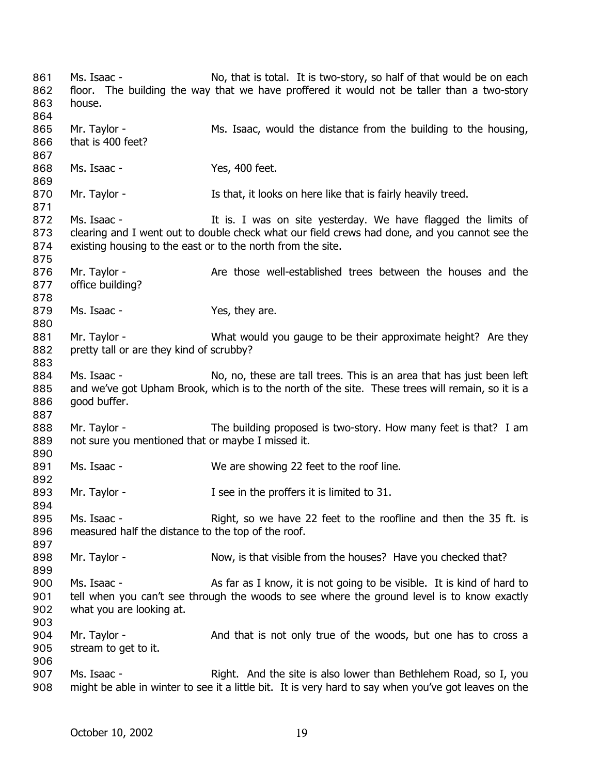Ms. Isaac - No, that is total. It is two-story, so half of that would be on each floor. The building the way that we have proffered it would not be taller than a two-story house. 861 862 863 864 865 866 867 868 869 870 871 872 873 874 875 876 877 878 879 880 881 882 883 884 885 886 887 888 889 890 891 892 893 894 895 896 897 898 899 900 901 902 903 904 905 906 907 908 Mr. Taylor - Ms. Isaac, would the distance from the building to the housing, that is 400 feet? Ms. Isaac - Yes, 400 feet. Mr. Taylor - **Is that, it looks on here like that is fairly heavily treed.** Ms. Isaac - The It is. I was on site yesterday. We have flagged the limits of clearing and I went out to double check what our field crews had done, and you cannot see the existing housing to the east or to the north from the site. Mr. Taylor - The Are those well-established trees between the houses and the office building? Ms. Isaac - Yes, they are. Mr. Taylor - What would you gauge to be their approximate height? Are they pretty tall or are they kind of scrubby? Ms. Isaac - No, no, these are tall trees. This is an area that has just been left and we've got Upham Brook, which is to the north of the site. These trees will remain, so it is a good buffer. Mr. Taylor - The building proposed is two-story. How many feet is that? I am not sure you mentioned that or maybe I missed it. Ms. Isaac - We are showing 22 feet to the roof line. Mr. Taylor - The in the proffers it is limited to 31. Ms. Isaac - Right, so we have 22 feet to the roofline and then the 35 ft. is measured half the distance to the top of the roof. Mr. Taylor - Now, is that visible from the houses? Have you checked that? Ms. Isaac - As far as I know, it is not going to be visible. It is kind of hard to tell when you can't see through the woods to see where the ground level is to know exactly what you are looking at. Mr. Taylor - And that is not only true of the woods, but one has to cross a stream to get to it. Ms. Isaac - Right. And the site is also lower than Bethlehem Road, so I, you might be able in winter to see it a little bit. It is very hard to say when you've got leaves on the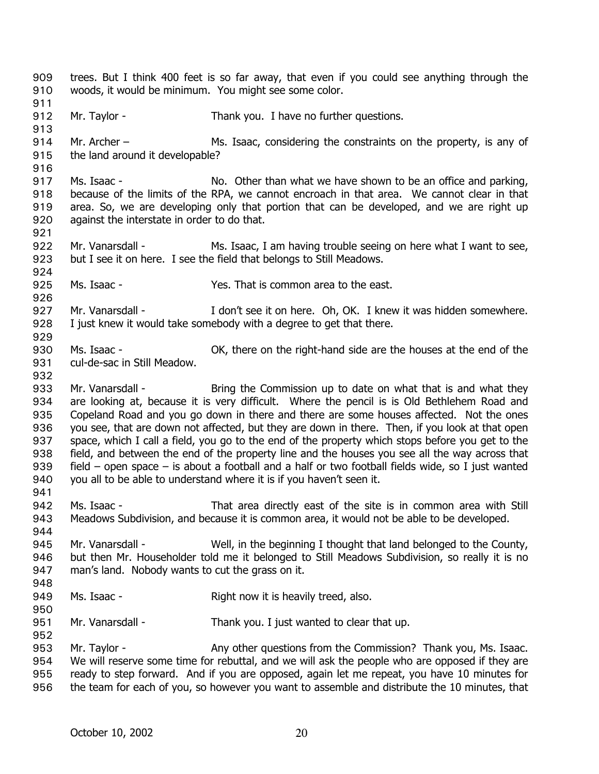trees. But I think 400 feet is so far away, that even if you could see anything through the woods, it would be minimum. You might see some color. 909 910 911 912 913 914 915 916 917 918 919 920 921 922 923 924 925 926 927 928 929 930 931 932 933 934 935 936 937 938 939 940 941 942 943 944 945 946 947 948 949 950 951 952 953 954 955 956 Mr. Taylor - Thank you. I have no further questions. Mr. Archer – Ms. Isaac, considering the constraints on the property, is any of the land around it developable? Ms. Isaac - No. Other than what we have shown to be an office and parking, because of the limits of the RPA, we cannot encroach in that area. We cannot clear in that area. So, we are developing only that portion that can be developed, and we are right up against the interstate in order to do that. Mr. Vanarsdall - Ms. Isaac, I am having trouble seeing on here what I want to see, but I see it on here. I see the field that belongs to Still Meadows. Ms. Isaac - Yes. That is common area to the east. Mr. Vanarsdall - I don't see it on here. Oh, OK. I knew it was hidden somewhere. I just knew it would take somebody with a degree to get that there. Ms. Isaac - OK, there on the right-hand side are the houses at the end of the cul-de-sac in Still Meadow. Mr. Vanarsdall - Bring the Commission up to date on what that is and what they are looking at, because it is very difficult. Where the pencil is is Old Bethlehem Road and Copeland Road and you go down in there and there are some houses affected. Not the ones you see, that are down not affected, but they are down in there. Then, if you look at that open space, which I call a field, you go to the end of the property which stops before you get to the field, and between the end of the property line and the houses you see all the way across that field – open space – is about a football and a half or two football fields wide, so I just wanted you all to be able to understand where it is if you haven't seen it. Ms. Isaac - That area directly east of the site is in common area with Still Meadows Subdivision, and because it is common area, it would not be able to be developed. Mr. Vanarsdall - Well, in the beginning I thought that land belonged to the County, but then Mr. Householder told me it belonged to Still Meadows Subdivision, so really it is no man's land. Nobody wants to cut the grass on it. Ms. Isaac - Right now it is heavily treed, also. Mr. Vanarsdall - Thank you. I just wanted to clear that up. Mr. Taylor - Any other questions from the Commission? Thank you, Ms. Isaac. We will reserve some time for rebuttal, and we will ask the people who are opposed if they are ready to step forward. And if you are opposed, again let me repeat, you have 10 minutes for the team for each of you, so however you want to assemble and distribute the 10 minutes, that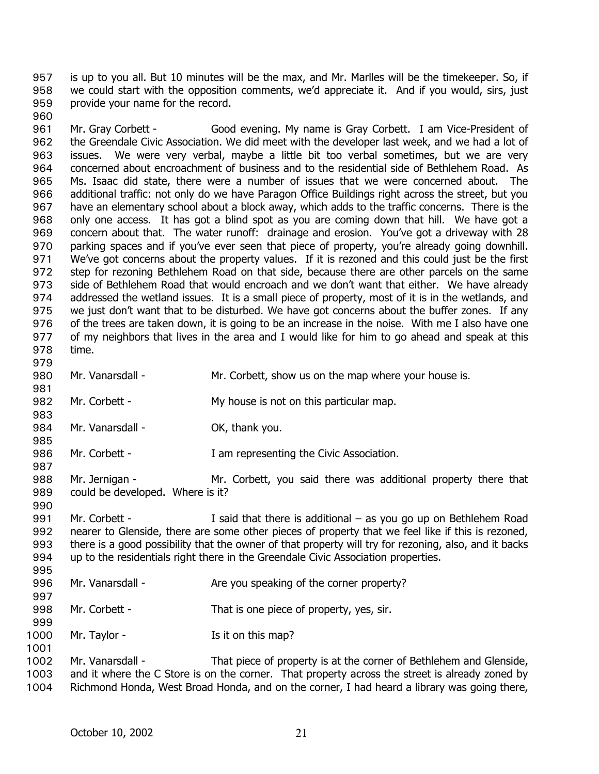is up to you all. But 10 minutes will be the max, and Mr. Marlles will be the timekeeper. So, if we could start with the opposition comments, we'd appreciate it. And if you would, sirs, just provide your name for the record. 957 958 959

961 962 963 964 965 966 967 968 969 970 971 972 973 974 975 976 977 978 979 Mr. Gray Corbett - Good evening. My name is Gray Corbett. I am Vice-President of the Greendale Civic Association. We did meet with the developer last week, and we had a lot of issues. We were very verbal, maybe a little bit too verbal sometimes, but we are very concerned about encroachment of business and to the residential side of Bethlehem Road. As Ms. Isaac did state, there were a number of issues that we were concerned about. The additional traffic: not only do we have Paragon Office Buildings right across the street, but you have an elementary school about a block away, which adds to the traffic concerns. There is the only one access. It has got a blind spot as you are coming down that hill. We have got a concern about that. The water runoff: drainage and erosion. You've got a driveway with 28 parking spaces and if you've ever seen that piece of property, you're already going downhill. We've got concerns about the property values. If it is rezoned and this could just be the first step for rezoning Bethlehem Road on that side, because there are other parcels on the same side of Bethlehem Road that would encroach and we don't want that either. We have already addressed the wetland issues. It is a small piece of property, most of it is in the wetlands, and we just don't want that to be disturbed. We have got concerns about the buffer zones. If any of the trees are taken down, it is going to be an increase in the noise. With me I also have one of my neighbors that lives in the area and I would like for him to go ahead and speak at this time.

980 Mr. Vanarsdall - The Mr. Corbett, show us on the map where your house is.

960

981

983

985

987

997

999

- 982 Mr. Corbett - My house is not on this particular map.
- 984 Mr. Vanarsdall - Cassic Company OK, thank you.
- 986 Mr. Corbett - T am representing the Civic Association.
- 988 989 990 Mr. Jernigan - Mr. Corbett, you said there was additional property there that could be developed. Where is it?
- 991 992 993 994 995 Mr. Corbett - I said that there is additional – as you go up on Bethlehem Road nearer to Glenside, there are some other pieces of property that we feel like if this is rezoned, there is a good possibility that the owner of that property will try for rezoning, also, and it backs up to the residentials right there in the Greendale Civic Association properties.
- 996 Mr. Vanarsdall - Are you speaking of the corner property?
- 998 Mr. Corbett - That is one piece of property, yes, sir.
- 1000 Mr. Taylor - The Is it on this map?
- 1002 1003 1004 Mr. Vanarsdall - That piece of property is at the corner of Bethlehem and Glenside, and it where the C Store is on the corner. That property across the street is already zoned by Richmond Honda, West Broad Honda, and on the corner, I had heard a library was going there,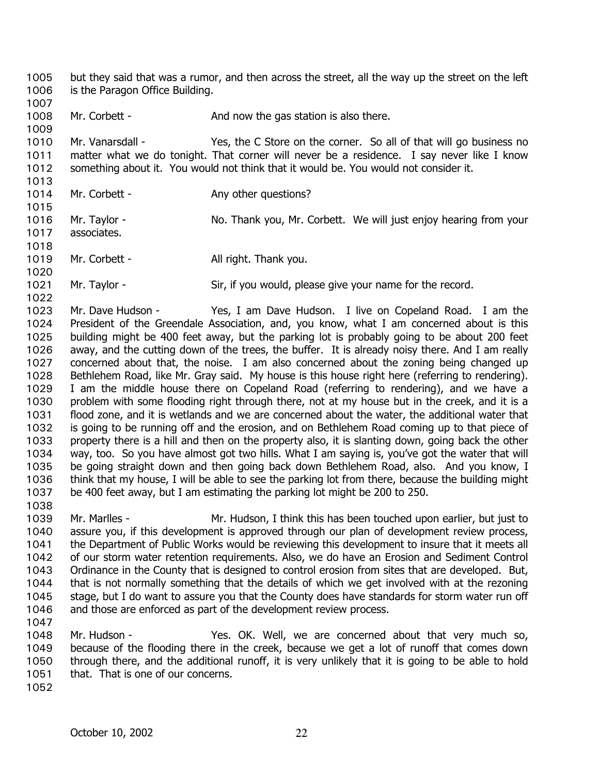but they said that was a rumor, and then across the street, all the way up the street on the left is the Paragon Office Building. 1005 1006

1007 1008 Mr. Corbett - And now the gas station is also there.

1010 1011 1012 Mr. Vanarsdall - Yes, the C Store on the corner. So all of that will go business no matter what we do tonight. That corner will never be a residence. I say never like I know something about it. You would not think that it would be. You would not consider it.

1013 1014

1015

1020

1022

1009

Mr. Corbett - Any other questions?

1016 Mr. Taylor - No. Thank you, Mr. Corbett. We will just enjoy hearing from your associates.

1017 1018

1019 Mr. Corbett - All right. Thank you.

1021 Mr. Taylor - Sir, if you would, please give your name for the record.

1023 1024 1025 1026 1027 1028 1029 1030 1031 1032 1033 1034 1035 1036 1037 Mr. Dave Hudson - Yes, I am Dave Hudson. I live on Copeland Road. I am the President of the Greendale Association, and, you know, what I am concerned about is this building might be 400 feet away, but the parking lot is probably going to be about 200 feet away, and the cutting down of the trees, the buffer. It is already noisy there. And I am really concerned about that, the noise. I am also concerned about the zoning being changed up Bethlehem Road, like Mr. Gray said. My house is this house right here (referring to rendering). I am the middle house there on Copeland Road (referring to rendering), and we have a problem with some flooding right through there, not at my house but in the creek, and it is a flood zone, and it is wetlands and we are concerned about the water, the additional water that is going to be running off and the erosion, and on Bethlehem Road coming up to that piece of property there is a hill and then on the property also, it is slanting down, going back the other way, too. So you have almost got two hills. What I am saying is, you've got the water that will be going straight down and then going back down Bethlehem Road, also. And you know, I think that my house, I will be able to see the parking lot from there, because the building might be 400 feet away, but I am estimating the parking lot might be 200 to 250.

1038 1039 1040 1041 1042 1043 1044 1045 1046 Mr. Marlles - Mr. Hudson, I think this has been touched upon earlier, but just to assure you, if this development is approved through our plan of development review process, the Department of Public Works would be reviewing this development to insure that it meets all of our storm water retention requirements. Also, we do have an Erosion and Sediment Control Ordinance in the County that is designed to control erosion from sites that are developed. But, that is not normally something that the details of which we get involved with at the rezoning stage, but I do want to assure you that the County does have standards for storm water run off and those are enforced as part of the development review process.

1047

1048 1049 1050 1051 Mr. Hudson - Yes. OK. Well, we are concerned about that very much so, because of the flooding there in the creek, because we get a lot of runoff that comes down through there, and the additional runoff, it is very unlikely that it is going to be able to hold that. That is one of our concerns.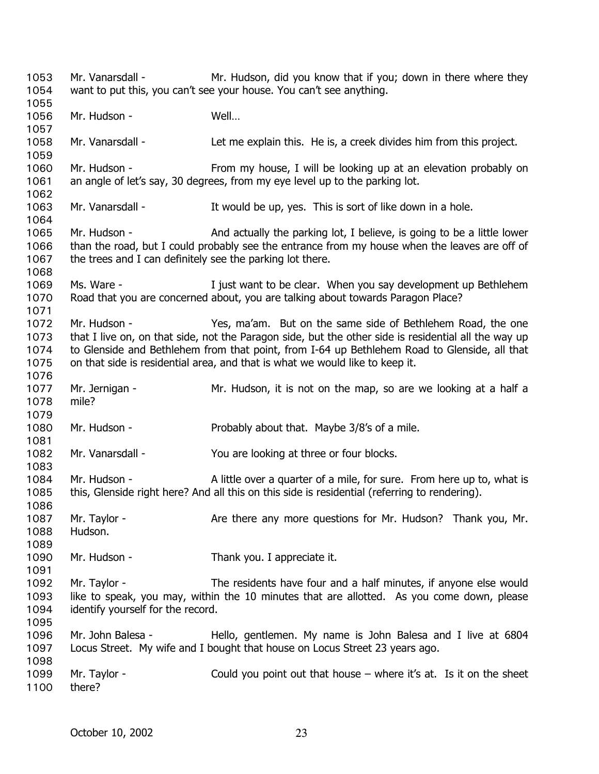Mr. Vanarsdall - Mr. Hudson, did you know that if you; down in there where they want to put this, you can't see your house. You can't see anything. 1053 1054 1055 1056 1057 1058 1059 1060 1061 1062 1063 1064 1065 1066 1067 1068 1069 1070 1071 1072 1073 1074 1075 1076 1077 1078 1079 1080 1081 1082 1083 1084 1085 1086 1087 1088 1089 1090 1091 1092 1093 1094 1095 1096 1097 1098 1099 1100 Mr. Hudson - Well… Mr. Vanarsdall - Let me explain this. He is, a creek divides him from this project. Mr. Hudson - From my house, I will be looking up at an elevation probably on an angle of let's say, 30 degrees, from my eye level up to the parking lot. Mr. Vanarsdall - It would be up, yes. This is sort of like down in a hole. Mr. Hudson - And actually the parking lot, I believe, is going to be a little lower than the road, but I could probably see the entrance from my house when the leaves are off of the trees and I can definitely see the parking lot there. Ms. Ware - The Must want to be clear. When you say development up Bethlehem Road that you are concerned about, you are talking about towards Paragon Place? Mr. Hudson - Yes, ma'am. But on the same side of Bethlehem Road, the one that I live on, on that side, not the Paragon side, but the other side is residential all the way up to Glenside and Bethlehem from that point, from I-64 up Bethlehem Road to Glenside, all that on that side is residential area, and that is what we would like to keep it. Mr. Jernigan - The Mr. Hudson, it is not on the map, so are we looking at a half a mile? Mr. Hudson - Probably about that. Maybe 3/8's of a mile. Mr. Vanarsdall - You are looking at three or four blocks. Mr. Hudson - A little over a quarter of a mile, for sure. From here up to, what is this, Glenside right here? And all this on this side is residential (referring to rendering). Mr. Taylor - **Are there any more questions for Mr. Hudson**? Thank you, Mr. Hudson. Mr. Hudson - Thank you. I appreciate it. Mr. Taylor - The residents have four and a half minutes, if anyone else would like to speak, you may, within the 10 minutes that are allotted. As you come down, please identify yourself for the record. Mr. John Balesa - Hello, gentlemen. My name is John Balesa and I live at 6804 Locus Street. My wife and I bought that house on Locus Street 23 years ago. Mr. Taylor - Could you point out that house – where it's at. Is it on the sheet there?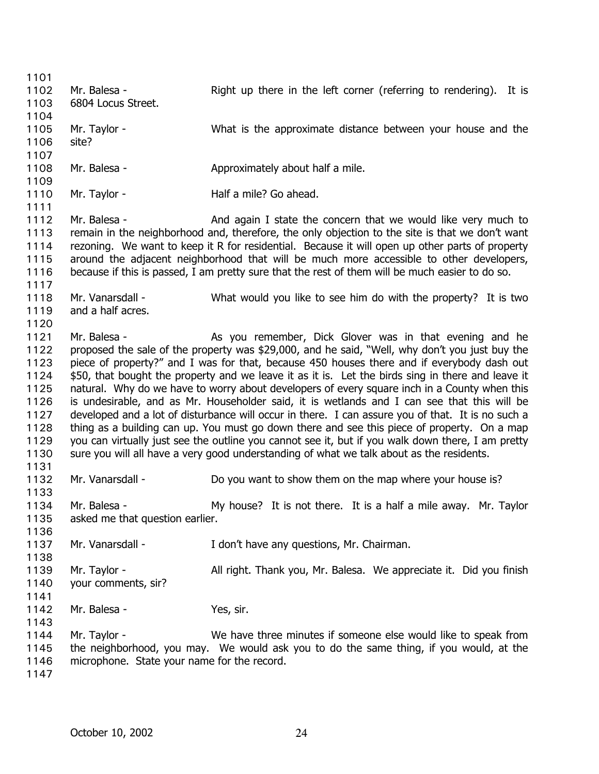1101 1102 1103 1104 1105 1106 1107 1108 1109 1110 1111 1112 1113 1114 1115 1116 1117 1118 1119 1120 1121 1122 1123 1124 1125 1126 1127 1128 1129 1130 1131 1132 1133 1134 1135 1136 1137 1138 1139 1140 1141 1142 1143 1144 1145 1146 1147 Mr. Balesa - The Right up there in the left corner (referring to rendering). It is 6804 Locus Street. Mr. Taylor - What is the approximate distance between your house and the site? Mr. Balesa - Approximately about half a mile. Mr. Taylor - **Half a mile?** Go ahead. Mr. Balesa - And again I state the concern that we would like very much to remain in the neighborhood and, therefore, the only objection to the site is that we don't want rezoning. We want to keep it R for residential. Because it will open up other parts of property around the adjacent neighborhood that will be much more accessible to other developers, because if this is passed, I am pretty sure that the rest of them will be much easier to do so. Mr. Vanarsdall - What would you like to see him do with the property? It is two and a half acres. Mr. Balesa - The As you remember, Dick Glover was in that evening and he proposed the sale of the property was \$29,000, and he said, "Well, why don't you just buy the piece of property?" and I was for that, because 450 houses there and if everybody dash out \$50, that bought the property and we leave it as it is. Let the birds sing in there and leave it natural. Why do we have to worry about developers of every square inch in a County when this is undesirable, and as Mr. Householder said, it is wetlands and I can see that this will be developed and a lot of disturbance will occur in there. I can assure you of that. It is no such a thing as a building can up. You must go down there and see this piece of property. On a map you can virtually just see the outline you cannot see it, but if you walk down there, I am pretty sure you will all have a very good understanding of what we talk about as the residents. Mr. Vanarsdall - Do you want to show them on the map where your house is? Mr. Balesa - My house? It is not there. It is a half a mile away. Mr. Taylor asked me that question earlier. Mr. Vanarsdall - The Muslim on Telecia any questions, Mr. Chairman. Mr. Taylor - All right. Thank you, Mr. Balesa. We appreciate it. Did you finish your comments, sir? Mr. Balesa - Yes, sir. Mr. Taylor - We have three minutes if someone else would like to speak from the neighborhood, you may. We would ask you to do the same thing, if you would, at the microphone. State your name for the record.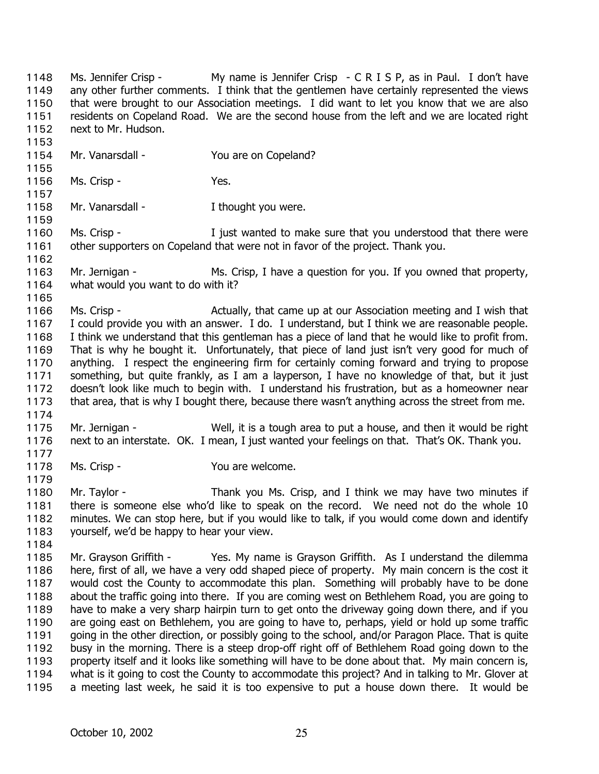Ms. Jennifer Crisp - My name is Jennifer Crisp - C R I S P, as in Paul. I don't have any other further comments. I think that the gentlemen have certainly represented the views that were brought to our Association meetings. I did want to let you know that we are also residents on Copeland Road. We are the second house from the left and we are located right next to Mr. Hudson. 1148 1149 1150 1151 1152 1153

- 1154 Mr. Vanarsdall - You are on Copeland?
- 1156 Ms. Crisp - The Mes.
- 1158 Mr. Vanarsdall - Thought you were.

1160 1161 Ms. Crisp - Tigst wanted to make sure that you understood that there were other supporters on Copeland that were not in favor of the project. Thank you.

1163 1164 Mr. Jernigan - Ms. Crisp, I have a question for you. If you owned that property, what would you want to do with it?

1165

1155

1157

1159

1162

1166 1167 1168 1169 1170 1171 1172 1173 1174 Ms. Crisp - The Actually, that came up at our Association meeting and I wish that I could provide you with an answer. I do. I understand, but I think we are reasonable people. I think we understand that this gentleman has a piece of land that he would like to profit from. That is why he bought it. Unfortunately, that piece of land just isn't very good for much of anything. I respect the engineering firm for certainly coming forward and trying to propose something, but quite frankly, as I am a layperson, I have no knowledge of that, but it just doesn't look like much to begin with. I understand his frustration, but as a homeowner near that area, that is why I bought there, because there wasn't anything across the street from me.

- 1175 1176 Mr. Jernigan - Well, it is a tough area to put a house, and then it would be right next to an interstate. OK. I mean, I just wanted your feelings on that. That's OK. Thank you.
- 1177 1178

1179

Ms. Crisp - You are welcome.

1180 1181 1182 1183 Mr. Taylor - Thank you Ms. Crisp, and I think we may have two minutes if there is someone else who'd like to speak on the record. We need not do the whole 10 minutes. We can stop here, but if you would like to talk, if you would come down and identify yourself, we'd be happy to hear your view.

1184

1185 1186 1187 1188 1189 1190 1191 1192 1193 1194 1195 Mr. Grayson Griffith - Yes. My name is Grayson Griffith. As I understand the dilemma here, first of all, we have a very odd shaped piece of property. My main concern is the cost it would cost the County to accommodate this plan. Something will probably have to be done about the traffic going into there. If you are coming west on Bethlehem Road, you are going to have to make a very sharp hairpin turn to get onto the driveway going down there, and if you are going east on Bethlehem, you are going to have to, perhaps, yield or hold up some traffic going in the other direction, or possibly going to the school, and/or Paragon Place. That is quite busy in the morning. There is a steep drop-off right off of Bethlehem Road going down to the property itself and it looks like something will have to be done about that. My main concern is, what is it going to cost the County to accommodate this project? And in talking to Mr. Glover at a meeting last week, he said it is too expensive to put a house down there. It would be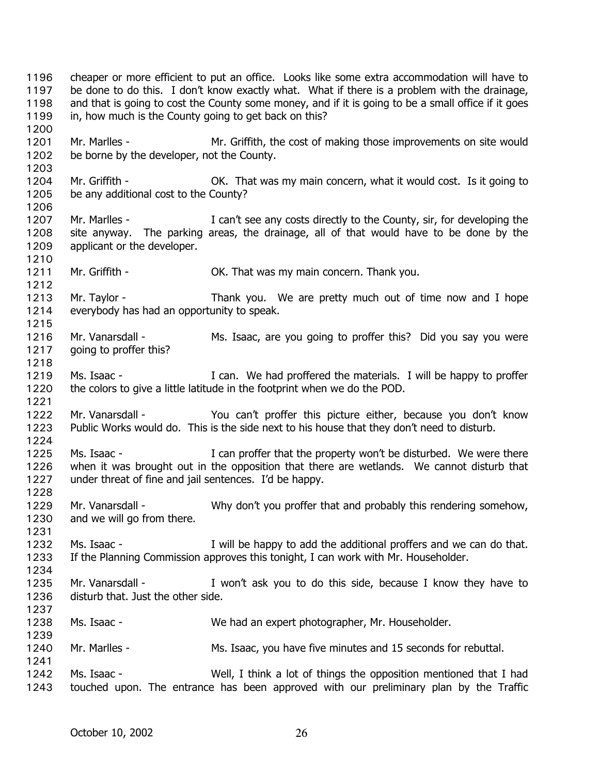cheaper or more efficient to put an office. Looks like some extra accommodation will have to be done to do this. I don't know exactly what. What if there is a problem with the drainage, and that is going to cost the County some money, and if it is going to be a small office if it goes in, how much is the County going to get back on this? 1196 1197 1198 1199 1200 1201 1202 1203 1204 1205 1206 1207 1208 1209 1210 1211 1212 1213 1214 1215 1216 1217 1218 1219 1220 1221 1222 1223 1224 1225 1226 1227 1228 1229 1230 1231 1232 1233 1234 1235 1236 1237 1238 1239 1240 1241 1242 1243 Mr. Marlles - Mr. Griffith, the cost of making those improvements on site would be borne by the developer, not the County. Mr. Griffith - That was my main concern, what it would cost. Is it going to be any additional cost to the County? Mr. Marlles - I can't see any costs directly to the County, sir, for developing the site anyway. The parking areas, the drainage, all of that would have to be done by the applicant or the developer. Mr. Griffith - **OK.** That was my main concern. Thank you. Mr. Taylor - Thank you. We are pretty much out of time now and I hope everybody has had an opportunity to speak. Mr. Vanarsdall - Ms. Isaac, are you going to proffer this? Did you say you were going to proffer this? Ms. Isaac - The Music of I can. We had proffered the materials. I will be happy to proffer the colors to give a little latitude in the footprint when we do the POD. Mr. Vanarsdall - You can't proffer this picture either, because you don't know Public Works would do. This is the side next to his house that they don't need to disturb. Ms. Isaac - The Musican proffer that the property won't be disturbed. We were there when it was brought out in the opposition that there are wetlands. We cannot disturb that under threat of fine and jail sentences. I'd be happy. Mr. Vanarsdall - Why don't you proffer that and probably this rendering somehow, and we will go from there. Ms. Isaac - The I will be happy to add the additional proffers and we can do that. If the Planning Commission approves this tonight, I can work with Mr. Householder. Mr. Vanarsdall - I won't ask you to do this side, because I know they have to disturb that. Just the other side. Ms. Isaac - We had an expert photographer, Mr. Householder. Mr. Marlles - Ms. Isaac, you have five minutes and 15 seconds for rebuttal. Ms. Isaac - Well, I think a lot of things the opposition mentioned that I had touched upon. The entrance has been approved with our preliminary plan by the Traffic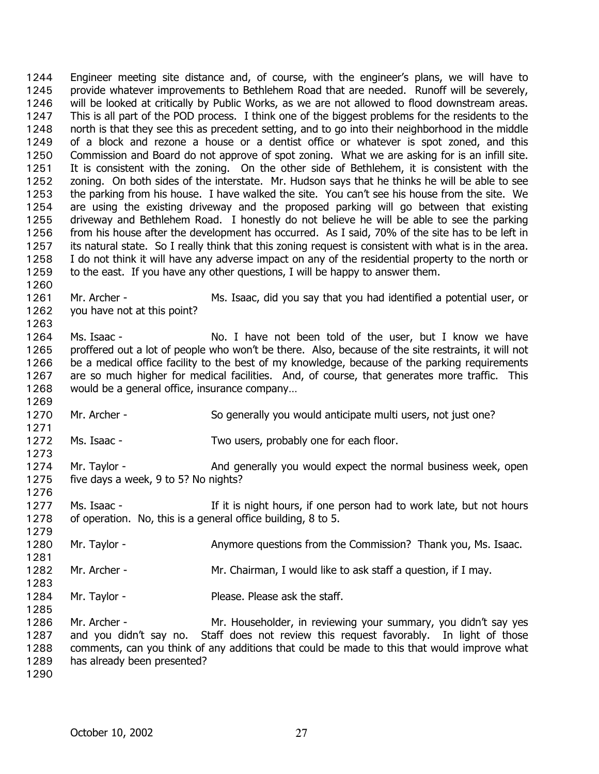Engineer meeting site distance and, of course, with the engineer's plans, we will have to provide whatever improvements to Bethlehem Road that are needed. Runoff will be severely, will be looked at critically by Public Works, as we are not allowed to flood downstream areas. This is all part of the POD process. I think one of the biggest problems for the residents to the north is that they see this as precedent setting, and to go into their neighborhood in the middle of a block and rezone a house or a dentist office or whatever is spot zoned, and this Commission and Board do not approve of spot zoning. What we are asking for is an infill site. It is consistent with the zoning. On the other side of Bethlehem, it is consistent with the zoning. On both sides of the interstate. Mr. Hudson says that he thinks he will be able to see the parking from his house. I have walked the site. You can't see his house from the site. We are using the existing driveway and the proposed parking will go between that existing driveway and Bethlehem Road. I honestly do not believe he will be able to see the parking from his house after the development has occurred. As I said, 70% of the site has to be left in its natural state. So I really think that this zoning request is consistent with what is in the area. I do not think it will have any adverse impact on any of the residential property to the north or to the east. If you have any other questions, I will be happy to answer them. 1244 1245 1246 1247 1248 1249 1250 1251 1252 1253 1254 1255 1256 1257 1258 1259 1260

- 1261 1262 Mr. Archer - Ms. Isaac, did you say that you had identified a potential user, or you have not at this point?
- 1264 1265 1266 1267 1268 Ms. Isaac - No. I have not been told of the user, but I know we have proffered out a lot of people who won't be there. Also, because of the site restraints, it will not be a medical office facility to the best of my knowledge, because of the parking requirements are so much higher for medical facilities. And, of course, that generates more traffic. This would be a general office, insurance company…
- 1270 Mr. Archer - So generally you would anticipate multi users, not just one?
- 1272 Ms. Isaac - Two users, probably one for each floor.
- 1274 1275 1276 Mr. Taylor - **And generally you would expect the normal business week, open** five days a week, 9 to 5? No nights?
- 1277 1278 Ms. Isaac - The It is night hours, if one person had to work late, but not hours of operation. No, this is a general office building, 8 to 5.
- 1280 Mr. Taylor - Anymore questions from the Commission? Thank you, Ms. Isaac.
- 1282 Mr. Archer - The Mr. Chairman, I would like to ask staff a question, if I may.
- 1284 Mr. Taylor - Please. Please ask the staff.

1286 1287 1288 1289 Mr. Archer - Mr. Householder, in reviewing your summary, you didn't say yes and you didn't say no. Staff does not review this request favorably. In light of those comments, can you think of any additions that could be made to this that would improve what has already been presented?

1290

1263

1269

1271

1273

1279

1281

1283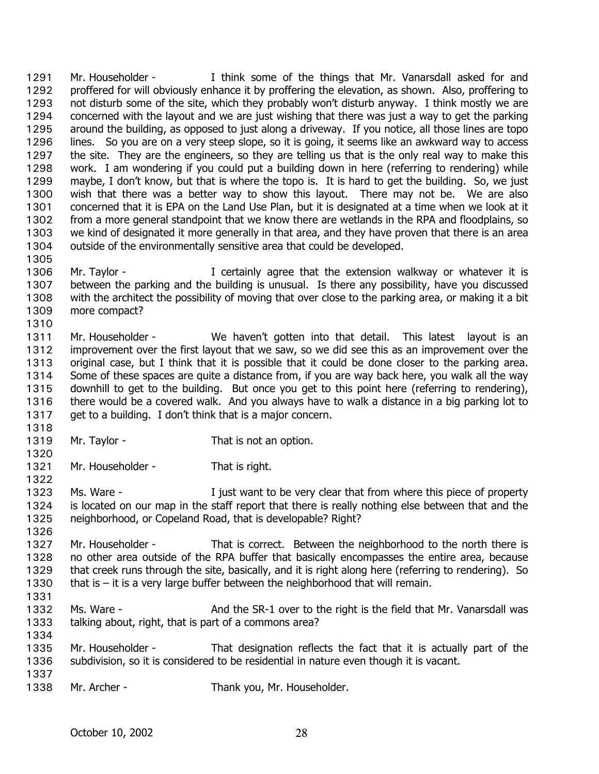Mr. Householder - I think some of the things that Mr. Vanarsdall asked for and proffered for will obviously enhance it by proffering the elevation, as shown. Also, proffering to not disturb some of the site, which they probably won't disturb anyway. I think mostly we are concerned with the layout and we are just wishing that there was just a way to get the parking around the building, as opposed to just along a driveway. If you notice, all those lines are topo lines. So you are on a very steep slope, so it is going, it seems like an awkward way to access the site. They are the engineers, so they are telling us that is the only real way to make this work. I am wondering if you could put a building down in here (referring to rendering) while maybe, I don't know, but that is where the topo is. It is hard to get the building. So, we just wish that there was a better way to show this layout. There may not be. We are also concerned that it is EPA on the Land Use Plan, but it is designated at a time when we look at it from a more general standpoint that we know there are wetlands in the RPA and floodplains, so we kind of designated it more generally in that area, and they have proven that there is an area outside of the environmentally sensitive area that could be developed. 1291 1292 1293 1294 1295 1296 1297 1298 1299 1300 1301 1302 1303 1304 1305

- 1306 1307 1308 1309 1310 Mr. Taylor - The Muslim Lertainly agree that the extension walkway or whatever it is between the parking and the building is unusual. Is there any possibility, have you discussed with the architect the possibility of moving that over close to the parking area, or making it a bit more compact?
- 1311 1312 1313 1314 1315 1316 1317 Mr. Householder - We haven't gotten into that detail. This latest layout is an improvement over the first layout that we saw, so we did see this as an improvement over the original case, but I think that it is possible that it could be done closer to the parking area. Some of these spaces are quite a distance from, if you are way back here, you walk all the way downhill to get to the building. But once you get to this point here (referring to rendering), there would be a covered walk. And you always have to walk a distance in a big parking lot to get to a building. I don't think that is a major concern.
- 1318
- 1319 Mr. Taylor - That is not an option.
- 1320

1322

1326

- 1321 Mr. Householder - That is right.
- 1323 1324 1325 Ms. Ware - The I just want to be very clear that from where this piece of property is located on our map in the staff report that there is really nothing else between that and the neighborhood, or Copeland Road, that is developable? Right?
- 1327 1328 1329 1330 1331 Mr. Householder - That is correct. Between the neighborhood to the north there is no other area outside of the RPA buffer that basically encompasses the entire area, because that creek runs through the site, basically, and it is right along here (referring to rendering). So that is  $-$  it is a very large buffer between the neighborhood that will remain.
- 1332 1333 Ms. Ware - The SR-1 over to the right is the field that Mr. Vanarsdall was talking about, right, that is part of a commons area?
- 1335 1336 1337 Mr. Householder - That designation reflects the fact that it is actually part of the subdivision, so it is considered to be residential in nature even though it is vacant.
- 1338 Mr. Archer - Thank you, Mr. Householder.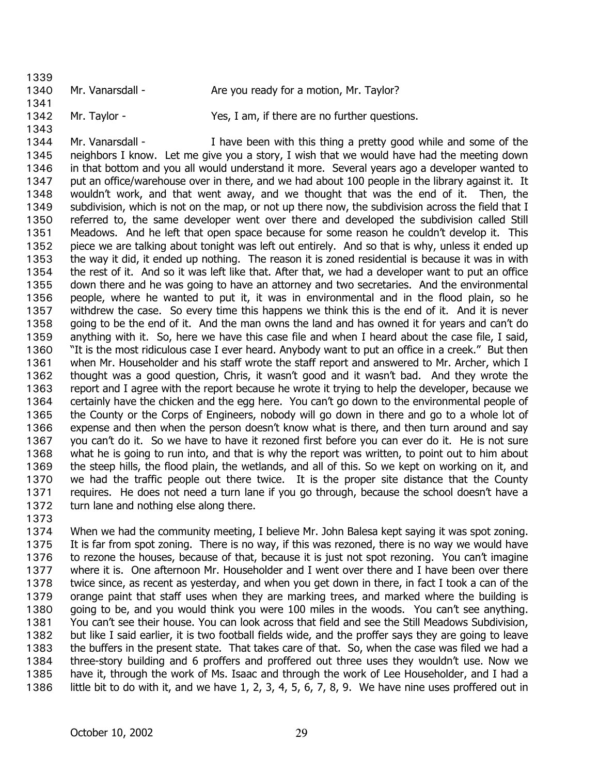- 1339 1340 1341 Mr. Vanarsdall - Are you ready for a motion, Mr. Taylor?
- 1342 1343 Mr. Taylor - Yes, I am, if there are no further questions.

1344 1345 1346 1347 1348 1349 1350 1351 1352 1353 1354 1355 1356 1357 1358 1359 1360 1361 1362 1363 1364 1365 1366 1367 1368 1369 1370 1371 1372 Mr. Vanarsdall - Thave been with this thing a pretty good while and some of the neighbors I know. Let me give you a story, I wish that we would have had the meeting down in that bottom and you all would understand it more. Several years ago a developer wanted to put an office/warehouse over in there, and we had about 100 people in the library against it. It wouldn't work, and that went away, and we thought that was the end of it. Then, the subdivision, which is not on the map, or not up there now, the subdivision across the field that I referred to, the same developer went over there and developed the subdivision called Still Meadows. And he left that open space because for some reason he couldn't develop it. This piece we are talking about tonight was left out entirely. And so that is why, unless it ended up the way it did, it ended up nothing. The reason it is zoned residential is because it was in with the rest of it. And so it was left like that. After that, we had a developer want to put an office down there and he was going to have an attorney and two secretaries. And the environmental people, where he wanted to put it, it was in environmental and in the flood plain, so he withdrew the case. So every time this happens we think this is the end of it. And it is never going to be the end of it. And the man owns the land and has owned it for years and can't do anything with it. So, here we have this case file and when I heard about the case file, I said, "It is the most ridiculous case I ever heard. Anybody want to put an office in a creek." But then when Mr. Householder and his staff wrote the staff report and answered to Mr. Archer, which I thought was a good question, Chris, it wasn't good and it wasn't bad. And they wrote the report and I agree with the report because he wrote it trying to help the developer, because we certainly have the chicken and the egg here. You can't go down to the environmental people of the County or the Corps of Engineers, nobody will go down in there and go to a whole lot of expense and then when the person doesn't know what is there, and then turn around and say you can't do it. So we have to have it rezoned first before you can ever do it. He is not sure what he is going to run into, and that is why the report was written, to point out to him about the steep hills, the flood plain, the wetlands, and all of this. So we kept on working on it, and we had the traffic people out there twice. It is the proper site distance that the County requires. He does not need a turn lane if you go through, because the school doesn't have a turn lane and nothing else along there.

1373

1374 1375 1376 1377 1378 1379 1380 1381 1382 1383 1384 1385 1386 When we had the community meeting, I believe Mr. John Balesa kept saying it was spot zoning. It is far from spot zoning. There is no way, if this was rezoned, there is no way we would have to rezone the houses, because of that, because it is just not spot rezoning. You can't imagine where it is. One afternoon Mr. Householder and I went over there and I have been over there twice since, as recent as yesterday, and when you get down in there, in fact I took a can of the orange paint that staff uses when they are marking trees, and marked where the building is going to be, and you would think you were 100 miles in the woods. You can't see anything. You can't see their house. You can look across that field and see the Still Meadows Subdivision, but like I said earlier, it is two football fields wide, and the proffer says they are going to leave the buffers in the present state. That takes care of that. So, when the case was filed we had a three-story building and 6 proffers and proffered out three uses they wouldn't use. Now we have it, through the work of Ms. Isaac and through the work of Lee Householder, and I had a little bit to do with it, and we have 1, 2, 3, 4, 5, 6, 7, 8, 9. We have nine uses proffered out in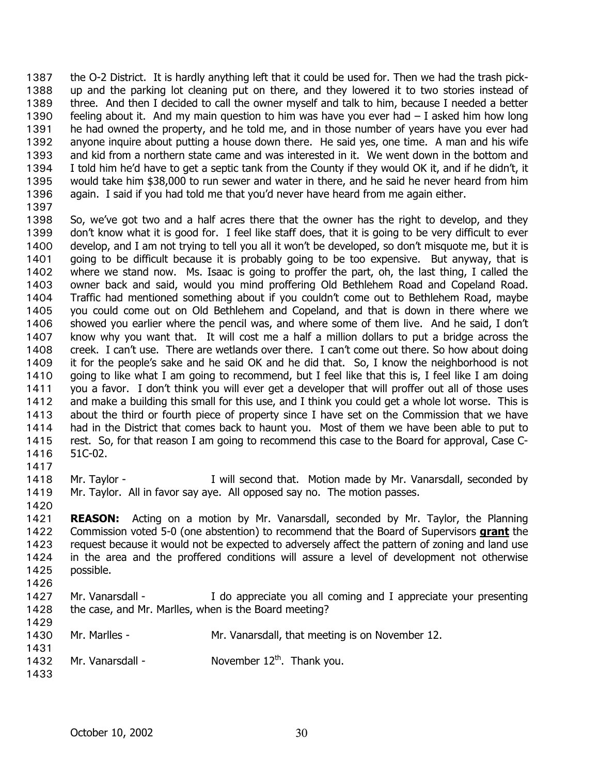the O-2 District. It is hardly anything left that it could be used for. Then we had the trash pickup and the parking lot cleaning put on there, and they lowered it to two stories instead of three. And then I decided to call the owner myself and talk to him, because I needed a better feeling about it. And my main question to him was have you ever had – I asked him how long he had owned the property, and he told me, and in those number of years have you ever had anyone inquire about putting a house down there. He said yes, one time. A man and his wife and kid from a northern state came and was interested in it. We went down in the bottom and I told him he'd have to get a septic tank from the County if they would OK it, and if he didn't, it would take him \$38,000 to run sewer and water in there, and he said he never heard from him again. I said if you had told me that you'd never have heard from me again either. 1387 1388 1389 1390 1391 1392 1393 1394 1395 1396 1397

- 1398 1399 1400 1401 1402 1403 1404 1405 1406 1407 1408 1409 1410 1411 1412 1413 1414 1415 1416 So, we've got two and a half acres there that the owner has the right to develop, and they don't know what it is good for. I feel like staff does, that it is going to be very difficult to ever develop, and I am not trying to tell you all it won't be developed, so don't misquote me, but it is going to be difficult because it is probably going to be too expensive. But anyway, that is where we stand now. Ms. Isaac is going to proffer the part, oh, the last thing, I called the owner back and said, would you mind proffering Old Bethlehem Road and Copeland Road. Traffic had mentioned something about if you couldn't come out to Bethlehem Road, maybe you could come out on Old Bethlehem and Copeland, and that is down in there where we showed you earlier where the pencil was, and where some of them live. And he said, I don't know why you want that. It will cost me a half a million dollars to put a bridge across the creek. I can't use. There are wetlands over there. I can't come out there. So how about doing it for the people's sake and he said OK and he did that. So, I know the neighborhood is not going to like what I am going to recommend, but I feel like that this is, I feel like I am doing you a favor. I don't think you will ever get a developer that will proffer out all of those uses and make a building this small for this use, and I think you could get a whole lot worse. This is about the third or fourth piece of property since I have set on the Commission that we have had in the District that comes back to haunt you. Most of them we have been able to put to rest. So, for that reason I am going to recommend this case to the Board for approval, Case C-51C-02.
- 1418 1419 Mr. Taylor - The Mull second that. Motion made by Mr. Vanarsdall, seconded by Mr. Taylor. All in favor say aye. All opposed say no. The motion passes.
- 1420

1417

1421 **REASON:** Acting on a motion by Mr. Vanarsdall, seconded by Mr. Taylor, the Planning Commission voted 5-0 (one abstention) to recommend that the Board of Supervisors **grant** the request because it would not be expected to adversely affect the pattern of zoning and land use in the area and the proffered conditions will assure a level of development not otherwise possible. 1422 1423 1424 1425

- 1426
- 1427 1428 Mr. Vanarsdall - The appreciate you all coming and I appreciate your presenting the case, and Mr. Marlles, when is the Board meeting?
- 1429 1430

- Mr. Marlles Mr. Vanarsdall, that meeting is on November 12.
- 1432 Mr. Vanarsdall -  $\blacksquare$  November 12<sup>th</sup>. Thank you.
- 1433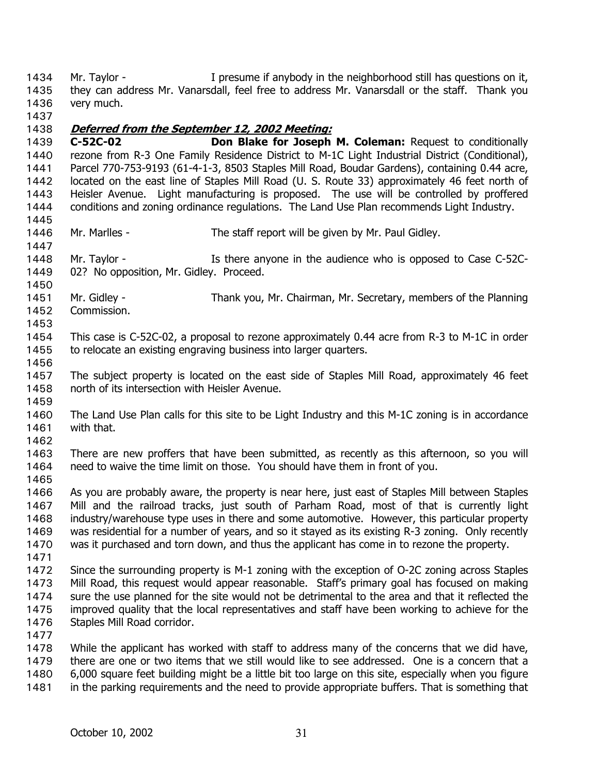Mr. Taylor - The Sume if anybody in the neighborhood still has questions on it, they can address Mr. Vanarsdall, feel free to address Mr. Vanarsdall or the staff. Thank you very much. 1434 1435 1436

1437

## 1438 **Deferred from the September 12, 2002 Meeting:**

1439 1440 1441 1442 1443 1444 1445 **C-52C-02 Don Blake for Joseph M. Coleman:** Request to conditionally rezone from R-3 One Family Residence District to M-1C Light Industrial District (Conditional), Parcel 770-753-9193 (61-4-1-3, 8503 Staples Mill Road, Boudar Gardens), containing 0.44 acre, located on the east line of Staples Mill Road (U. S. Route 33) approximately 46 feet north of Heisler Avenue. Light manufacturing is proposed. The use will be controlled by proffered conditions and zoning ordinance regulations. The Land Use Plan recommends Light Industry.

- 1446 Mr. Marlles - The staff report will be given by Mr. Paul Gidley.
- 1448 1449 Mr. Taylor - The Is there anyone in the audience who is opposed to Case C-52C-02? No opposition, Mr. Gidley. Proceed.
- 1451 1452 Mr. Gidley - Thank you, Mr. Chairman, Mr. Secretary, members of the Planning Commission.
- 1453
- 1454 1455 This case is C-52C-02, a proposal to rezone approximately 0.44 acre from R-3 to M-1C in order to relocate an existing engraving business into larger quarters.
- 1456

1447

1450

- 1457 1458 1459 The subject property is located on the east side of Staples Mill Road, approximately 46 feet north of its intersection with Heisler Avenue.
- 1460 1461 The Land Use Plan calls for this site to be Light Industry and this M-1C zoning is in accordance with that.
- 1462
- 1463 1464 There are new proffers that have been submitted, as recently as this afternoon, so you will need to waive the time limit on those. You should have them in front of you.
- 1465

1466 1467 1468 1469 1470 As you are probably aware, the property is near here, just east of Staples Mill between Staples Mill and the railroad tracks, just south of Parham Road, most of that is currently light industry/warehouse type uses in there and some automotive. However, this particular property was residential for a number of years, and so it stayed as its existing R-3 zoning. Only recently was it purchased and torn down, and thus the applicant has come in to rezone the property.

1471

1472 1473 1474 1475 1476 Since the surrounding property is M-1 zoning with the exception of O-2C zoning across Staples Mill Road, this request would appear reasonable. Staff's primary goal has focused on making sure the use planned for the site would not be detrimental to the area and that it reflected the improved quality that the local representatives and staff have been working to achieve for the Staples Mill Road corridor.

1477

1478 1479 1480 1481 While the applicant has worked with staff to address many of the concerns that we did have, there are one or two items that we still would like to see addressed. One is a concern that a 6,000 square feet building might be a little bit too large on this site, especially when you figure in the parking requirements and the need to provide appropriate buffers. That is something that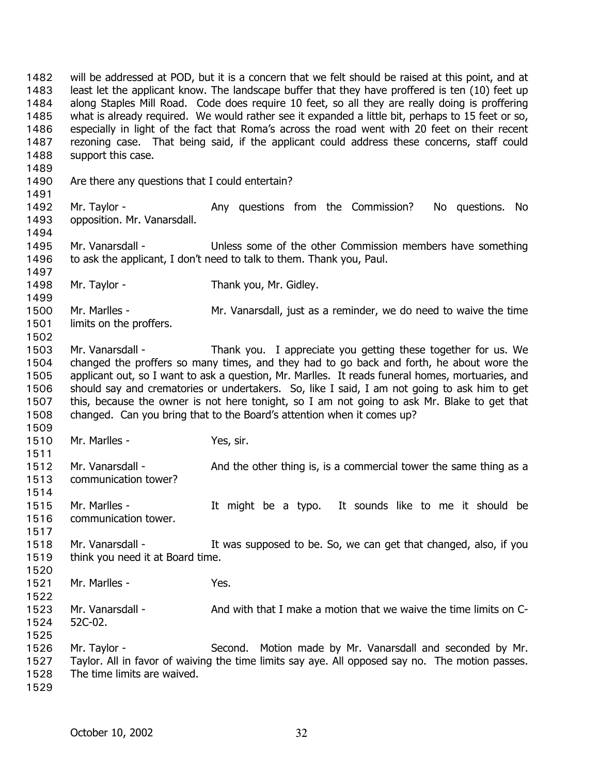will be addressed at POD, but it is a concern that we felt should be raised at this point, and at least let the applicant know. The landscape buffer that they have proffered is ten (10) feet up along Staples Mill Road. Code does require 10 feet, so all they are really doing is proffering what is already required. We would rather see it expanded a little bit, perhaps to 15 feet or so, especially in light of the fact that Roma's across the road went with 20 feet on their recent rezoning case. That being said, if the applicant could address these concerns, staff could support this case. 1482 1483 1484 1485 1486 1487 1488 1489 1490 1491 1492 1493 1494 1495 1496 1497 1498 1499 1500 1501 1502 1503 1504 1505 1506 1507 1508 1509 1510 1511 1512 1513 1514 1515 1516 1517 1518 1519 1520 1521 1522 1523 1524 1525 1526 1527 1528 1529 Are there any questions that I could entertain? Mr. Taylor - The Any questions from the Commission? No questions. No opposition. Mr. Vanarsdall. Mr. Vanarsdall - Unless some of the other Commission members have something to ask the applicant, I don't need to talk to them. Thank you, Paul. Mr. Taylor - Thank you, Mr. Gidley. Mr. Marlles - Mr. Vanarsdall, just as a reminder, we do need to waive the time limits on the proffers. Mr. Vanarsdall - Thank you. I appreciate you getting these together for us. We changed the proffers so many times, and they had to go back and forth, he about wore the applicant out, so I want to ask a question, Mr. Marlles. It reads funeral homes, mortuaries, and should say and crematories or undertakers. So, like I said, I am not going to ask him to get this, because the owner is not here tonight, so I am not going to ask Mr. Blake to get that changed. Can you bring that to the Board's attention when it comes up? Mr. Marlles - Yes, sir. Mr. Vanarsdall - And the other thing is, is a commercial tower the same thing as a communication tower? Mr. Marlles - It might be a typo. It sounds like to me it should be communication tower. Mr. Vanarsdall - The Mus supposed to be. So, we can get that changed, also, if you think you need it at Board time. Mr. Marlles - The Yes. Mr. Vanarsdall - And with that I make a motion that we waive the time limits on C-52C-02. Mr. Taylor - Second. Motion made by Mr. Vanarsdall and seconded by Mr. Taylor. All in favor of waiving the time limits say aye. All opposed say no. The motion passes. The time limits are waived.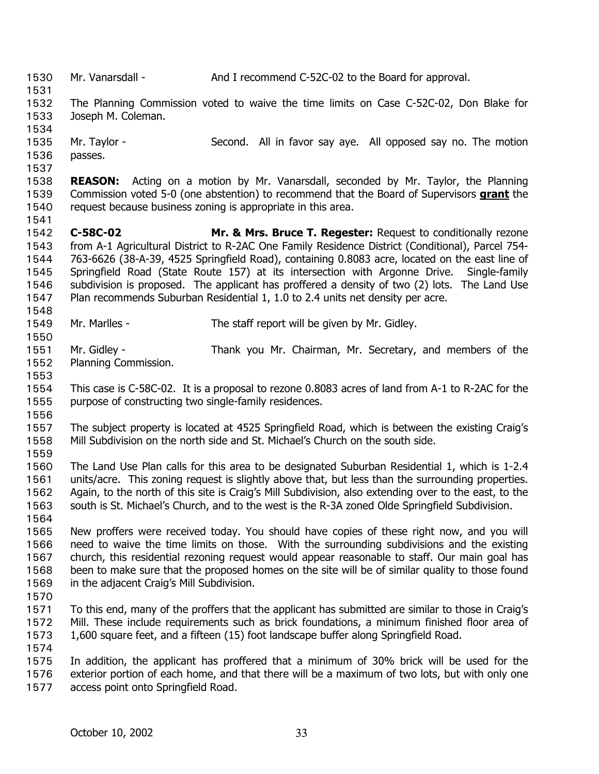1530 Mr. Vanarsdall - And I recommend C-52C-02 to the Board for approval. 1531 1532 1533 1534 1535 1536 1537 1538 The Planning Commission voted to waive the time limits on Case C-52C-02, Don Blake for Joseph M. Coleman. Mr. Taylor - Second. All in favor say aye. All opposed say no. The motion passes. **REASON:** Acting on a motion by Mr. Vanarsdall, seconded by Mr. Taylor, the Planning Commission voted 5-0 (one abstention) to recommend that the Board of Supervisors **grant** the request because business zoning is appropriate in this area. 1539 1540 1541 1542 1543 1544 1545 1546 1547 1548 1549 1550 1551 1552 1553 1554 1555 1556 1557 1558 1559 1560 1561 1562 1563 1564 1565 1566 1567 1568 1569 1570 1571 1572 1573 1574 1575 1576 1577 **C-58C-02 Mr. & Mrs. Bruce T. Regester:** Request to conditionally rezone from A-1 Agricultural District to R-2AC One Family Residence District (Conditional), Parcel 754- 763-6626 (38-A-39, 4525 Springfield Road), containing 0.8083 acre, located on the east line of Springfield Road (State Route 157) at its intersection with Argonne Drive. Single-family subdivision is proposed. The applicant has proffered a density of two (2) lots. The Land Use Plan recommends Suburban Residential 1, 1.0 to 2.4 units net density per acre. Mr. Marlles - The staff report will be given by Mr. Gidley. Mr. Gidley - Thank you Mr. Chairman, Mr. Secretary, and members of the Planning Commission. This case is C-58C-02. It is a proposal to rezone 0.8083 acres of land from A-1 to R-2AC for the purpose of constructing two single-family residences. The subject property is located at 4525 Springfield Road, which is between the existing Craig's Mill Subdivision on the north side and St. Michael's Church on the south side. The Land Use Plan calls for this area to be designated Suburban Residential 1, which is 1-2.4 units/acre. This zoning request is slightly above that, but less than the surrounding properties. Again, to the north of this site is Craig's Mill Subdivision, also extending over to the east, to the south is St. Michael's Church, and to the west is the R-3A zoned Olde Springfield Subdivision. New proffers were received today. You should have copies of these right now, and you will need to waive the time limits on those. With the surrounding subdivisions and the existing church, this residential rezoning request would appear reasonable to staff. Our main goal has been to make sure that the proposed homes on the site will be of similar quality to those found in the adjacent Craig's Mill Subdivision. To this end, many of the proffers that the applicant has submitted are similar to those in Craig's Mill. These include requirements such as brick foundations, a minimum finished floor area of 1,600 square feet, and a fifteen (15) foot landscape buffer along Springfield Road. In addition, the applicant has proffered that a minimum of 30% brick will be used for the exterior portion of each home, and that there will be a maximum of two lots, but with only one access point onto Springfield Road.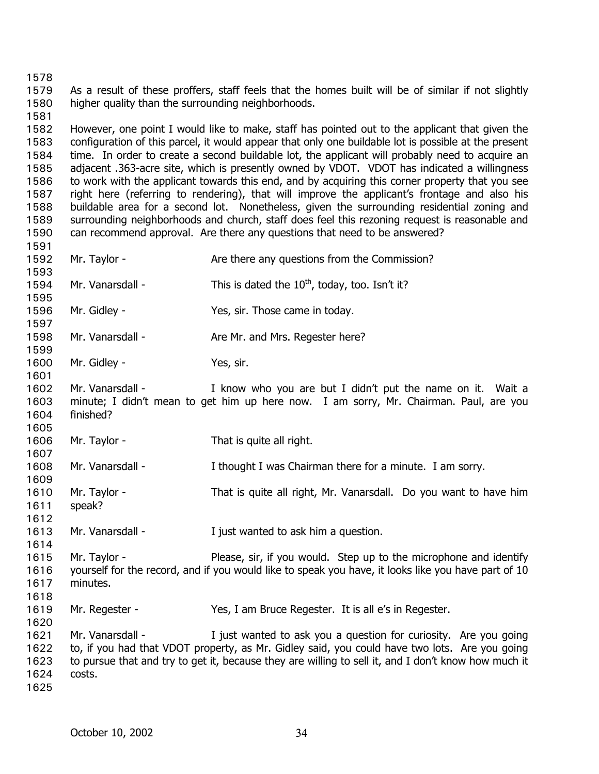1578

1581

1579 1580 As a result of these proffers, staff feels that the homes built will be of similar if not slightly higher quality than the surrounding neighborhoods.

1582 1583 1584 1585 1586 1587 1588 1589 1590 However, one point I would like to make, staff has pointed out to the applicant that given the configuration of this parcel, it would appear that only one buildable lot is possible at the present time. In order to create a second buildable lot, the applicant will probably need to acquire an adjacent .363-acre site, which is presently owned by VDOT. VDOT has indicated a willingness to work with the applicant towards this end, and by acquiring this corner property that you see right here (referring to rendering), that will improve the applicant's frontage and also his buildable area for a second lot. Nonetheless, given the surrounding residential zoning and surrounding neighborhoods and church, staff does feel this rezoning request is reasonable and can recommend approval. Are there any questions that need to be answered?

- 1591 1592 1593 1594 1595 1596 1597 1598 1599 1600 1601 1602 1603 1604 1605 1606 1607 1608 1609 1610 1611 1612 1613 1614 1615 1616 1617 1618 1619 1620 1621 1622 1623 Mr. Taylor - Are there any questions from the Commission? Mr. Vanarsdall - This is dated the  $10^{th}$ , today, too. Isn't it? Mr. Gidley - Yes, sir. Those came in today. Mr. Vanarsdall - Are Mr. and Mrs. Regester here? Mr. Gidley - Yes, sir. Mr. Vanarsdall - The Muslim Chow who you are but I didn't put the name on it. Wait a minute; I didn't mean to get him up here now. I am sorry, Mr. Chairman. Paul, are you finished? Mr. Taylor - That is quite all right. Mr. Vanarsdall - Thought I was Chairman there for a minute. I am sorry. Mr. Taylor - That is quite all right, Mr. Vanarsdall. Do you want to have him speak? Mr. Vanarsdall - Tiust wanted to ask him a question. Mr. Taylor - Please, sir, if you would. Step up to the microphone and identify yourself for the record, and if you would like to speak you have, it looks like you have part of 10 minutes. Mr. Regester - Yes, I am Bruce Regester. It is all e's in Regester. Mr. Vanarsdall - Tiust wanted to ask you a question for curiosity. Are you going to, if you had that VDOT property, as Mr. Gidley said, you could have two lots. Are you going to pursue that and try to get it, because they are willing to sell it, and I don't know how much it
	-

costs.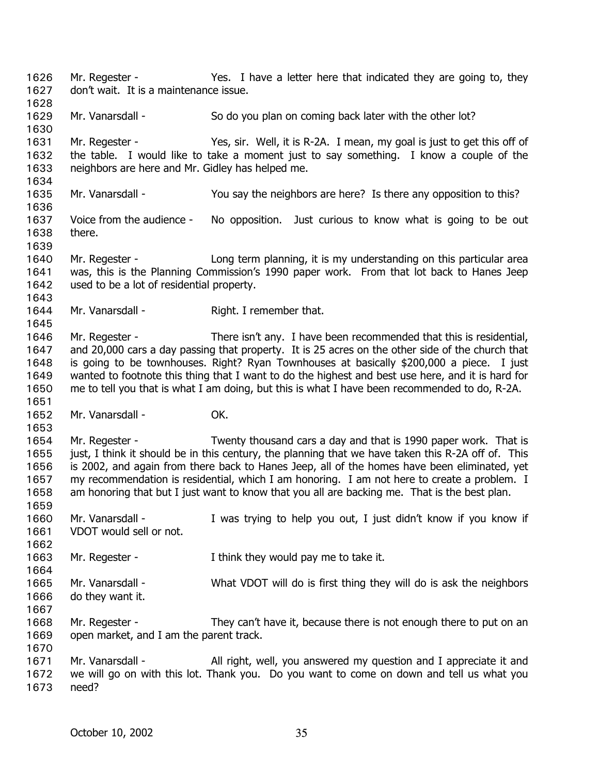Mr. Regester - Yes. I have a letter here that indicated they are going to, they don't wait. It is a maintenance issue. 1626 1627 1628 1629 1630 1631 1632 1633 1634 1635 1636 1637 1638 1639 1640 1641 1642 1643 1644 1645 1646 1647 1648 1649 1650 1651 1652 1653 1654 1655 1656 1657 1658 1659 1660 1661 1662 1663 1664 1665 1666 1667 1668 1669 1670 1671 1672 1673 Mr. Vanarsdall - So do you plan on coming back later with the other lot? Mr. Regester - Yes, sir. Well, it is R-2A. I mean, my goal is just to get this off of the table. I would like to take a moment just to say something. I know a couple of the neighbors are here and Mr. Gidley has helped me. Mr. Vanarsdall - The You say the neighbors are here? Is there any opposition to this? Voice from the audience - No opposition. Just curious to know what is going to be out there. Mr. Regester - The Long term planning, it is my understanding on this particular area was, this is the Planning Commission's 1990 paper work. From that lot back to Hanes Jeep used to be a lot of residential property. Mr. Vanarsdall - Right. I remember that. Mr. Regester - There isn't any. I have been recommended that this is residential, and 20,000 cars a day passing that property. It is 25 acres on the other side of the church that is going to be townhouses. Right? Ryan Townhouses at basically \$200,000 a piece. I just wanted to footnote this thing that I want to do the highest and best use here, and it is hard for me to tell you that is what I am doing, but this is what I have been recommended to do, R-2A. Mr. Vanarsdall - **OK.** Mr. Regester - Twenty thousand cars a day and that is 1990 paper work. That is just, I think it should be in this century, the planning that we have taken this R-2A off of. This is 2002, and again from there back to Hanes Jeep, all of the homes have been eliminated, yet my recommendation is residential, which I am honoring. I am not here to create a problem. I am honoring that but I just want to know that you all are backing me. That is the best plan. Mr. Vanarsdall - The Muster of the I was trying to help you out, I just didn't know if you know if VDOT would sell or not. Mr. Regester - Think they would pay me to take it. Mr. Vanarsdall - What VDOT will do is first thing they will do is ask the neighbors do they want it. Mr. Regester - They can't have it, because there is not enough there to put on an open market, and I am the parent track. Mr. Vanarsdall - All right, well, you answered my question and I appreciate it and we will go on with this lot. Thank you. Do you want to come on down and tell us what you need?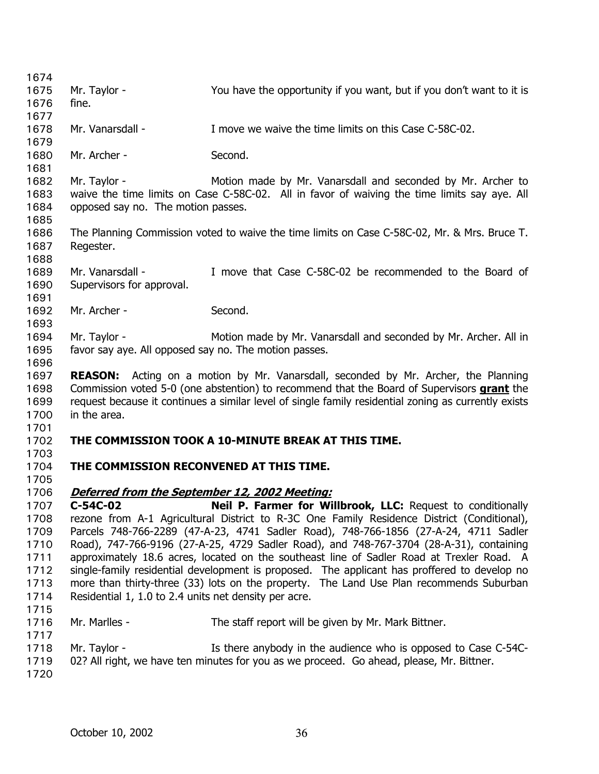| 1674         |                                                                                              |                                                                                                      |  |
|--------------|----------------------------------------------------------------------------------------------|------------------------------------------------------------------------------------------------------|--|
| 1675         | Mr. Taylor -                                                                                 | You have the opportunity if you want, but if you don't want to it is                                 |  |
| 1676         | fine.                                                                                        |                                                                                                      |  |
| 1677         |                                                                                              |                                                                                                      |  |
| 1678         | Mr. Vanarsdall -                                                                             | I move we waive the time limits on this Case C-58C-02.                                               |  |
| 1679         |                                                                                              |                                                                                                      |  |
| 1680         | Mr. Archer -                                                                                 | Second.                                                                                              |  |
| 1681         |                                                                                              |                                                                                                      |  |
| 1682         | Mr. Taylor -                                                                                 | Motion made by Mr. Vanarsdall and seconded by Mr. Archer to                                          |  |
| 1683         | waive the time limits on Case C-58C-02. All in favor of waiving the time limits say aye. All |                                                                                                      |  |
| 1684<br>1685 | opposed say no. The motion passes.                                                           |                                                                                                      |  |
| 1686         |                                                                                              | The Planning Commission voted to waive the time limits on Case C-58C-02, Mr. & Mrs. Bruce T.         |  |
| 1687         | Regester.                                                                                    |                                                                                                      |  |
| 1688         |                                                                                              |                                                                                                      |  |
| 1689         | Mr. Vanarsdall -                                                                             | I move that Case C-58C-02 be recommended to the Board of                                             |  |
| 1690         | Supervisors for approval.                                                                    |                                                                                                      |  |
| 1691         |                                                                                              |                                                                                                      |  |
| 1692         | Mr. Archer -                                                                                 | Second.                                                                                              |  |
| 1693         |                                                                                              |                                                                                                      |  |
| 1694         | Mr. Taylor -                                                                                 | Motion made by Mr. Vanarsdall and seconded by Mr. Archer. All in                                     |  |
| 1695         | favor say aye. All opposed say no. The motion passes.                                        |                                                                                                      |  |
| 1696         |                                                                                              |                                                                                                      |  |
| 1697         | <b>REASON:</b>                                                                               | Acting on a motion by Mr. Vanarsdall, seconded by Mr. Archer, the Planning                           |  |
| 1698         |                                                                                              | Commission voted 5-0 (one abstention) to recommend that the Board of Supervisors grant the           |  |
| 1699         |                                                                                              | request because it continues a similar level of single family residential zoning as currently exists |  |
| 1700         | in the area.                                                                                 |                                                                                                      |  |
| 1701         |                                                                                              |                                                                                                      |  |
| 1702         |                                                                                              | THE COMMISSION TOOK A 10-MINUTE BREAK AT THIS TIME.                                                  |  |
| 1703         | THE COMMISSION RECONVENED AT THIS TIME.                                                      |                                                                                                      |  |
| 1704<br>1705 |                                                                                              |                                                                                                      |  |
| 1706         | <u>Deferred from the September 12, 2002 Meeting:</u>                                         |                                                                                                      |  |
| 1707         | $C-54C-02$                                                                                   | <b>Neil P. Farmer for Willbrook, LLC:</b> Request to conditionally                                   |  |
| 1708         |                                                                                              | rezone from A-1 Agricultural District to R-3C One Family Residence District (Conditional),           |  |
| 1709         | Parcels 748-766-2289 (47-A-23, 4741 Sadler Road), 748-766-1856 (27-A-24, 4711 Sadler         |                                                                                                      |  |
| 1710         |                                                                                              | Road), 747-766-9196 (27-A-25, 4729 Sadler Road), and 748-767-3704 (28-A-31), containing              |  |
| 1711         | approximately 18.6 acres, located on the southeast line of Sadler Road at Trexler Road. A    |                                                                                                      |  |
| 1712         | single-family residential development is proposed. The applicant has proffered to develop no |                                                                                                      |  |
| 1713         | more than thirty-three (33) lots on the property. The Land Use Plan recommends Suburban      |                                                                                                      |  |
| 1714         | Residential 1, 1.0 to 2.4 units net density per acre.                                        |                                                                                                      |  |
| 1715         |                                                                                              |                                                                                                      |  |
| 1716         | Mr. Marlles -                                                                                | The staff report will be given by Mr. Mark Bittner.                                                  |  |
| 1717         |                                                                                              |                                                                                                      |  |
| 1718         | Mr. Taylor -                                                                                 | Is there anybody in the audience who is opposed to Case C-54C-                                       |  |
| 1719         |                                                                                              | 02? All right, we have ten minutes for you as we proceed. Go ahead, please, Mr. Bittner.             |  |
| 1720         |                                                                                              |                                                                                                      |  |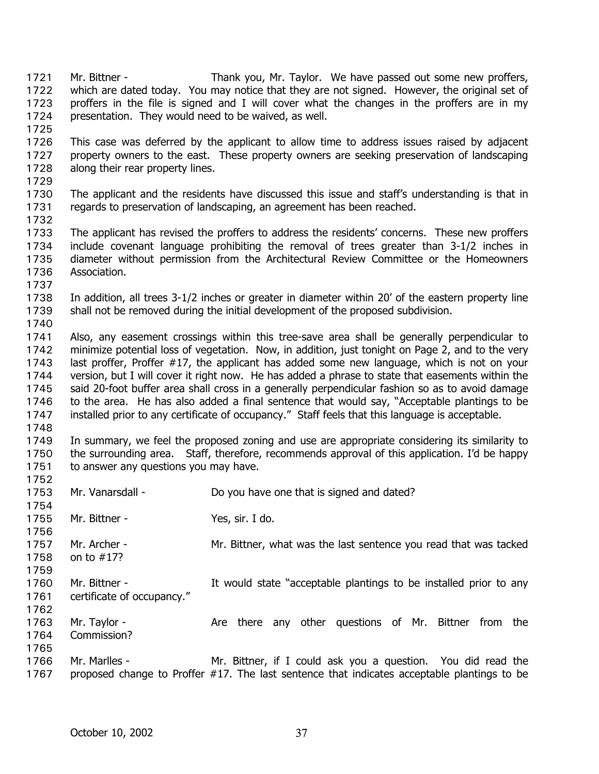Mr. Bittner - Thank you, Mr. Taylor. We have passed out some new proffers, which are dated today. You may notice that they are not signed. However, the original set of proffers in the file is signed and I will cover what the changes in the proffers are in my presentation. They would need to be waived, as well. 1721 1722 1723 1724 1725 1726 1727 1728 1729 1730 1731 1732 1733 1734 1735 1736 1737 1738 1739 1740 1741 1742 1743 1744 1745 1746 1747 1748 1749 1750 1751 1752 1753 1754 1755 1756 1757 1758 1759 1760 1761 1762 1763 1764 1765 1766 1767 This case was deferred by the applicant to allow time to address issues raised by adjacent property owners to the east. These property owners are seeking preservation of landscaping along their rear property lines. The applicant and the residents have discussed this issue and staff's understanding is that in regards to preservation of landscaping, an agreement has been reached. The applicant has revised the proffers to address the residents' concerns. These new proffers include covenant language prohibiting the removal of trees greater than 3-1/2 inches in diameter without permission from the Architectural Review Committee or the Homeowners Association. In addition, all trees 3-1/2 inches or greater in diameter within 20' of the eastern property line shall not be removed during the initial development of the proposed subdivision. Also, any easement crossings within this tree-save area shall be generally perpendicular to minimize potential loss of vegetation. Now, in addition, just tonight on Page 2, and to the very last proffer, Proffer #17, the applicant has added some new language, which is not on your version, but I will cover it right now. He has added a phrase to state that easements within the said 20-foot buffer area shall cross in a generally perpendicular fashion so as to avoid damage to the area. He has also added a final sentence that would say, "Acceptable plantings to be installed prior to any certificate of occupancy." Staff feels that this language is acceptable. In summary, we feel the proposed zoning and use are appropriate considering its similarity to the surrounding area. Staff, therefore, recommends approval of this application. I'd be happy to answer any questions you may have. Mr. Vanarsdall - Do you have one that is signed and dated? Mr. Bittner - Yes, sir. I do. Mr. Archer - Mr. Bittner, what was the last sentence you read that was tacked on to #17? Mr. Bittner - The Muslim state "acceptable plantings to be installed prior to any certificate of occupancy." Mr. Taylor - The Are there any other questions of Mr. Bittner from the Commission? Mr. Marlles - Mr. Bittner, if I could ask you a question. You did read the proposed change to Proffer #17. The last sentence that indicates acceptable plantings to be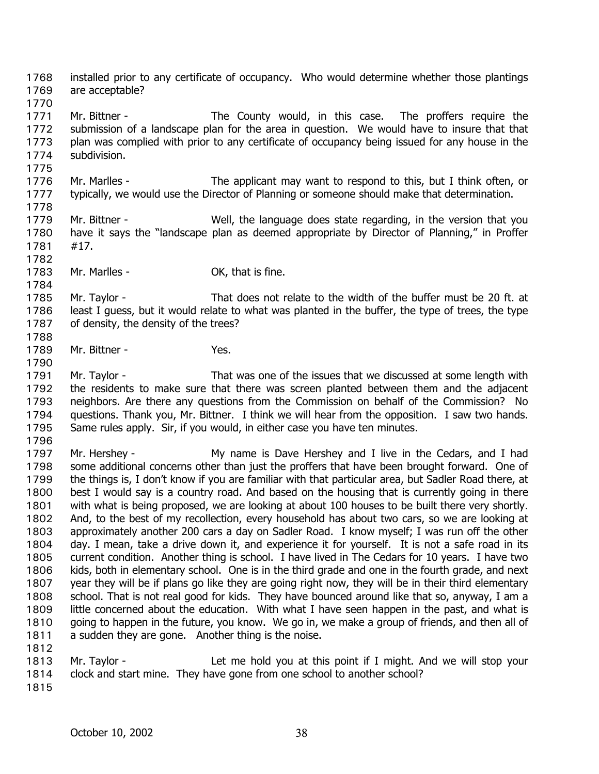installed prior to any certificate of occupancy. Who would determine whether those plantings are acceptable? 1768 1769

1770 1771 1772 1773 1774 Mr. Bittner - The County would, in this case. The proffers require the submission of a landscape plan for the area in question. We would have to insure that that plan was complied with prior to any certificate of occupancy being issued for any house in the subdivision.

1776 1777 Mr. Marlles - The applicant may want to respond to this, but I think often, or typically, we would use the Director of Planning or someone should make that determination.

- 1779 1780 1781 Mr. Bittner - Well, the language does state regarding, in the version that you have it says the "landscape plan as deemed appropriate by Director of Planning," in Proffer #17.
- 1783 Mr. Marlles - Case Controller Controller Mr. Marlles - Controller Controller Controller Controller Controller Controller Controller Controller Controller Controller Controller Controller Controller Controller Controller Co

1785 1786 1787 Mr. Taylor - That does not relate to the width of the buffer must be 20 ft. at least I quess, but it would relate to what was planted in the buffer, the type of trees, the type of density, the density of the trees?

- 1789 Mr. Bittner - Yes.
- 1791 1792 1793 1794 1795 Mr. Taylor - That was one of the issues that we discussed at some length with the residents to make sure that there was screen planted between them and the adjacent neighbors. Are there any questions from the Commission on behalf of the Commission? No questions. Thank you, Mr. Bittner. I think we will hear from the opposition. I saw two hands. Same rules apply. Sir, if you would, in either case you have ten minutes.
- 1796

1775

1778

1782

1784

1788

1790

1797 1798 1799 1800 1801 1802 1803 1804 1805 1806 1807 1808 1809 1810 1811 1812 Mr. Hershey - My name is Dave Hershey and I live in the Cedars, and I had some additional concerns other than just the proffers that have been brought forward. One of the things is, I don't know if you are familiar with that particular area, but Sadler Road there, at best I would say is a country road. And based on the housing that is currently going in there with what is being proposed, we are looking at about 100 houses to be built there very shortly. And, to the best of my recollection, every household has about two cars, so we are looking at approximately another 200 cars a day on Sadler Road. I know myself; I was run off the other day. I mean, take a drive down it, and experience it for yourself. It is not a safe road in its current condition. Another thing is school. I have lived in The Cedars for 10 years. I have two kids, both in elementary school. One is in the third grade and one in the fourth grade, and next year they will be if plans go like they are going right now, they will be in their third elementary school. That is not real good for kids. They have bounced around like that so, anyway, I am a little concerned about the education. With what I have seen happen in the past, and what is going to happen in the future, you know. We go in, we make a group of friends, and then all of a sudden they are gone. Another thing is the noise.

1813 1814 Mr. Taylor - Let me hold you at this point if I might. And we will stop your clock and start mine. They have gone from one school to another school?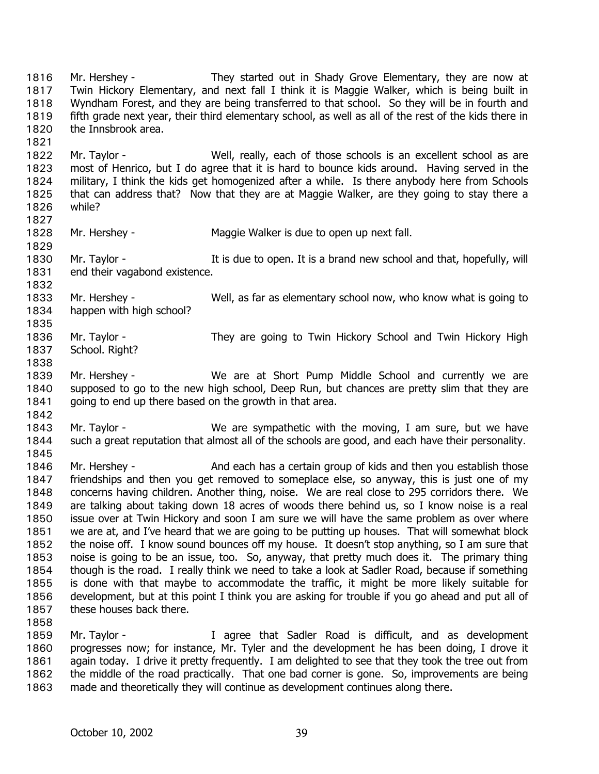Mr. Hershey - They started out in Shady Grove Elementary, they are now at Twin Hickory Elementary, and next fall I think it is Maggie Walker, which is being built in Wyndham Forest, and they are being transferred to that school. So they will be in fourth and fifth grade next year, their third elementary school, as well as all of the rest of the kids there in the Innsbrook area. 1816 1817 1818 1819 1820 1821

1822 1823 1824 1825 1826 Mr. Taylor - Well, really, each of those schools is an excellent school as are most of Henrico, but I do agree that it is hard to bounce kids around. Having served in the military, I think the kids get homogenized after a while. Is there anybody here from Schools that can address that? Now that they are at Maggie Walker, are they going to stay there a while?

1827 1828

1829

1832

1835

1838

1842

1845

Mr. Hershey - Maggie Walker is due to open up next fall.

1830 1831 Mr. Taylor - The It is due to open. It is a brand new school and that, hopefully, will end their vagabond existence.

1833 1834 Mr. Hershey - Well, as far as elementary school now, who know what is going to happen with high school?

- 1836 1837 Mr. Taylor - They are going to Twin Hickory School and Twin Hickory High School. Right?
- 1839 1840 1841 Mr. Hershey - We are at Short Pump Middle School and currently we are supposed to go to the new high school, Deep Run, but chances are pretty slim that they are going to end up there based on the growth in that area.
- 1843 1844 Mr. Taylor - We are sympathetic with the moving, I am sure, but we have such a great reputation that almost all of the schools are good, and each have their personality.
- 1846 1847 1848 1849 1850 1851 1852 1853 1854 1855 1856 1857 Mr. Hershey - And each has a certain group of kids and then you establish those friendships and then you get removed to someplace else, so anyway, this is just one of my concerns having children. Another thing, noise. We are real close to 295 corridors there. We are talking about taking down 18 acres of woods there behind us, so I know noise is a real issue over at Twin Hickory and soon I am sure we will have the same problem as over where we are at, and I've heard that we are going to be putting up houses. That will somewhat block the noise off. I know sound bounces off my house. It doesn't stop anything, so I am sure that noise is going to be an issue, too. So, anyway, that pretty much does it. The primary thing though is the road. I really think we need to take a look at Sadler Road, because if something is done with that maybe to accommodate the traffic, it might be more likely suitable for development, but at this point I think you are asking for trouble if you go ahead and put all of these houses back there.
- 1858

1859 1860 1861 1862 1863 Mr. Taylor - The Music Correspondent is difficult, and as development progresses now; for instance, Mr. Tyler and the development he has been doing, I drove it again today. I drive it pretty frequently. I am delighted to see that they took the tree out from the middle of the road practically. That one bad corner is gone. So, improvements are being made and theoretically they will continue as development continues along there.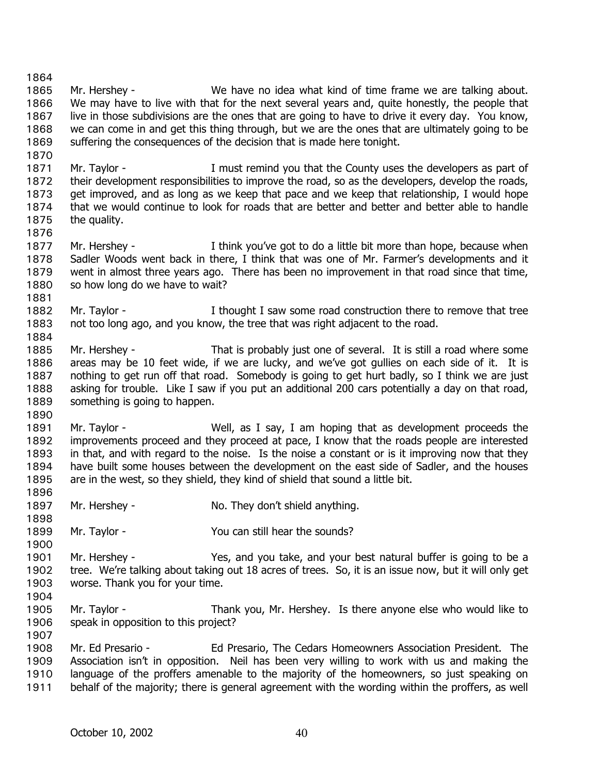1864 1865 1866 1867 1868 1869 1870 Mr. Hershey - We have no idea what kind of time frame we are talking about. We may have to live with that for the next several years and, quite honestly, the people that live in those subdivisions are the ones that are going to have to drive it every day. You know, we can come in and get this thing through, but we are the ones that are ultimately going to be suffering the consequences of the decision that is made here tonight.

1871 1872 1873 1874 1875 Mr. Taylor - The I must remind you that the County uses the developers as part of their development responsibilities to improve the road, so as the developers, develop the roads, get improved, and as long as we keep that pace and we keep that relationship, I would hope that we would continue to look for roads that are better and better and better able to handle the quality.

1877 1878 1879 1880 Mr. Hershey - Think you've got to do a little bit more than hope, because when Sadler Woods went back in there, I think that was one of Mr. Farmer's developments and it went in almost three years ago. There has been no improvement in that road since that time, so how long do we have to wait?

1882 1883 Mr. Taylor - The I thought I saw some road construction there to remove that tree not too long ago, and you know, the tree that was right adjacent to the road.

1885 1886 1887 1888 1889 Mr. Hershey - That is probably just one of several. It is still a road where some areas may be 10 feet wide, if we are lucky, and we've got gullies on each side of it. It is nothing to get run off that road. Somebody is going to get hurt badly, so I think we are just asking for trouble. Like I saw if you put an additional 200 cars potentially a day on that road, something is going to happen.

1891 1892 1893 1894 1895 1896 Mr. Taylor - Well, as I say, I am hoping that as development proceeds the improvements proceed and they proceed at pace, I know that the roads people are interested in that, and with regard to the noise. Is the noise a constant or is it improving now that they have built some houses between the development on the east side of Sadler, and the houses are in the west, so they shield, they kind of shield that sound a little bit.

- 1897 Mr. Hershey - No. They don't shield anything.
- 1899 Mr. Taylor - You can still hear the sounds?

1901 1902 1903 Mr. Hershey - The Yes, and you take, and your best natural buffer is going to be a tree. We're talking about taking out 18 acres of trees. So, it is an issue now, but it will only get worse. Thank you for your time.

1905 1906 Mr. Taylor - Thank you, Mr. Hershey. Is there anyone else who would like to speak in opposition to this project?

1907 1908 1909 1910 1911 Mr. Ed Presario - Ed Presario, The Cedars Homeowners Association President. The Association isn't in opposition. Neil has been very willing to work with us and making the language of the proffers amenable to the majority of the homeowners, so just speaking on behalf of the majority; there is general agreement with the wording within the proffers, as well

1876

1881

1884

1890

1898

1900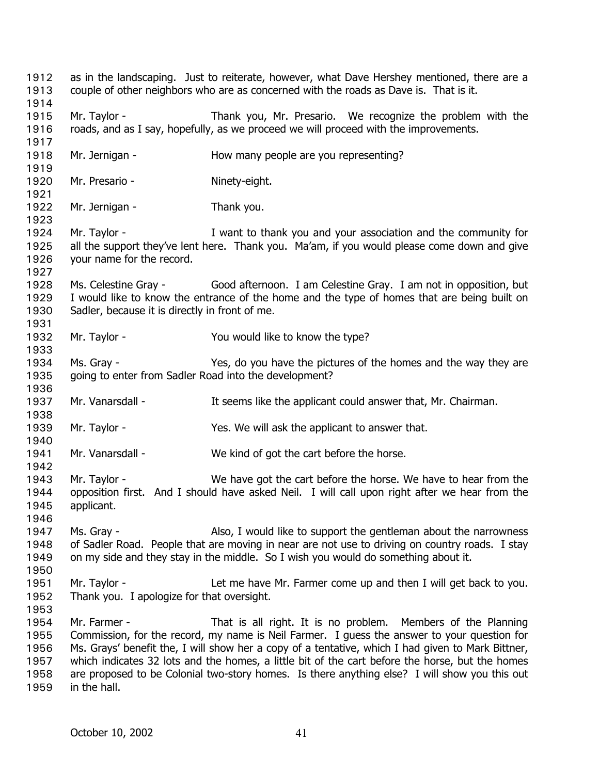as in the landscaping. Just to reiterate, however, what Dave Hershey mentioned, there are a couple of other neighbors who are as concerned with the roads as Dave is. That is it. 1912 1913 1914 1915 1916 1917 1918 1919 1920 1921 1922 1923 1924 1925 1926 1927 1928 1929 1930 1931 1932 1933 1934 1935 1936 1937 1938 1939 1940 1941 1942 1943 1944 1945 1946 1947 1948 1949 1950 1951 1952 1953 1954 1955 1956 1957 1958 1959 Mr. Taylor - Thank you, Mr. Presario. We recognize the problem with the roads, and as I say, hopefully, as we proceed we will proceed with the improvements. Mr. Jernigan - How many people are you representing? Mr. Presario - Ninety-eight. Mr. Jernigan - Thank you. Mr. Taylor - I want to thank you and your association and the community for all the support they've lent here. Thank you. Ma'am, if you would please come down and give your name for the record. Ms. Celestine Gray - Good afternoon. I am Celestine Gray. I am not in opposition, but I would like to know the entrance of the home and the type of homes that are being built on Sadler, because it is directly in front of me. Mr. Taylor - The Sou would like to know the type? Ms. Gray - Yes, do you have the pictures of the homes and the way they are going to enter from Sadler Road into the development? Mr. Vanarsdall - The State of the applicant could answer that, Mr. Chairman. Mr. Taylor - Yes. We will ask the applicant to answer that. Mr. Vanarsdall - We kind of got the cart before the horse. Mr. Taylor - We have got the cart before the horse. We have to hear from the opposition first. And I should have asked Neil. I will call upon right after we hear from the applicant. Ms. Gray - Also, I would like to support the gentleman about the narrowness of Sadler Road. People that are moving in near are not use to driving on country roads. I stay on my side and they stay in the middle. So I wish you would do something about it. Mr. Taylor - Let me have Mr. Farmer come up and then I will get back to you. Thank you. I apologize for that oversight. Mr. Farmer - That is all right. It is no problem. Members of the Planning Commission, for the record, my name is Neil Farmer. I guess the answer to your question for Ms. Grays' benefit the, I will show her a copy of a tentative, which I had given to Mark Bittner, which indicates 32 lots and the homes, a little bit of the cart before the horse, but the homes are proposed to be Colonial two-story homes. Is there anything else? I will show you this out in the hall.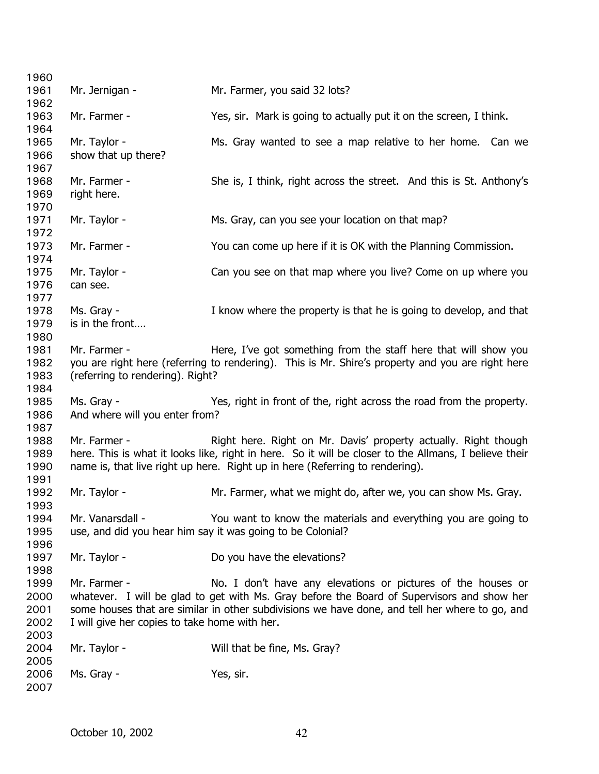| 1960                                 |                                                               |                                                                                                                                                                                                                                                              |
|--------------------------------------|---------------------------------------------------------------|--------------------------------------------------------------------------------------------------------------------------------------------------------------------------------------------------------------------------------------------------------------|
| 1961<br>1962                         | Mr. Jernigan -                                                | Mr. Farmer, you said 32 lots?                                                                                                                                                                                                                                |
| 1963<br>1964                         | Mr. Farmer -                                                  | Yes, sir. Mark is going to actually put it on the screen, I think.                                                                                                                                                                                           |
| 1965<br>1966<br>1967                 | Mr. Taylor -<br>show that up there?                           | Ms. Gray wanted to see a map relative to her home. Can we                                                                                                                                                                                                    |
| 1968<br>1969                         | Mr. Farmer -<br>right here.                                   | She is, I think, right across the street. And this is St. Anthony's                                                                                                                                                                                          |
| 1970<br>1971<br>1972                 | Mr. Taylor -                                                  | Ms. Gray, can you see your location on that map?                                                                                                                                                                                                             |
| 1973<br>1974                         | Mr. Farmer -                                                  | You can come up here if it is OK with the Planning Commission.                                                                                                                                                                                               |
| 1975<br>1976<br>1977                 | Mr. Taylor -<br>can see.                                      | Can you see on that map where you live? Come on up where you                                                                                                                                                                                                 |
| 1978<br>1979<br>1980                 | Ms. Gray -<br>is in the front                                 | I know where the property is that he is going to develop, and that                                                                                                                                                                                           |
| 1981<br>1982<br>1983<br>1984         | Mr. Farmer -<br>(referring to rendering). Right?              | Here, I've got something from the staff here that will show you<br>you are right here (referring to rendering). This is Mr. Shire's property and you are right here                                                                                          |
| 1985<br>1986                         | Ms. Gray -<br>And where will you enter from?                  | Yes, right in front of the, right across the road from the property.                                                                                                                                                                                         |
| 1987<br>1988<br>1989<br>1990<br>1991 | Mr. Farmer -                                                  | Right here. Right on Mr. Davis' property actually. Right though<br>here. This is what it looks like, right in here. So it will be closer to the Allmans, I believe their<br>name is, that live right up here. Right up in here (Referring to rendering).     |
| 1992<br>1993                         | Mr. Taylor -                                                  | Mr. Farmer, what we might do, after we, you can show Ms. Gray.                                                                                                                                                                                               |
| 1994<br>1995<br>1996                 | Mr. Vanarsdall -                                              | You want to know the materials and everything you are going to<br>use, and did you hear him say it was going to be Colonial?                                                                                                                                 |
| 1997<br>1998                         | Mr. Taylor -                                                  | Do you have the elevations?                                                                                                                                                                                                                                  |
| 1999<br>2000<br>2001<br>2002<br>2003 | Mr. Farmer -<br>I will give her copies to take home with her. | No. I don't have any elevations or pictures of the houses or<br>whatever. I will be glad to get with Ms. Gray before the Board of Supervisors and show her<br>some houses that are similar in other subdivisions we have done, and tell her where to go, and |
| 2004<br>2005                         | Mr. Taylor -                                                  | Will that be fine, Ms. Gray?                                                                                                                                                                                                                                 |
| 2006<br>2007                         | Ms. Gray -                                                    | Yes, sir.                                                                                                                                                                                                                                                    |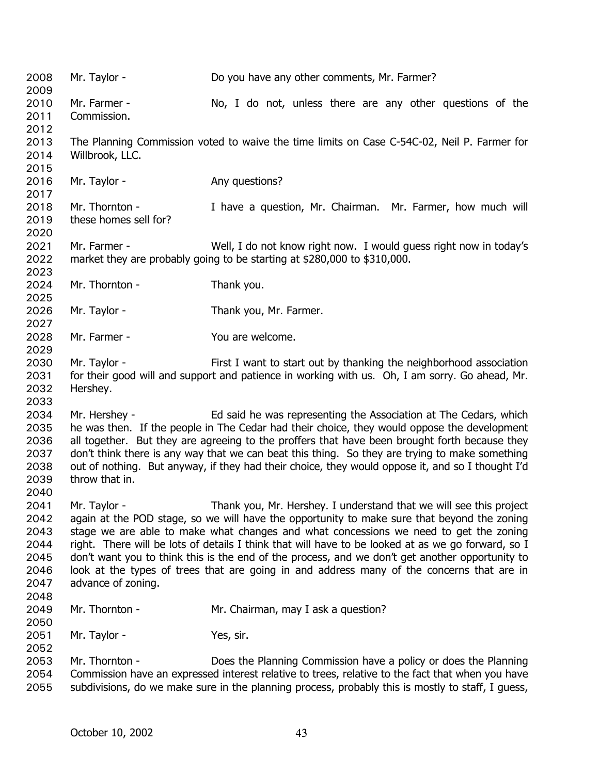2008 Mr. Taylor - Do you have any other comments, Mr. Farmer? 2009 2010 2011 2012 2013 2014 2015 2016 2017 2018 2019 2020 2021 2022 2023 2024 2025 2026 2027 2028 2029 2030 2031 2032 2033 2034 2035 2036 2037 2038 2039 2040 2041 2042 2043 2044 2045 2046 2047 2048 2049 2050 2051 2052 2053 2054 2055 Mr. Farmer - No, I do not, unless there are any other questions of the Commission. The Planning Commission voted to waive the time limits on Case C-54C-02, Neil P. Farmer for Willbrook, LLC. Mr. Taylor - Any questions? Mr. Thornton - I have a question, Mr. Chairman. Mr. Farmer, how much will these homes sell for? Mr. Farmer - Well, I do not know right now. I would guess right now in today's market they are probably going to be starting at \$280,000 to \$310,000. Mr. Thornton - Thank you. Mr. Taylor - Thank you, Mr. Farmer. Mr. Farmer - You are welcome. Mr. Taylor - First I want to start out by thanking the neighborhood association for their good will and support and patience in working with us. Oh, I am sorry. Go ahead, Mr. Hershey. Mr. Hershey - Ed said he was representing the Association at The Cedars, which he was then. If the people in The Cedar had their choice, they would oppose the development all together. But they are agreeing to the proffers that have been brought forth because they don't think there is any way that we can beat this thing. So they are trying to make something out of nothing. But anyway, if they had their choice, they would oppose it, and so I thought I'd throw that in. Mr. Taylor - Thank you, Mr. Hershey. I understand that we will see this project again at the POD stage, so we will have the opportunity to make sure that beyond the zoning stage we are able to make what changes and what concessions we need to get the zoning right. There will be lots of details I think that will have to be looked at as we go forward, so I don't want you to think this is the end of the process, and we don't get another opportunity to look at the types of trees that are going in and address many of the concerns that are in advance of zoning. Mr. Thornton - Mr. Chairman, may I ask a question? Mr. Taylor - Yes, sir. Mr. Thornton - Does the Planning Commission have a policy or does the Planning Commission have an expressed interest relative to trees, relative to the fact that when you have subdivisions, do we make sure in the planning process, probably this is mostly to staff, I guess,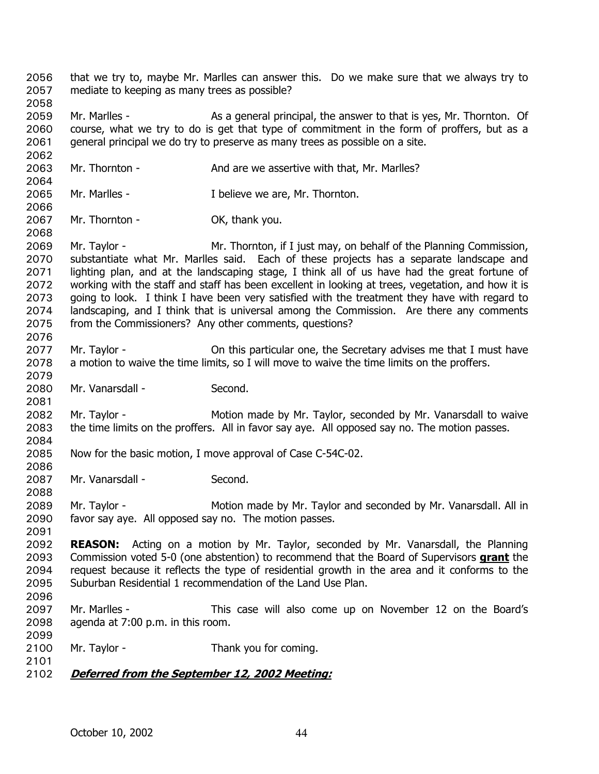- that we try to, maybe Mr. Marlles can answer this. Do we make sure that we always try to mediate to keeping as many trees as possible? 2056 2057 2058
- 2059 2060 2061 Mr. Marlles - As a general principal, the answer to that is yes, Mr. Thornton. Of course, what we try to do is get that type of commitment in the form of proffers, but as a general principal we do try to preserve as many trees as possible on a site.
- 2063 Mr. Thornton - And are we assertive with that, Mr. Marlles?
- 2065 Mr. Marlles - The I believe we are, Mr. Thornton.
- 2067 Mr. Thornton - OK, thank you.
- 2069 2070 2071 2072 2073 2074 2075 Mr. Taylor - Mr. Thornton, if I just may, on behalf of the Planning Commission, substantiate what Mr. Marlles said. Each of these projects has a separate landscape and lighting plan, and at the landscaping stage, I think all of us have had the great fortune of working with the staff and staff has been excellent in looking at trees, vegetation, and how it is going to look. I think I have been very satisfied with the treatment they have with regard to landscaping, and I think that is universal among the Commission. Are there any comments from the Commissioners? Any other comments, questions?
- 2077 2078 Mr. Taylor - **On this particular one, the Secretary advises me that I must have** a motion to waive the time limits, so I will move to waive the time limits on the proffers.
- 2080 Mr. Vanarsdall - Second.
- 2082 2083 2084 Mr. Taylor - **Motion made by Mr. Taylor, seconded by Mr. Vanarsdall to waive** the time limits on the proffers. All in favor say aye. All opposed say no. The motion passes.
- 2085 Now for the basic motion, I move approval of Case C-54C-02.
- 2087 Mr. Vanarsdall - Second.
- 2089 2090 Mr. Taylor - Motion made by Mr. Taylor and seconded by Mr. Vanarsdall. All in favor say aye. All opposed say no. The motion passes.
- 2092 **REASON:** Acting on a motion by Mr. Taylor, seconded by Mr. Vanarsdall, the Planning Commission voted 5-0 (one abstention) to recommend that the Board of Supervisors **grant** the request because it reflects the type of residential growth in the area and it conforms to the Suburban Residential 1 recommendation of the Land Use Plan. 2093 2094 2095
- 2097 2098 Mr. Marlles - This case will also come up on November 12 on the Board's agenda at 7:00 p.m. in this room.
- 2099 2100 Mr. Taylor - Thank you for coming.
- 2101

2062

2064

2066

2068

2076

2079

2081

2086

2088

2091

2096

2102 **Deferred from the September 12, 2002 Meeting:**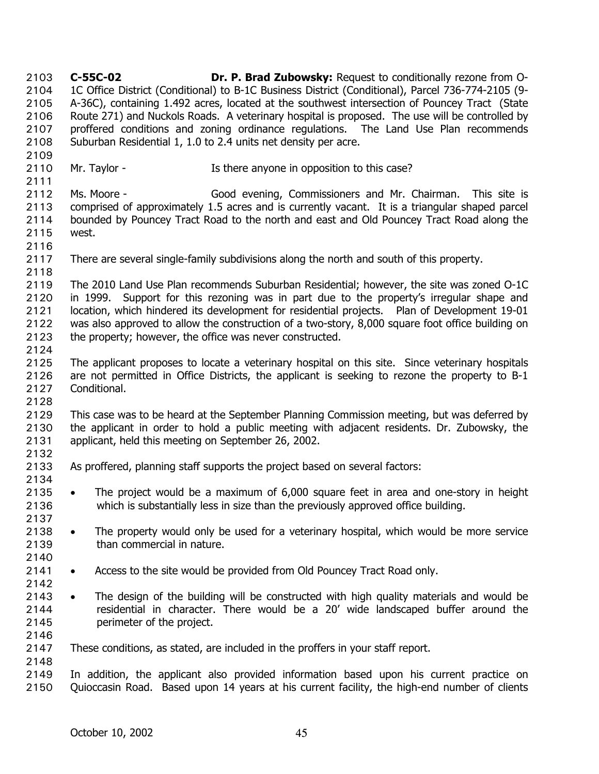**C-55C-02 Dr. P. Brad Zubowsky:** Request to conditionally rezone from O-1C Office District (Conditional) to B-1C Business District (Conditional), Parcel 736-774-2105 (9- A-36C), containing 1.492 acres, located at the southwest intersection of Pouncey Tract (State Route 271) and Nuckols Roads. A veterinary hospital is proposed. The use will be controlled by proffered conditions and zoning ordinance regulations. The Land Use Plan recommends Suburban Residential 1, 1.0 to 2.4 units net density per acre. 2103 2104 2105 2106 2107 2108 2109 2110 2111 2112 2113 2114 2115 2116 2117 2118 2119 2120 2121 2122 2123 2124 2125 2126 2127 2128 2129 2130 2131 2132 2133 2134 2135 2136 2137 2138 2139 2140 2141 2142 2143 2144 2145 2146 2147 2148 2149 2150 Mr. Taylor - The Is there anyone in opposition to this case? Ms. Moore - Good evening, Commissioners and Mr. Chairman. This site is comprised of approximately 1.5 acres and is currently vacant. It is a triangular shaped parcel bounded by Pouncey Tract Road to the north and east and Old Pouncey Tract Road along the west. There are several single-family subdivisions along the north and south of this property. The 2010 Land Use Plan recommends Suburban Residential; however, the site was zoned O-1C in 1999. Support for this rezoning was in part due to the property's irregular shape and location, which hindered its development for residential projects. Plan of Development 19-01 was also approved to allow the construction of a two-story, 8,000 square foot office building on the property; however, the office was never constructed. The applicant proposes to locate a veterinary hospital on this site. Since veterinary hospitals are not permitted in Office Districts, the applicant is seeking to rezone the property to B-1 Conditional. This case was to be heard at the September Planning Commission meeting, but was deferred by the applicant in order to hold a public meeting with adjacent residents. Dr. Zubowsky, the applicant, held this meeting on September 26, 2002. As proffered, planning staff supports the project based on several factors: • The project would be a maximum of 6,000 square feet in area and one-story in height which is substantially less in size than the previously approved office building. The property would only be used for a veterinary hospital, which would be more service than commercial in nature. • Access to the site would be provided from Old Pouncey Tract Road only. • The design of the building will be constructed with high quality materials and would be residential in character. There would be a 20' wide landscaped buffer around the perimeter of the project. These conditions, as stated, are included in the proffers in your staff report. In addition, the applicant also provided information based upon his current practice on Quioccasin Road. Based upon 14 years at his current facility, the high-end number of clients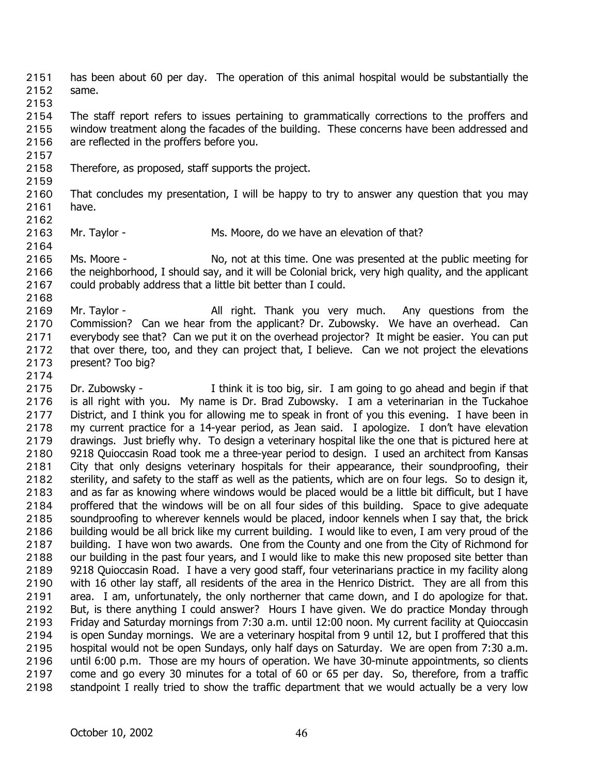has been about 60 per day. The operation of this animal hospital would be substantially the same. 2151 2152

2153

2154 2155 2156 The staff report refers to issues pertaining to grammatically corrections to the proffers and window treatment along the facades of the building. These concerns have been addressed and are reflected in the proffers before you.

- 2158 Therefore, as proposed, staff supports the project.
- 2159

2157

- 2160 2161 That concludes my presentation, I will be happy to try to answer any question that you may have.
- 2162
- 2163 Mr. Taylor - Ms. Moore, do we have an elevation of that?
- 2165 2166 2167 Ms. Moore - No, not at this time. One was presented at the public meeting for the neighborhood, I should say, and it will be Colonial brick, very high quality, and the applicant could probably address that a little bit better than I could.
- 2168

2164

- 2169 2170 2171 2172 2173 Mr. Taylor - Thank you very much. Any questions from the Commission? Can we hear from the applicant? Dr. Zubowsky. We have an overhead. Can everybody see that? Can we put it on the overhead projector? It might be easier. You can put that over there, too, and they can project that, I believe. Can we not project the elevations present? Too big?
- 2174

2175 2176 2177 2178 2179 2180 2181 2182 2183 2184 2185 2186 2187 2188 2189 2190 2191 2192 2193 2194 2195 2196 2197 2198 Dr. Zubowsky - I think it is too big, sir. I am going to go ahead and begin if that is all right with you. My name is Dr. Brad Zubowsky. I am a veterinarian in the Tuckahoe District, and I think you for allowing me to speak in front of you this evening. I have been in my current practice for a 14-year period, as Jean said. I apologize. I don't have elevation drawings. Just briefly why. To design a veterinary hospital like the one that is pictured here at 9218 Quioccasin Road took me a three-year period to design. I used an architect from Kansas City that only designs veterinary hospitals for their appearance, their soundproofing, their sterility, and safety to the staff as well as the patients, which are on four legs. So to design it, and as far as knowing where windows would be placed would be a little bit difficult, but I have proffered that the windows will be on all four sides of this building. Space to give adequate soundproofing to wherever kennels would be placed, indoor kennels when I say that, the brick building would be all brick like my current building. I would like to even, I am very proud of the building. I have won two awards. One from the County and one from the City of Richmond for our building in the past four years, and I would like to make this new proposed site better than 9218 Quioccasin Road. I have a very good staff, four veterinarians practice in my facility along with 16 other lay staff, all residents of the area in the Henrico District. They are all from this area. I am, unfortunately, the only northerner that came down, and I do apologize for that. But, is there anything I could answer? Hours I have given. We do practice Monday through Friday and Saturday mornings from 7:30 a.m. until 12:00 noon. My current facility at Quioccasin is open Sunday mornings. We are a veterinary hospital from 9 until 12, but I proffered that this hospital would not be open Sundays, only half days on Saturday. We are open from 7:30 a.m. until 6:00 p.m. Those are my hours of operation. We have 30-minute appointments, so clients come and go every 30 minutes for a total of 60 or 65 per day. So, therefore, from a traffic standpoint I really tried to show the traffic department that we would actually be a very low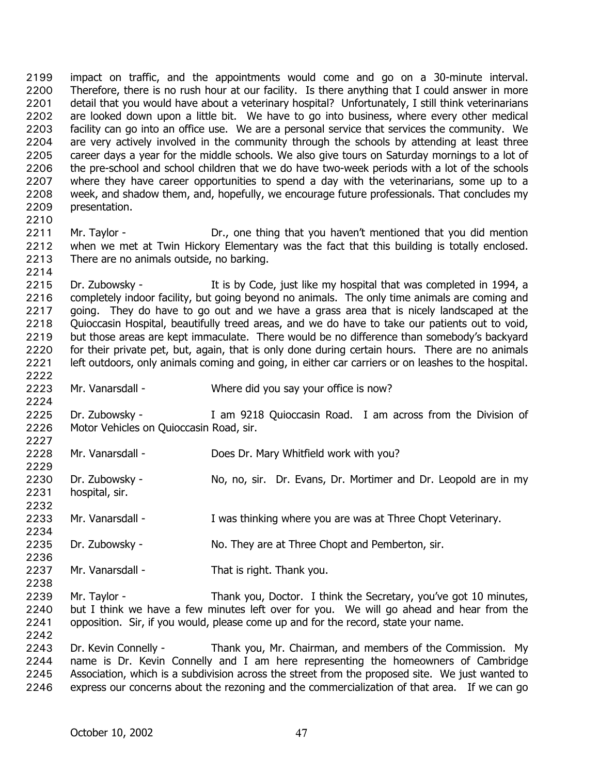impact on traffic, and the appointments would come and go on a 30-minute interval. Therefore, there is no rush hour at our facility. Is there anything that I could answer in more detail that you would have about a veterinary hospital? Unfortunately, I still think veterinarians are looked down upon a little bit. We have to go into business, where every other medical facility can go into an office use. We are a personal service that services the community. We are very actively involved in the community through the schools by attending at least three career days a year for the middle schools. We also give tours on Saturday mornings to a lot of the pre-school and school children that we do have two-week periods with a lot of the schools where they have career opportunities to spend a day with the veterinarians, some up to a week, and shadow them, and, hopefully, we encourage future professionals. That concludes my presentation. 2199 2200 2201 2202 2203 2204 2205 2206 2207 2208 2209 2210

2211 2212 2213 Mr. Taylor - **Dr., one thing that you haven't mentioned that you did mention** when we met at Twin Hickory Elementary was the fact that this building is totally enclosed. There are no animals outside, no barking.

2215 2216 2217 2218 2219 2220 2221 Dr. Zubowsky - It is by Code, just like my hospital that was completed in 1994, a completely indoor facility, but going beyond no animals. The only time animals are coming and going. They do have to go out and we have a grass area that is nicely landscaped at the Quioccasin Hospital, beautifully treed areas, and we do have to take our patients out to void, but those areas are kept immaculate. There would be no difference than somebody's backyard for their private pet, but, again, that is only done during certain hours. There are no animals left outdoors, only animals coming and going, in either car carriers or on leashes to the hospital.

2223 Mr. Vanarsdall - Where did you say your office is now?

2225 2226 2227 Dr. Zubowsky - I am 9218 Quioccasin Road. I am across from the Division of Motor Vehicles on Quioccasin Road, sir.

2228 Mr. Vanarsdall - Does Dr. Mary Whitfield work with you?

2229 2230 2231 2232 Dr. Zubowsky - No, no, sir. Dr. Evans, Dr. Mortimer and Dr. Leopold are in my hospital, sir.

2233 Mr. Vanarsdall - Twas thinking where you are was at Three Chopt Veterinary.

2235 Dr. Zubowsky - No. They are at Three Chopt and Pemberton, sir.

2237 Mr. Vanarsdall - That is right. Thank you.

2239 2240 2241 Mr. Taylor - Thank you, Doctor. I think the Secretary, you've got 10 minutes, but I think we have a few minutes left over for you. We will go ahead and hear from the opposition. Sir, if you would, please come up and for the record, state your name.

2243 2244 2245 2246 Dr. Kevin Connelly - Thank you, Mr. Chairman, and members of the Commission. My name is Dr. Kevin Connelly and I am here representing the homeowners of Cambridge Association, which is a subdivision across the street from the proposed site. We just wanted to express our concerns about the rezoning and the commercialization of that area. If we can go

2214

2222

2224

2234

2236

2238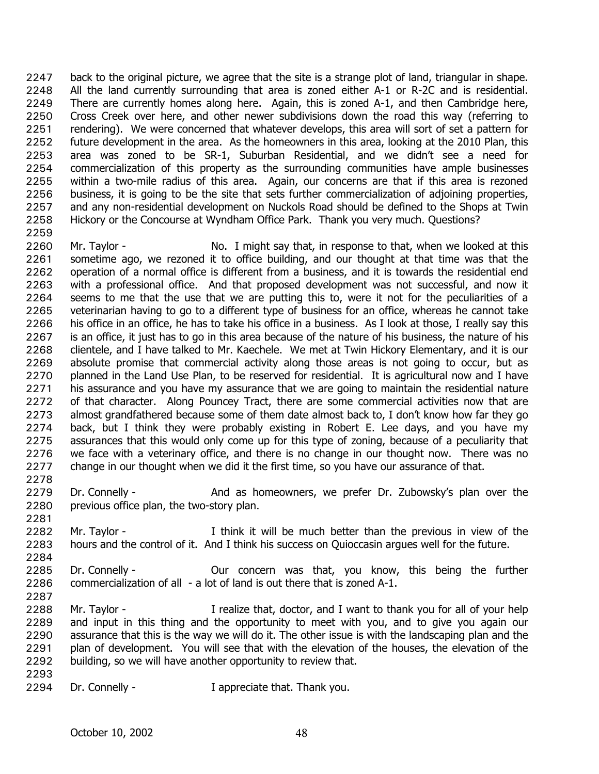back to the original picture, we agree that the site is a strange plot of land, triangular in shape. All the land currently surrounding that area is zoned either A-1 or R-2C and is residential. There are currently homes along here. Again, this is zoned A-1, and then Cambridge here, Cross Creek over here, and other newer subdivisions down the road this way (referring to rendering). We were concerned that whatever develops, this area will sort of set a pattern for future development in the area. As the homeowners in this area, looking at the 2010 Plan, this area was zoned to be SR-1, Suburban Residential, and we didn't see a need for commercialization of this property as the surrounding communities have ample businesses within a two-mile radius of this area. Again, our concerns are that if this area is rezoned business, it is going to be the site that sets further commercialization of adjoining properties, and any non-residential development on Nuckols Road should be defined to the Shops at Twin Hickory or the Concourse at Wyndham Office Park. Thank you very much. Questions? 2247 2248 2249 2250 2251 2252 2253 2254 2255 2256 2257 2258

2259

2281

2287

2260 2261 2262 2263 2264 2265 2266 2267 2268 2269 2270 2271 2272 2273 2274 2275 2276 2277 2278 Mr. Taylor - No. I might say that, in response to that, when we looked at this sometime ago, we rezoned it to office building, and our thought at that time was that the operation of a normal office is different from a business, and it is towards the residential end with a professional office. And that proposed development was not successful, and now it seems to me that the use that we are putting this to, were it not for the peculiarities of a veterinarian having to go to a different type of business for an office, whereas he cannot take his office in an office, he has to take his office in a business. As I look at those, I really say this is an office, it just has to go in this area because of the nature of his business, the nature of his clientele, and I have talked to Mr. Kaechele. We met at Twin Hickory Elementary, and it is our absolute promise that commercial activity along those areas is not going to occur, but as planned in the Land Use Plan, to be reserved for residential. It is agricultural now and I have his assurance and you have my assurance that we are going to maintain the residential nature of that character. Along Pouncey Tract, there are some commercial activities now that are almost grandfathered because some of them date almost back to, I don't know how far they go back, but I think they were probably existing in Robert E. Lee days, and you have my assurances that this would only come up for this type of zoning, because of a peculiarity that we face with a veterinary office, and there is no change in our thought now. There was no change in our thought when we did it the first time, so you have our assurance of that.

- 2279 2280 Dr. Connelly - The And as homeowners, we prefer Dr. Zubowsky's plan over the previous office plan, the two-story plan.
- 2282 2283 Mr. Taylor - Think it will be much better than the previous in view of the hours and the control of it. And I think his success on Quioccasin argues well for the future.
- 2284 2285 2286 Dr. Connelly - Our concern was that, you know, this being the further commercialization of all - a lot of land is out there that is zoned A-1.
- 2288 2289 2290 2291 2292 2293 Mr. Taylor - The I realize that, doctor, and I want to thank you for all of your help and input in this thing and the opportunity to meet with you, and to give you again our assurance that this is the way we will do it. The other issue is with the landscaping plan and the plan of development. You will see that with the elevation of the houses, the elevation of the building, so we will have another opportunity to review that.
- 2294 Dr. Connelly - The Dr. Connelly - The Dr. Connelly - Thank you.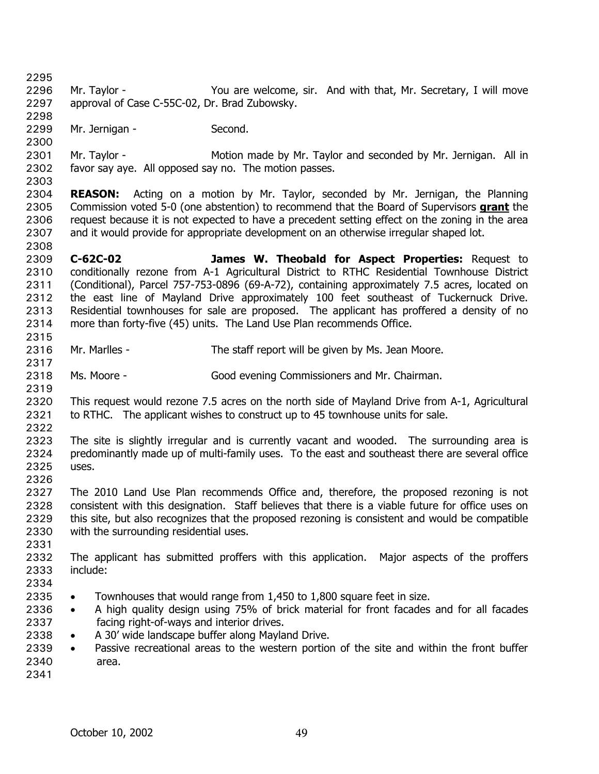2295 2296 2297 2298 2299 2300 2301 2302 2303 2304 Mr. Taylor - You are welcome, sir. And with that, Mr. Secretary, I will move approval of Case C-55C-02, Dr. Brad Zubowsky. Mr. Jernigan - Second. Mr. Taylor - **Motion made by Mr. Taylor and seconded by Mr. Jernigan.** All in favor say aye. All opposed say no. The motion passes. **REASON:** Acting on a motion by Mr. Taylor, seconded by Mr. Jernigan, the Planning Commission voted 5-0 (one abstention) to recommend that the Board of Supervisors **grant** the request because it is not expected to have a precedent setting effect on the zoning in the area and it would provide for appropriate development on an otherwise irregular shaped lot. 2305 2306 2307 2308 2309 2310 2311 2312 2313 2314 2315 2316 2317 2318 2319 2320 2321 2322 2323 2324 2325 2326 2327 2328 2329 2330 2331 2332 2333 2334 2335 2336 2337 2338 2339 2340 2341 **C-62C-02 James W. Theobald for Aspect Properties:** Request to conditionally rezone from A-1 Agricultural District to RTHC Residential Townhouse District (Conditional), Parcel 757-753-0896 (69-A-72), containing approximately 7.5 acres, located on the east line of Mayland Drive approximately 100 feet southeast of Tuckernuck Drive. Residential townhouses for sale are proposed. The applicant has proffered a density of no more than forty-five (45) units. The Land Use Plan recommends Office. Mr. Marlles - The staff report will be given by Ms. Jean Moore. Ms. Moore - Good evening Commissioners and Mr. Chairman. This request would rezone 7.5 acres on the north side of Mayland Drive from A-1, Agricultural to RTHC. The applicant wishes to construct up to 45 townhouse units for sale. The site is slightly irregular and is currently vacant and wooded. The surrounding area is predominantly made up of multi-family uses. To the east and southeast there are several office uses. The 2010 Land Use Plan recommends Office and, therefore, the proposed rezoning is not consistent with this designation. Staff believes that there is a viable future for office uses on this site, but also recognizes that the proposed rezoning is consistent and would be compatible with the surrounding residential uses. The applicant has submitted proffers with this application. Major aspects of the proffers include: • Townhouses that would range from 1,450 to 1,800 square feet in size. • A high quality design using 75% of brick material for front facades and for all facades facing right-of-ways and interior drives. • A 30' wide landscape buffer along Mayland Drive. • Passive recreational areas to the western portion of the site and within the front buffer area.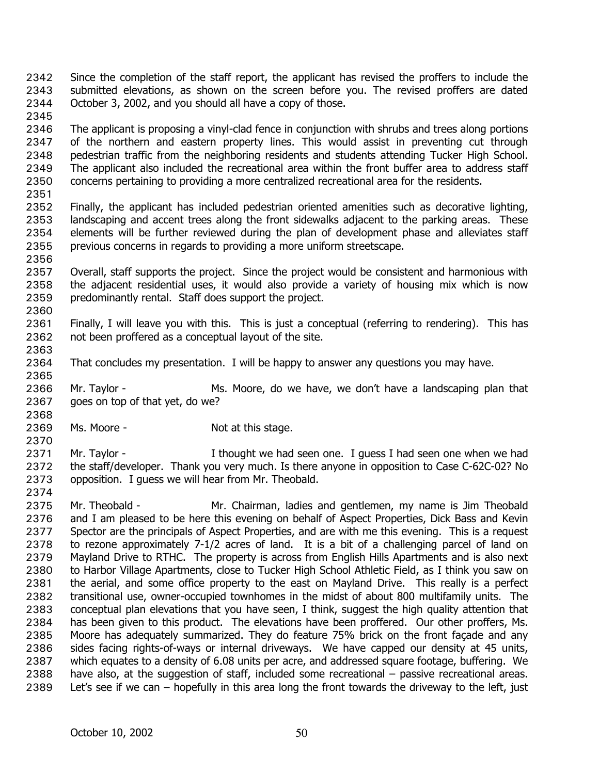- Since the completion of the staff report, the applicant has revised the proffers to include the submitted elevations, as shown on the screen before you. The revised proffers are dated October 3, 2002, and you should all have a copy of those. 2342 2343 2344
- 2346 2347 2348 2349 2350 The applicant is proposing a vinyl-clad fence in conjunction with shrubs and trees along portions of the northern and eastern property lines. This would assist in preventing cut through pedestrian traffic from the neighboring residents and students attending Tucker High School. The applicant also included the recreational area within the front buffer area to address staff concerns pertaining to providing a more centralized recreational area for the residents.
- 2351

2345

- 2352 2353 2354 2355 Finally, the applicant has included pedestrian oriented amenities such as decorative lighting, landscaping and accent trees along the front sidewalks adjacent to the parking areas. These elements will be further reviewed during the plan of development phase and alleviates staff previous concerns in regards to providing a more uniform streetscape.
- 2356

2365

- 2357 2358 2359 2360 Overall, staff supports the project. Since the project would be consistent and harmonious with the adjacent residential uses, it would also provide a variety of housing mix which is now predominantly rental. Staff does support the project.
- 2361 2362 2363 Finally, I will leave you with this. This is just a conceptual (referring to rendering). This has not been proffered as a conceptual layout of the site.
- 2364 That concludes my presentation. I will be happy to answer any questions you may have.
- 2366 2367 Mr. Taylor - The Ms. Moore, do we have, we don't have a landscaping plan that goes on top of that yet, do we?
- 2369 Ms. Moore - Not at this stage.
- 2370 2371 2372 2373 Mr. Taylor - I thought we had seen one. I guess I had seen one when we had the staff/developer. Thank you very much. Is there anyone in opposition to Case C-62C-02? No opposition. I guess we will hear from Mr. Theobald.
- 2374
- 2375 2376 2377 2378 2379 2380 2381 2382 2383 2384 2385 2386 2387 2388 2389 Mr. Theobald - Mr. Chairman, ladies and gentlemen, my name is Jim Theobald and I am pleased to be here this evening on behalf of Aspect Properties, Dick Bass and Kevin Spector are the principals of Aspect Properties, and are with me this evening. This is a request to rezone approximately 7-1/2 acres of land. It is a bit of a challenging parcel of land on Mayland Drive to RTHC. The property is across from English Hills Apartments and is also next to Harbor Village Apartments, close to Tucker High School Athletic Field, as I think you saw on the aerial, and some office property to the east on Mayland Drive. This really is a perfect transitional use, owner-occupied townhomes in the midst of about 800 multifamily units. The conceptual plan elevations that you have seen, I think, suggest the high quality attention that has been given to this product. The elevations have been proffered. Our other proffers, Ms. Moore has adequately summarized. They do feature 75% brick on the front façade and any sides facing rights-of-ways or internal driveways. We have capped our density at 45 units, which equates to a density of 6.08 units per acre, and addressed square footage, buffering. We have also, at the suggestion of staff, included some recreational – passive recreational areas. Let's see if we can – hopefully in this area long the front towards the driveway to the left, just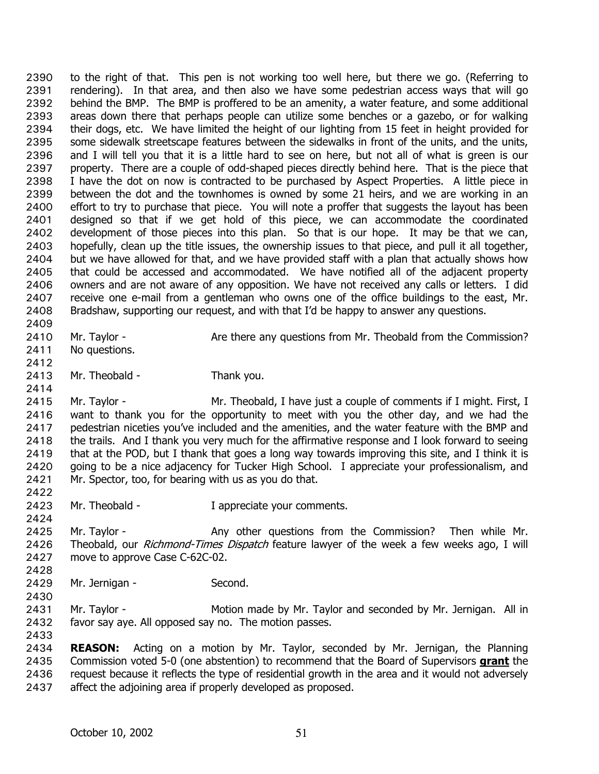to the right of that. This pen is not working too well here, but there we go. (Referring to rendering). In that area, and then also we have some pedestrian access ways that will go behind the BMP. The BMP is proffered to be an amenity, a water feature, and some additional areas down there that perhaps people can utilize some benches or a gazebo, or for walking their dogs, etc. We have limited the height of our lighting from 15 feet in height provided for some sidewalk streetscape features between the sidewalks in front of the units, and the units, and I will tell you that it is a little hard to see on here, but not all of what is green is our property. There are a couple of odd-shaped pieces directly behind here. That is the piece that I have the dot on now is contracted to be purchased by Aspect Properties. A little piece in between the dot and the townhomes is owned by some 21 heirs, and we are working in an effort to try to purchase that piece. You will note a proffer that suggests the layout has been designed so that if we get hold of this piece, we can accommodate the coordinated development of those pieces into this plan. So that is our hope. It may be that we can, hopefully, clean up the title issues, the ownership issues to that piece, and pull it all together, but we have allowed for that, and we have provided staff with a plan that actually shows how that could be accessed and accommodated. We have notified all of the adjacent property owners and are not aware of any opposition. We have not received any calls or letters. I did receive one e-mail from a gentleman who owns one of the office buildings to the east, Mr. Bradshaw, supporting our request, and with that I'd be happy to answer any questions. 2390 2391 2392 2393 2394 2395 2396 2397 2398 2399 2400 2401 2402 2403 2404 2405 2406 2407 2408 2409

- 2410 Mr. Taylor - Are there any questions from Mr. Theobald from the Commission? No questions.
- 2411
- 2412 2413

2414

2422

2424

2428

2430

Mr. Theobald - Thank you.

2415 2416 2417 2418 2419 2420 2421 Mr. Taylor - Mr. Theobald, I have just a couple of comments if I might. First, I want to thank you for the opportunity to meet with you the other day, and we had the pedestrian niceties you've included and the amenities, and the water feature with the BMP and the trails. And I thank you very much for the affirmative response and I look forward to seeing that at the POD, but I thank that goes a long way towards improving this site, and I think it is going to be a nice adjacency for Tucker High School. I appreciate your professionalism, and Mr. Spector, too, for bearing with us as you do that.

2423 Mr. Theobald - Theorem I appreciate your comments.

2425 2426 2427 Mr. Taylor - Any other questions from the Commission? Then while Mr. Theobald, our Richmond-Times Dispatch feature lawyer of the week a few weeks ago. I will move to approve Case C-62C-02.

2429 Mr. Jernigan - Second.

2431 2432 Mr. Taylor - Motion made by Mr. Taylor and seconded by Mr. Jernigan. All in favor say aye. All opposed say no. The motion passes.

2433

2434 **REASON:** Acting on a motion by Mr. Taylor, seconded by Mr. Jernigan, the Planning Commission voted 5-0 (one abstention) to recommend that the Board of Supervisors **grant** the request because it reflects the type of residential growth in the area and it would not adversely affect the adjoining area if properly developed as proposed. 2435 2436 2437